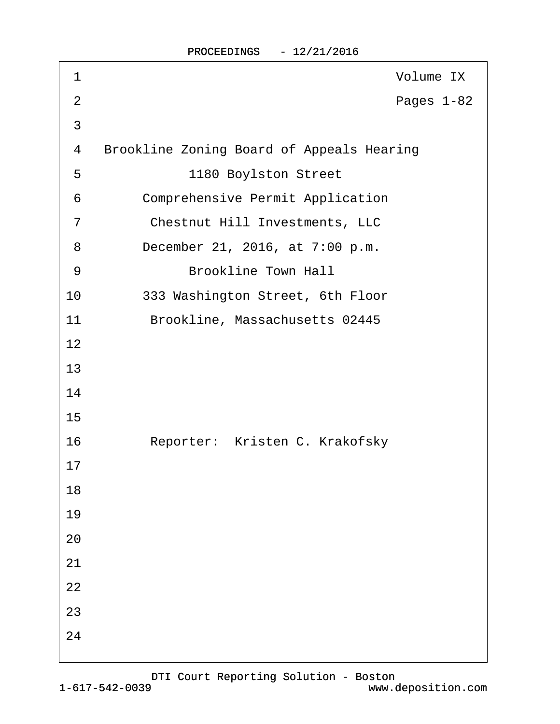| 1              | Volume IX                                        |
|----------------|--------------------------------------------------|
| $\overline{2}$ | Pages 1-82                                       |
| 3              |                                                  |
| 4              | <b>Brookline Zoning Board of Appeals Hearing</b> |
| 5              | 1180 Boylston Street                             |
| 6              | <b>Comprehensive Permit Application</b>          |
| $\overline{7}$ | <b>Chestnut Hill Investments, LLC</b>            |
| 8              | December 21, 2016, at 7:00 p.m.                  |
| 9              | <b>Brookline Town Hall</b>                       |
| 10             | 333 Washington Street, 6th Floor                 |
| 11             | Brookline, Massachusetts 02445                   |
| 12             |                                                  |
| 13             |                                                  |
| 14             |                                                  |
| 15             |                                                  |
| 16             | Reporter: Kristen C. Krakofsky                   |
| 17             |                                                  |
| 18             |                                                  |
| 19             |                                                  |
| 20             |                                                  |
| 21             |                                                  |
| 22             |                                                  |
| 23             |                                                  |
| 24             |                                                  |
|                |                                                  |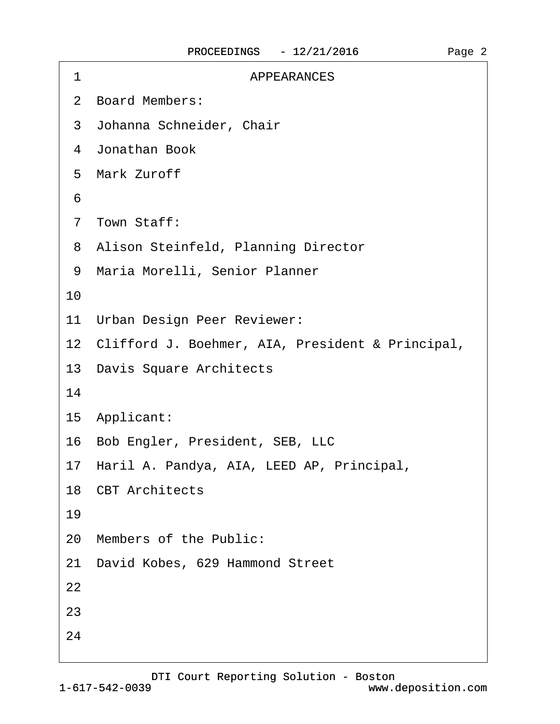| 1  | <b>APPEARANCES</b>                                  |
|----|-----------------------------------------------------|
|    | 2 Board Members:                                    |
|    | 3 Johanna Schneider, Chair                          |
|    | 4 Jonathan Book                                     |
|    | 5 Mark Zuroff                                       |
| 6  |                                                     |
|    | 7 Town Staff:                                       |
|    | 8 Alison Steinfeld, Planning Director               |
|    | 9 Maria Morelli, Senior Planner                     |
| 10 |                                                     |
|    | 11 Urban Design Peer Reviewer:                      |
|    | 12 Clifford J. Boehmer, AIA, President & Principal, |
|    | 13 Davis Square Architects                          |
| 14 |                                                     |
|    | 15 Applicant:                                       |
|    | 16 Bob Engler, President, SEB, LLC                  |
|    | 17 Haril A. Pandya, AIA, LEED AP, Principal,        |
|    | 18 CBT Architects                                   |
| 19 |                                                     |
|    | 20 Members of the Public:                           |
|    | 21 David Kobes, 629 Hammond Street                  |
| 22 |                                                     |
| 23 |                                                     |
| 24 |                                                     |
|    |                                                     |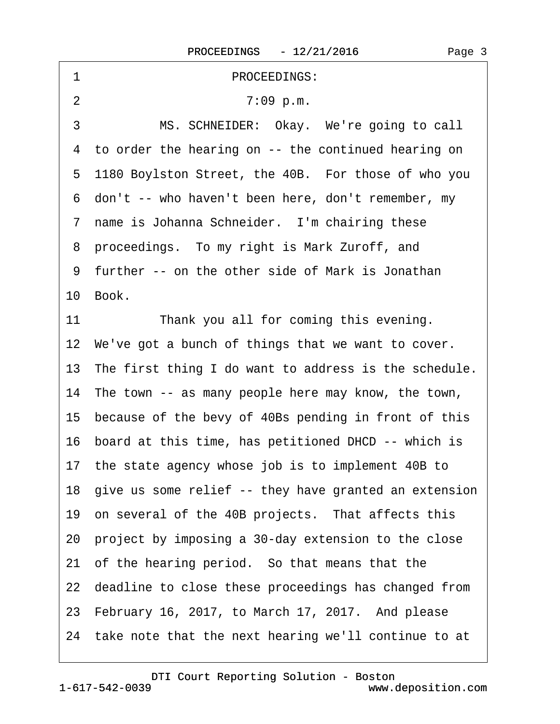| 1              | PROCEEDINGS:                                             |
|----------------|----------------------------------------------------------|
| $\overline{2}$ | 7:09 p.m.                                                |
| 3              | MS. SCHNEIDER: Okay. We're going to call                 |
|                | 4 to order the hearing on -- the continued hearing on    |
|                | 5 1180 Boylston Street, the 40B. For those of who you    |
|                | 6 don't -- who haven't been here, don't remember, my     |
|                | 7 name is Johanna Schneider. I'm chairing these          |
|                | 8 proceedings. To my right is Mark Zuroff, and           |
|                | 9 further -- on the other side of Mark is Jonathan       |
|                | 10 Book.                                                 |
| 11             | Thank you all for coming this evening.                   |
|                | 12 We've got a bunch of things that we want to cover.    |
|                | 13 The first thing I do want to address is the schedule. |
|                | 14 The town -- as many people here may know, the town,   |
|                | 15 because of the bevy of 40Bs pending in front of this  |
|                | 16 board at this time, has petitioned DHCD -- which is   |
|                | 17 the state agency whose job is to implement 40B to     |
|                | 18 give us some relief -- they have granted an extension |
|                | 19 on several of the 40B projects. That affects this     |
|                | 20 project by imposing a 30-day extension to the close   |
|                | 21 of the hearing period. So that means that the         |
|                | 22 deadline to close these proceedings has changed from  |
|                | 23 February 16, 2017, to March 17, 2017. And please      |
|                | 24 take note that the next hearing we'll continue to at  |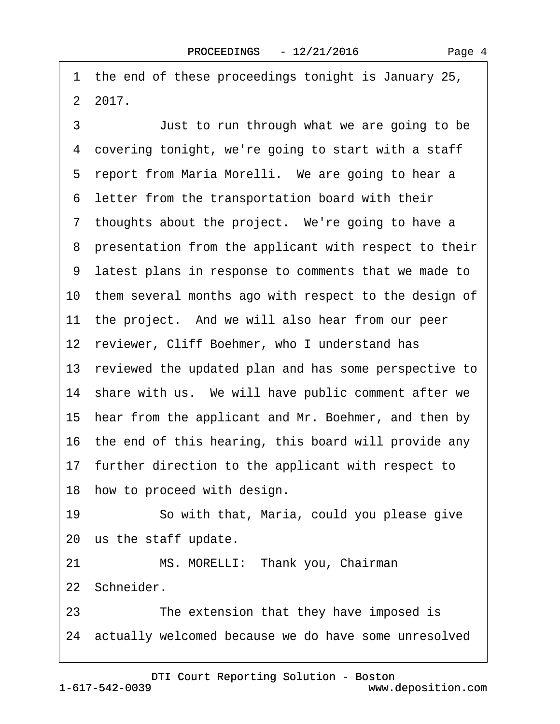·1· the end of these proceedings tonight is January 25, ·2· 2017.

3 **Just to run through what we are going to be** 4 covering tonight, we're going to start with a staff 5 report from Maria Morelli. We are going to hear a ·6· letter from the transportation board with their 7 thoughts about the project. We're going to have a 8 presentation from the applicant with respect to their ·9· latest plans in response to comments that we made to 10 them several months ago with respect to the design of 11 the project. And we will also hear from our peer 12 reviewer, Cliff Boehmer, who I understand has 13 reviewed the updated plan and has some perspective to 14 share with us. We will have public comment after we 15 hear from the applicant and Mr. Boehmer, and then by 16· the end of this hearing, this board will provide any 17 further direction to the applicant with respect to 18 how to proceed with design. 19 · · So with that, Maria, could you please give 20 us the staff update. 21 MS. MORELLI: Thank you, Chairman 22 Schneider. 23 The extension that they have imposed is

24 actually welcomed because we do have some unresolved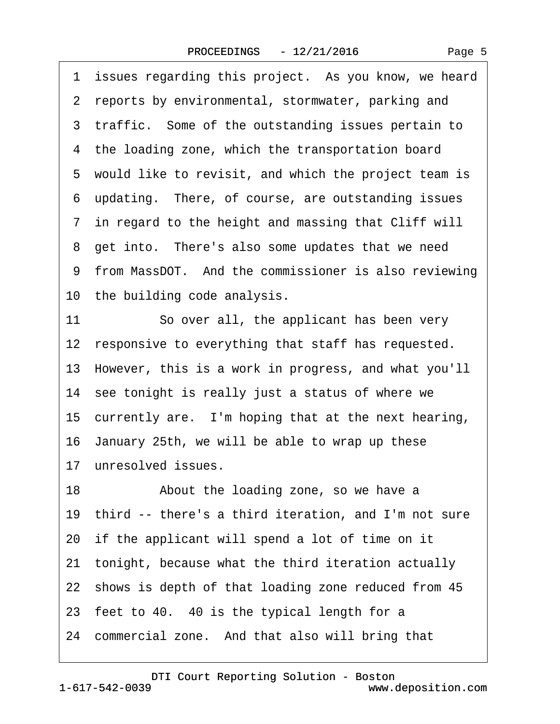1 issues regarding this project. As you know, we heard 2 reports by environmental, stormwater, parking and 3 traffic. Some of the outstanding issues pertain to 4 the loading zone, which the transportation board 5 would like to revisit, and which the project team is ·6· updating.· There, of course, are outstanding issues 7 in regard to the height and massing that Cliff will 8 get into. There's also some updates that we need 9 from MassDOT. And the commissioner is also reviewing 10 the building code analysis. 11 So over all, the applicant has been very 12 responsive to everything that staff has requested. 13· However, this is a work in progress, and what you'll 14 see tonight is really just a status of where we 15 currently are. I'm hoping that at the next hearing, 16· January 25th, we will be able to wrap up these 17 unresolved issues. 18 • About the loading zone, so we have a 19 third -- there's a third iteration, and I'm not sure 20· if the applicant will spend a lot of time on it 21· tonight, because what the third iteration actually 22 shows is depth of that loading zone reduced from 45 23 feet to 40. 40 is the typical length for a 24 commercial zone. And that also will bring that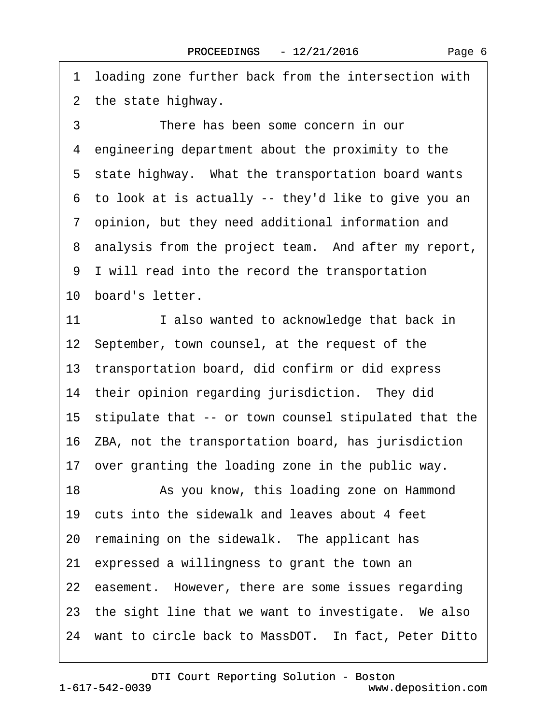·1· loading zone further back from the intersection with 2 the state highway.

3 There has been some concern in our ·4· engineering department about the proximity to the 5 state highway. What the transportation board wants ·6· to look at is actually -- they'd like to give you an ·7· opinion, but they need additional information and 8 analysis from the project team. And after my report, ·9· I will read into the record the transportation 10 board's letter.

11 I also wanted to acknowledge that back in 12 September, town counsel, at the request of the 13· transportation board, did confirm or did express 14 their opinion regarding jurisdiction. They did 15· stipulate that -- or town counsel stipulated that the 16· ZBA, not the transportation board, has jurisdiction 17 over granting the loading zone in the public way. 18 • As you know, this loading zone on Hammond 19 cuts into the sidewalk and leaves about 4 feet 20 remaining on the sidewalk. The applicant has 21· expressed a willingness to grant the town an 22 easement. However, there are some issues regarding 23 the sight line that we want to investigate. We also 24 want to circle back to MassDOT. In fact, Peter Ditto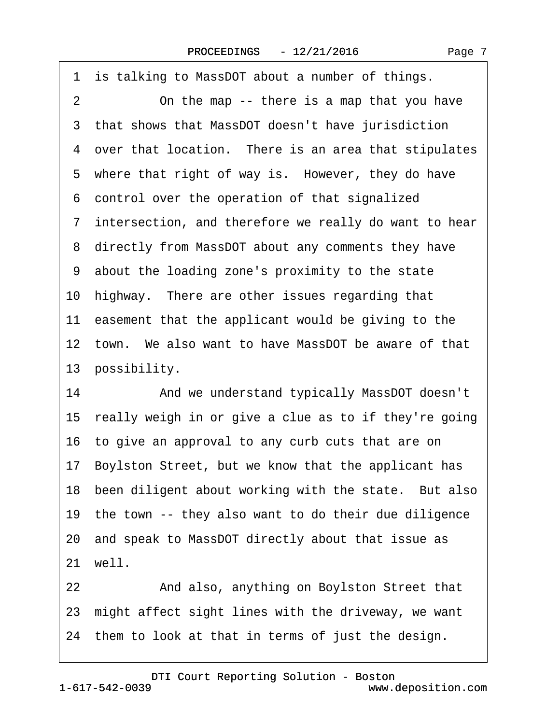| 1  | is talking to MassDOT about a number of things.          |
|----|----------------------------------------------------------|
| 2  | On the map -- there is a map that you have               |
| 3  | that shows that MassDOT doesn't have jurisdiction        |
|    | 4 over that location. There is an area that stipulates   |
|    | 5 where that right of way is. However, they do have      |
|    | 6 control over the operation of that signalized          |
|    | 7 intersection, and therefore we really do want to hear  |
|    | 8 directly from MassDOT about any comments they have     |
|    | 9 about the loading zone's proximity to the state        |
|    | 10 highway. There are other issues regarding that        |
|    | 11 easement that the applicant would be giving to the    |
|    | 12 town. We also want to have MassDOT be aware of that   |
|    | 13 possibility.                                          |
| 14 | And we understand typically MassDOT doesn't              |
|    | 15 really weigh in or give a clue as to if they're going |
|    | 16 to give an approval to any curb cuts that are on      |
|    | 17 Boylston Street, but we know that the applicant has   |
|    | 18 been diligent about working with the state. But also  |
|    | 19 the town -- they also want to do their due diligence  |
|    | 20 and speak to MassDOT directly about that issue as     |
|    | 21 well.                                                 |
|    |                                                          |

22 And also, anything on Boylston Street that 23 might affect sight lines with the driveway, we want 24 them to look at that in terms of just the design.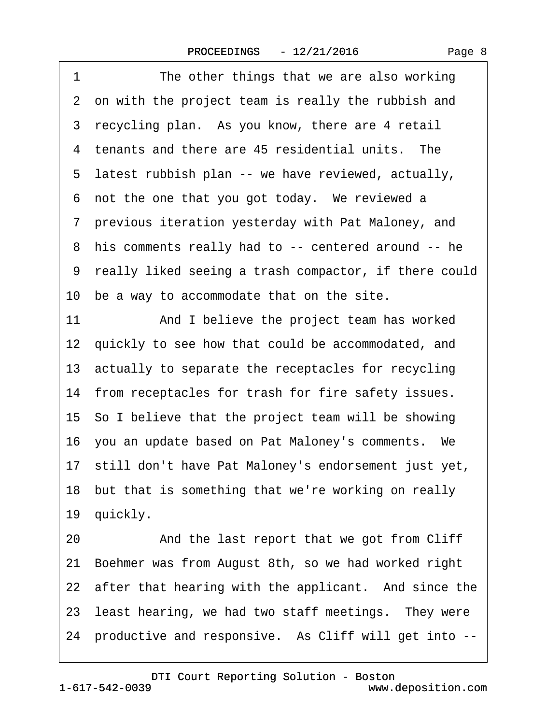1 The other things that we are also working 2 on with the project team is really the rubbish and 3 recycling plan. As you know, there are 4 retail 4 tenants and there are 45 residential units. The 5 latest rubbish plan -- we have reviewed, actually, 6 not the one that you got today. We reviewed a ·7· previous iteration yesterday with Pat Maloney, and ·8· his comments really had to -- centered around -- he ·9· really liked seeing a trash compactor, if there could 10 be a way to accommodate that on the site. 11 And I believe the project team has worked 12 quickly to see how that could be accommodated, and 13· actually to separate the receptacles for recycling 14 from receptacles for trash for fire safety issues. 15· So I believe that the project team will be showing 16· you an update based on Pat Maloney's comments.· We 17· still don't have Pat Maloney's endorsement just yet, 18 but that is something that we're working on really 19 quickly. 20 And the last report that we got from Cliff 21· Boehmer was from August 8th, so we had worked right 22 after that hearing with the applicant. And since the 23 least hearing, we had two staff meetings. They were 24 productive and responsive. As Cliff will get into --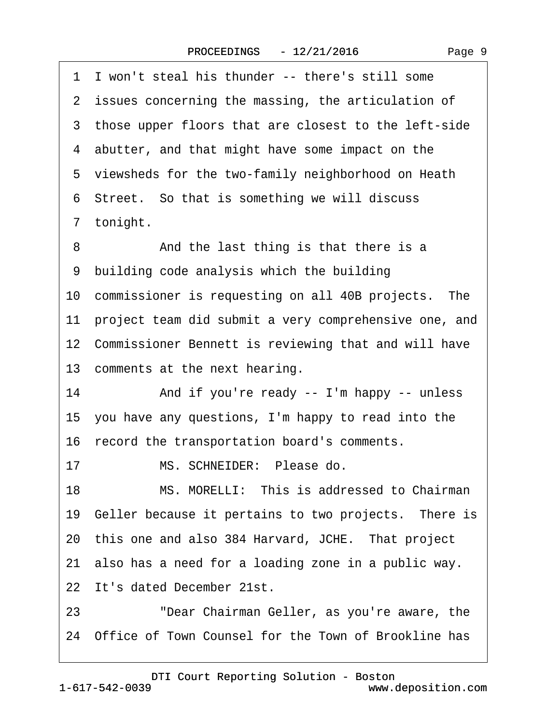|    | 1 I won't steal his thunder -- there's still some        |
|----|----------------------------------------------------------|
|    | 2 issues concerning the massing, the articulation of     |
|    | 3 those upper floors that are closest to the left-side   |
|    | 4 abutter, and that might have some impact on the        |
|    | 5 viewsheds for the two-family neighborhood on Heath     |
|    | 6 Street. So that is something we will discuss           |
|    | 7 tonight.                                               |
| 8  | And the last thing is that there is a                    |
|    | 9 building code analysis which the building              |
|    | 10 commissioner is requesting on all 40B projects. The   |
|    | 11 project team did submit a very comprehensive one, and |
|    | 12 Commissioner Bennett is reviewing that and will have  |
|    | 13 comments at the next hearing.                         |
| 14 | And if you're ready -- I'm happy -- unless               |
|    | 15 you have any questions, I'm happy to read into the    |
|    | 16 record the transportation board's comments.           |
| 17 | MS. SCHNEIDER: Please do.                                |
| 18 | MS. MORELLI: This is addressed to Chairman               |
|    | 19 Geller because it pertains to two projects. There is  |
|    | 20 this one and also 384 Harvard, JCHE. That project     |
|    | 21 also has a need for a loading zone in a public way.   |
|    | 22 It's dated December 21st.                             |
| 23 | "Dear Chairman Geller, as you're aware, the              |
|    | 24 Office of Town Counsel for the Town of Brookline has  |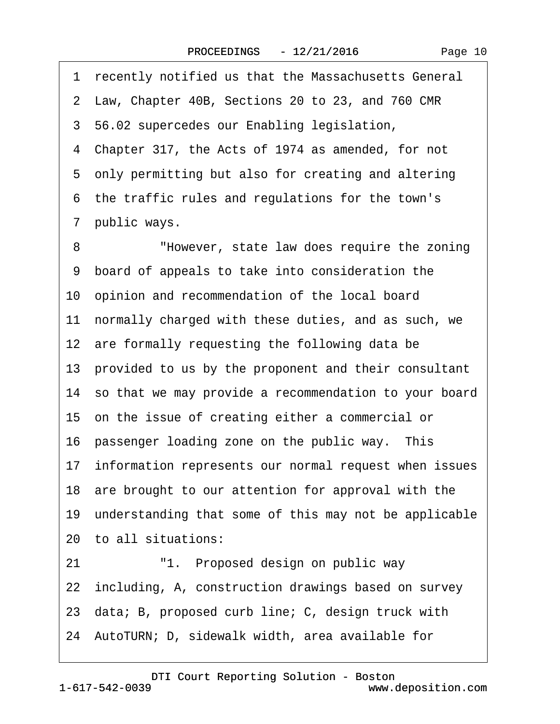·1· recently notified us that the Massachusetts General ·2· Law, Chapter 40B, Sections 20 to 23, and 760 CMR ·3· 56.02 supercedes our Enabling legislation, ·4· Chapter 317, the Acts of 1974 as amended, for not 5 only permitting but also for creating and altering ·6· the traffic rules and regulations for the town's 7 public ways. 8 • • "However, state law does require the zoning ·9· board of appeals to take into consideration the 10 opinion and recommendation of the local board 11 normally charged with these duties, and as such, we 12 are formally requesting the following data be 13· provided to us by the proponent and their consultant 14· so that we may provide a recommendation to your board 15 on the issue of creating either a commercial or 16 passenger loading zone on the public way. This 17 information represents our normal request when issues 18 are brought to our attention for approval with the 19 understanding that some of this may not be applicable 20· to all situations: 21 · <sup>"1</sup>. Proposed design on public way 22 including, A, construction drawings based on survey 23· data; B, proposed curb line; C, design truck with 24· AutoTURN; D, sidewalk width, area available for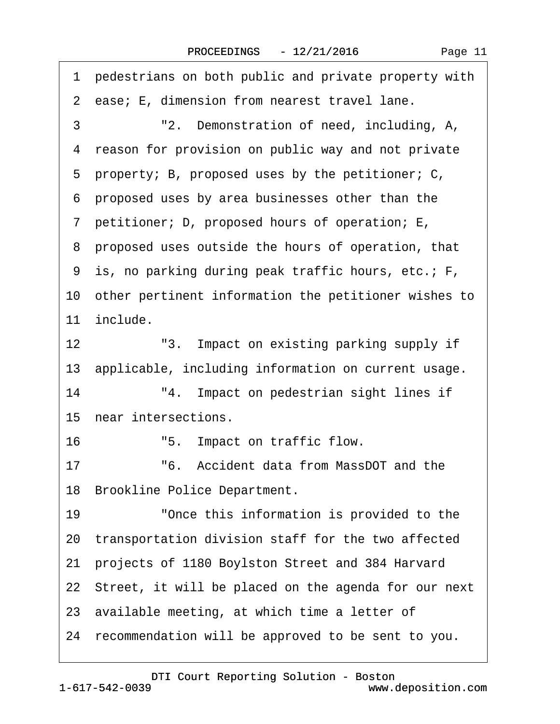| 1 pedestrians on both public and private property with  |
|---------------------------------------------------------|
| 2 ease; E, dimension from nearest travel lane.          |
| 3<br>"2. Demonstration of need, including, A,           |
| reason for provision on public way and not private<br>4 |
| 5 property; B, proposed uses by the petitioner; C,      |
| 6 proposed uses by area businesses other than the       |
| 7 petitioner; D, proposed hours of operation; E,        |
| 8 proposed uses outside the hours of operation, that    |
| 9 is, no parking during peak traffic hours, etc.; F,    |
| 10 other pertinent information the petitioner wishes to |
| 11 include.                                             |
| 12<br>"3. Impact on existing parking supply if          |
| 13 applicable, including information on current usage.  |
| "4. Impact on pedestrian sight lines if<br>14           |
| 15 near intersections.                                  |
| 16<br>"5. Impact on traffic flow.                       |
| "6. Accident data from MassDOT and the<br>17            |
| 18 Brookline Police Department.                         |
| "Once this information is provided to the<br>19         |
| 20 transportation division staff for the two affected   |
| projects of 1180 Boylston Street and 384 Harvard<br>21  |
| 22 Street, it will be placed on the agenda for our next |
| 23 available meeting, at which time a letter of         |
| 24 recommendation will be approved to be sent to you.   |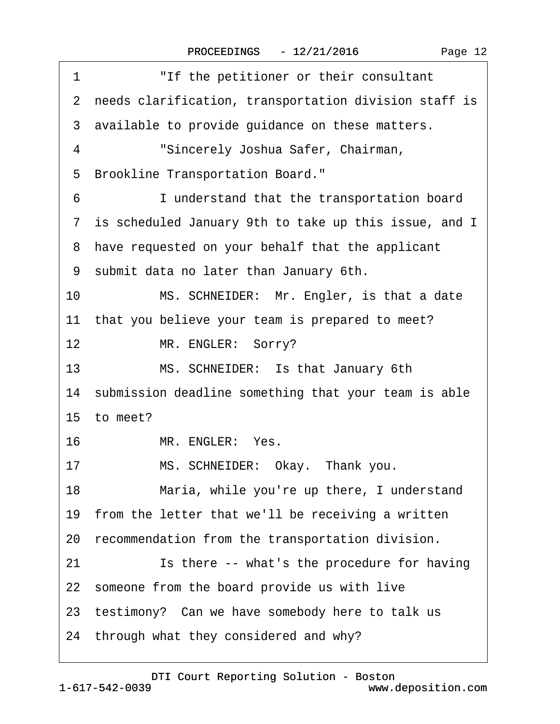| "If the petitioner or their consultant<br>1             |
|---------------------------------------------------------|
| 2 needs clarification, transportation division staff is |
| 3 available to provide guidance on these matters.       |
| "Sincerely Joshua Safer, Chairman,<br>4                 |
| <b>Brookline Transportation Board."</b><br>5            |
| 6<br>I understand that the transportation board         |
| 7 is scheduled January 9th to take up this issue, and I |
| 8 have requested on your behalf that the applicant      |
| 9 submit data no later than January 6th.                |
| MS. SCHNEIDER: Mr. Engler, is that a date<br>10         |
| 11 that you believe your team is prepared to meet?      |
| 12 <sup>2</sup><br>MR. ENGLER: Sorry?                   |
| MS. SCHNEIDER: Is that January 6th<br>13                |
| 14 submission deadline something that your team is able |
| 15 to meet?                                             |
| MR. ENGLER: Yes.<br>16                                  |
| MS. SCHNEIDER: Okay. Thank you.<br>17                   |
| 18<br>Maria, while you're up there, I understand        |
| 19 from the letter that we'll be receiving a written    |
| 20 recommendation from the transportation division.     |
| Is there -- what's the procedure for having<br>21       |
| 22 someone from the board provide us with live          |
| 23 testimony? Can we have somebody here to talk us      |
| 24 through what they considered and why?                |
|                                                         |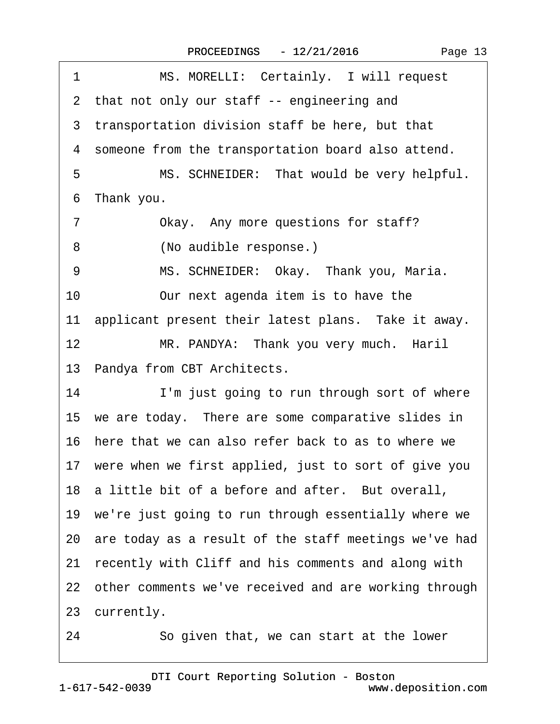| MS. MORELLI: Certainly. I will request<br>1               |
|-----------------------------------------------------------|
| 2 that not only our staff -- engineering and              |
| 3 transportation division staff be here, but that         |
| 4 someone from the transportation board also attend.      |
| MS. SCHNEIDER: That would be very helpful.<br>5           |
| Thank you.<br>6                                           |
| $\overline{7}$<br>Okay. Any more questions for staff?     |
| 8<br>(No audible response.)                               |
| MS. SCHNEIDER: Okay. Thank you, Maria.<br>9               |
| 10<br>Our next agenda item is to have the                 |
| 11 applicant present their latest plans. Take it away.    |
| 12<br>MR. PANDYA: Thank you very much. Haril              |
| 13 Pandya from CBT Architects.                            |
| 14<br>I'm just going to run through sort of where         |
| 15 we are today. There are some comparative slides in     |
| 16 here that we can also refer back to as to where we     |
| 17 were when we first applied, just to sort of give you   |
| 18 a little bit of a before and after. But overall,       |
| 19 we're just going to run through essentially where we   |
| 20 are today as a result of the staff meetings we've had  |
| recently with Cliff and his comments and along with<br>21 |
| 22 other comments we've received and are working through  |
| 23 currently.                                             |
| 24<br>So given that, we can start at the lower            |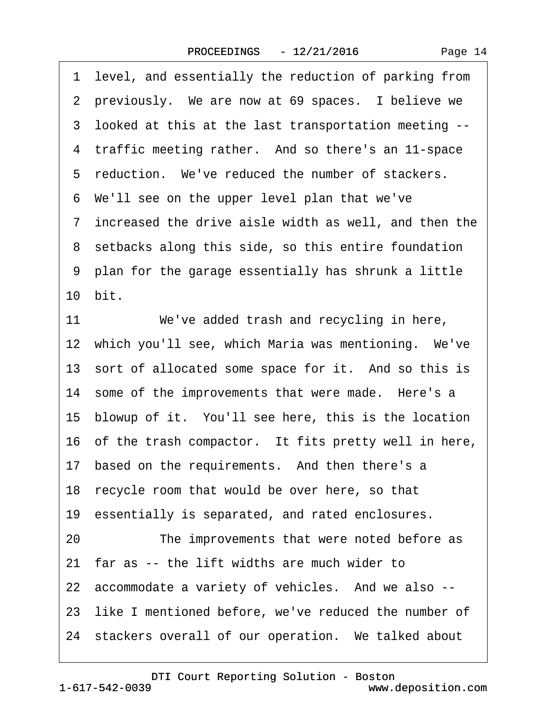1 level, and essentially the reduction of parking from 2 previously. We are now at 69 spaces. I believe we ·3· looked at this at the last transportation meeting -- 4 traffic meeting rather. And so there's an 11-space 5 reduction. We've reduced the number of stackers. ·6· We'll see on the upper level plan that we've ·7· increased the drive aisle width as well, and then the 8 setbacks along this side, so this entire foundation ·9· plan for the garage essentially has shrunk a little 10 bit. 11 We've added trash and recycling in here, 12 which you'll see, which Maria was mentioning. We've 13 sort of allocated some space for it. And so this is 14 some of the improvements that were made. Here's a 15· blowup of it.· You'll see here, this is the location 16 of the trash compactor. It fits pretty well in here, 17 based on the requirements. And then there's a 18 recycle room that would be over here, so that 19 essentially is separated, and rated enclosures. 20 The improvements that were noted before as 21 far as -- the lift widths are much wider to 22 accommodate a variety of vehicles. And we also --23 like I mentioned before, we've reduced the number of 24 stackers overall of our operation. We talked about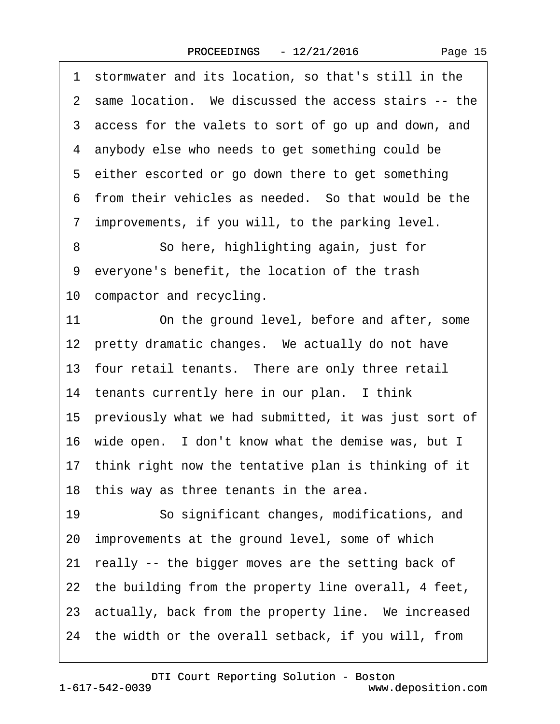·1· stormwater and its location, so that's still in the 2 same location. We discussed the access stairs -- the ·3· access for the valets to sort of go up and down, and ·4· anybody else who needs to get something could be 5 either escorted or go down there to get something 6 from their vehicles as needed. So that would be the 7 improvements, if you will, to the parking level. 8 **8 So here, highlighting again, just for** 9 everyone's benefit, the location of the trash 10 compactor and recycling. 11 On the ground level, before and after, some 12 pretty dramatic changes. We actually do not have 13 four retail tenants. There are only three retail 14 tenants currently here in our plan. I think 15· previously what we had submitted, it was just sort of 16 wide open. I don't know what the demise was, but I 17 think right now the tentative plan is thinking of it 18 this way as three tenants in the area. 19 · · So significant changes, modifications, and 20 improvements at the ground level, some of which 21 really -- the bigger moves are the setting back of 22 the building from the property line overall, 4 feet, 23 actually, back from the property line. We increased 24 the width or the overall setback, if you will, from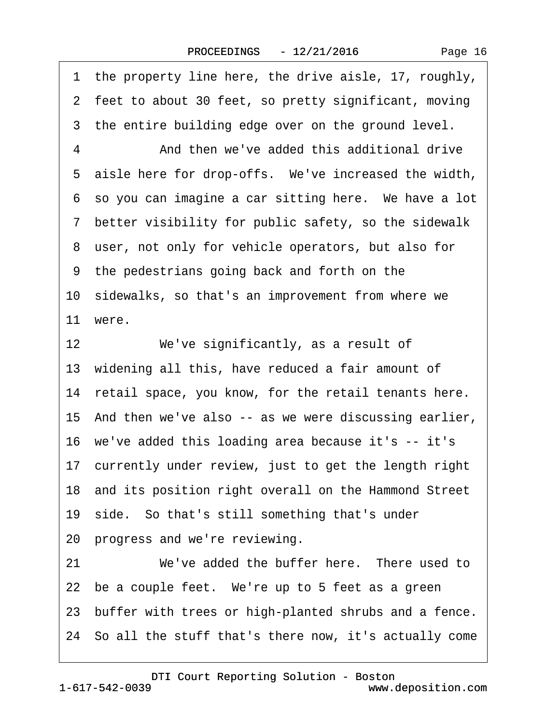|  | Page 16 |  |
|--|---------|--|
|--|---------|--|

| 1 the property line here, the drive aisle, 17, roughly,  |
|----------------------------------------------------------|
| 2 feet to about 30 feet, so pretty significant, moving   |
| 3 the entire building edge over on the ground level.     |
| And then we've added this additional drive               |
| 5 aisle here for drop-offs. We've increased the width,   |
| 6 so you can imagine a car sitting here. We have a lot   |
| 7 better visibility for public safety, so the sidewalk   |
| 8 user, not only for vehicle operators, but also for     |
| 9 the pedestrians going back and forth on the            |
| 10 sidewalks, so that's an improvement from where we     |
| 11 were.                                                 |
| We've significantly, as a result of                      |
| 13 widening all this, have reduced a fair amount of      |
| 14 retail space, you know, for the retail tenants here.  |
| 15 And then we've also -- as we were discussing earlier, |
| 16 we've added this loading area because it's -- it's    |
| 17 currently under review, just to get the length right  |
| 18 and its position right overall on the Hammond Street  |
| 19 side. So that's still something that's under          |
| 20 progress and we're reviewing.                         |
| We've added the buffer here. There used to               |
|                                                          |
| 22 be a couple feet. We're up to 5 feet as a green       |
| 23 buffer with trees or high-planted shrubs and a fence. |
| 12                                                       |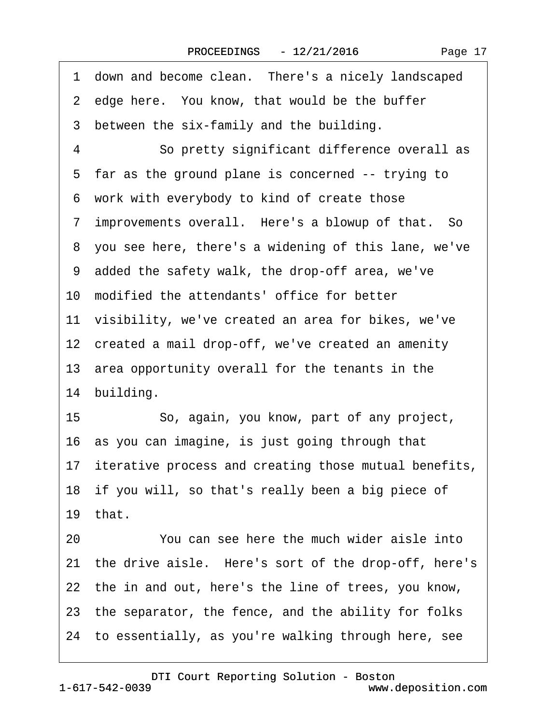1 down and become clean. There's a nicely landscaped 2 edge here. You know, that would be the buffer 3 between the six-family and the building. 4 **So pretty significant difference overall as** 5 far as the ground plane is concerned -- trying to ·6· work with everybody to kind of create those 7 improvements overall. Here's a blowup of that. So ·8· you see here, there's a widening of this lane, we've ·9· added the safety walk, the drop-off area, we've 10 modified the attendants' office for better 11 visibility, we've created an area for bikes, we've 12 created a mail drop-off, we've created an amenity 13· area opportunity overall for the tenants in the 14 building. 15 • So, again, you know, part of any project, 16· as you can imagine, is just going through that 17 iterative process and creating those mutual benefits, 18 if you will, so that's really been a big piece of 19 $th$ at. 20 You can see here the much wider aisle into 21 the drive aisle. Here's sort of the drop-off, here's 22 the in and out, here's the line of trees, you know, 23 the separator, the fence, and the ability for folks 24· to essentially, as you're walking through here, see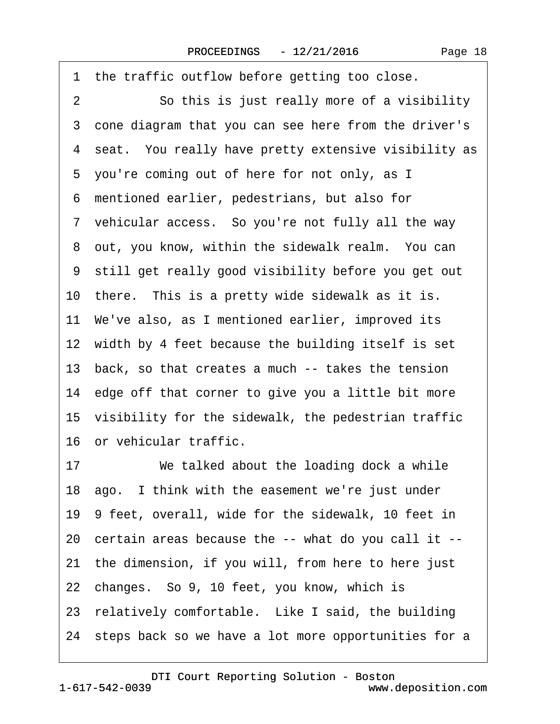| 1 the traffic outflow before getting too close.         |
|---------------------------------------------------------|
| So this is just really more of a visibility<br>2        |
| 3 cone diagram that you can see here from the driver's  |
| 4 seat. You really have pretty extensive visibility as  |
| 5 you're coming out of here for not only, as I          |
| 6 mentioned earlier, pedestrians, but also for          |
| 7 vehicular access. So you're not fully all the way     |
| 8 out, you know, within the sidewalk realm. You can     |
| 9 still get really good visibility before you get out   |
| 10 there. This is a pretty wide sidewalk as it is.      |
| 11 We've also, as I mentioned earlier, improved its     |
| 12 width by 4 feet because the building itself is set   |
| 13 back, so that creates a much -- takes the tension    |
| 14 edge off that corner to give you a little bit more   |
| 15 visibility for the sidewalk, the pedestrian traffic  |
| 16 or vehicular traffic.                                |
| We talked about the loading dock a while<br>17          |
| 18 ago. I think with the easement we're just under      |
| 19 9 feet, overall, wide for the sidewalk, 10 feet in   |
| 20 certain areas because the -- what do you call it --  |
| 21 the dimension, if you will, from here to here just   |
| 22 changes. So 9, 10 feet, you know, which is           |
| 23 relatively comfortable. Like I said, the building    |
| 24 steps back so we have a lot more opportunities for a |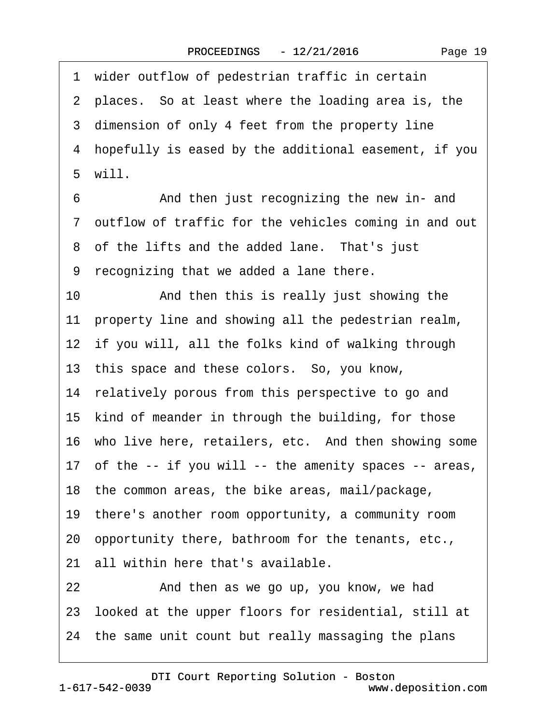1 wider outflow of pedestrian traffic in certain 2 places. So at least where the loading area is, the 3 dimension of only 4 feet from the property line ·4· hopefully is eased by the additional easement, if you ·5· will. 6 • • And then just recognizing the new in- and 7 outflow of traffic for the vehicles coming in and out 8 of the lifts and the added lane. That's just ·9· recognizing that we added a lane there. 10 • And then this is really just showing the 11 property line and showing all the pedestrian realm, 12 if you will, all the folks kind of walking through 13 this space and these colors. So, you know, 14 relatively porous from this perspective to go and 15 kind of meander in through the building, for those 16 who live here, retailers, etc. And then showing some 17 of the -- if you will -- the amenity spaces -- areas, 18· the common areas, the bike areas, mail/package, 19· there's another room opportunity, a community room 20· opportunity there, bathroom for the tenants, etc., 21 all within here that's available. 22 And then as we go up, you know, we had 23· looked at the upper floors for residential, still at 24· the same unit count but really massaging the plans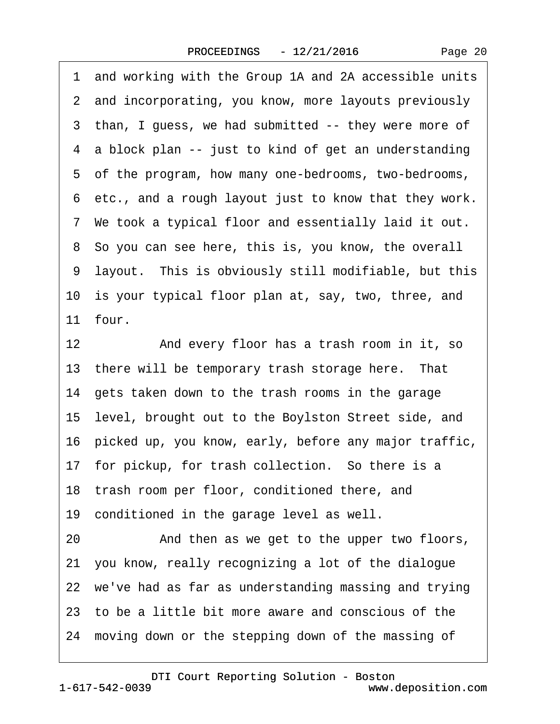Page 20

·1· and working with the Group 1A and 2A accessible units 2 and incorporating, you know, more layouts previously 3 than, I guess, we had submitted -- they were more of 4 a block plan -- just to kind of get an understanding ·5· of the program, how many one-bedrooms, two-bedrooms, ·6· etc., and a rough layout just to know that they work. ·7· We took a typical floor and essentially laid it out. ·8· So you can see here, this is, you know, the overall ·9· layout.· This is obviously still modifiable, but this 10 is your typical floor plan at, say, two, three, and 11 four. 12 • And every floor has a trash room in it, so 13 there will be temporary trash storage here. That 14· gets taken down to the trash rooms in the garage 15· level, brought out to the Boylston Street side, and 16· picked up, you know, early, before any major traffic, 17 for pickup, for trash collection. So there is a 18 trash room per floor, conditioned there, and 19 conditioned in the garage level as well. 20 • And then as we get to the upper two floors, 21· you know, really recognizing a lot of the dialogue 22 we've had as far as understanding massing and trying 23· to be a little bit more aware and conscious of the 24 moving down or the stepping down of the massing of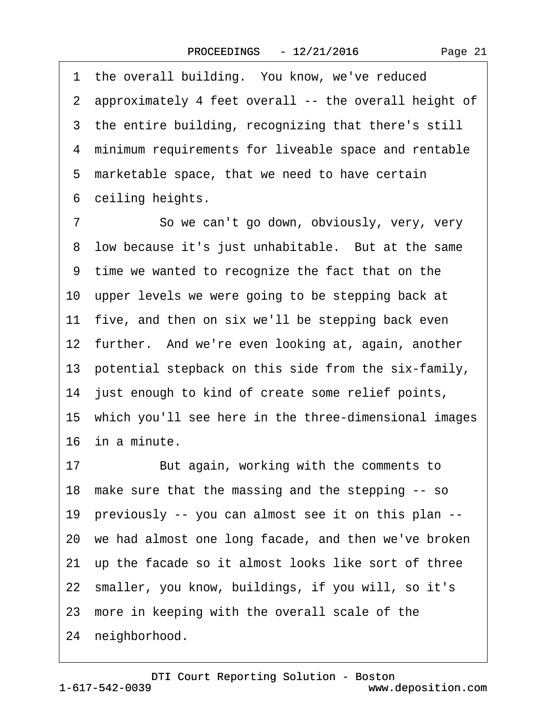1 the overall building. You know, we've reduced ·2· approximately 4 feet overall -- the overall height of 3 the entire building, recognizing that there's still ·4· minimum requirements for liveable space and rentable 5 marketable space, that we need to have certain 6 ceiling heights. 7 So we can't go down, obviously, very, very 8 low because it's just unhabitable. But at the same ·9· time we wanted to recognize the fact that on the 10 upper levels we were going to be stepping back at

11 five, and then on six we'll be stepping back even

12 further. And we're even looking at, again, another

13 potential stepback on this side from the six-family,

14 just enough to kind of create some relief points,

15· which you'll see here in the three-dimensional images 16· in a minute.

17 But again, working with the comments to

18· make sure that the massing and the stepping -- so

19· previously -- you can almost see it on this plan --

20· we had almost one long facade, and then we've broken

21 up the facade so it almost looks like sort of three

22· smaller, you know, buildings, if you will, so it's

23 more in keeping with the overall scale of the

24 neighborhood.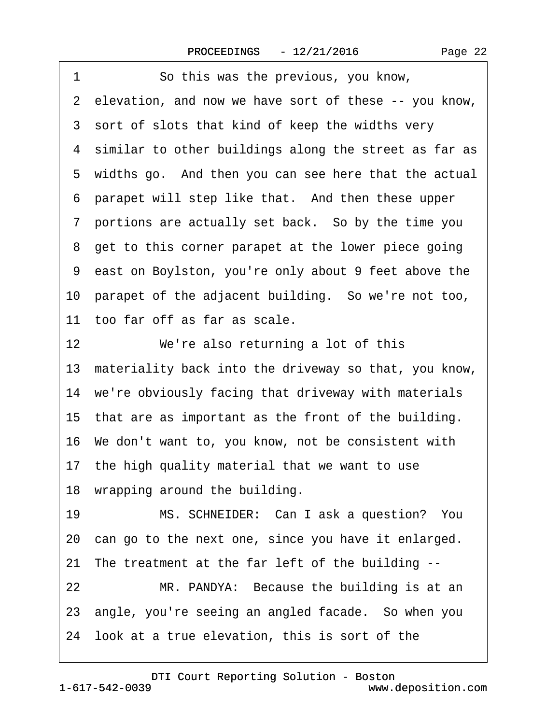| 1<br>So this was the previous, you know,                 |
|----------------------------------------------------------|
| 2 elevation, and now we have sort of these -- you know,  |
| 3 sort of slots that kind of keep the widths very        |
| 4 similar to other buildings along the street as far as  |
| 5 widths go. And then you can see here that the actual   |
| 6 parapet will step like that. And then these upper      |
| 7 portions are actually set back. So by the time you     |
| 8 get to this corner parapet at the lower piece going    |
| 9 east on Boylston, you're only about 9 feet above the   |
| 10 parapet of the adjacent building. So we're not too,   |
| 11 too far off as far as scale.                          |
| 12 <sup>°</sup><br>We're also returning a lot of this    |
| 13 materiality back into the driveway so that, you know, |
| 14 we're obviously facing that driveway with materials   |
| 15 that are as important as the front of the building.   |
| 16 We don't want to, you know, not be consistent with    |
| 17 the high quality material that we want to use         |
| 18 wrapping around the building.                         |
| MS. SCHNEIDER: Can I ask a question? You<br>19           |
| 20 can go to the next one, since you have it enlarged.   |
| 21 The treatment at the far left of the building --      |
| 22<br>MR. PANDYA: Because the building is at an          |
| 23 angle, you're seeing an angled facade. So when you    |
| 24 look at a true elevation, this is sort of the         |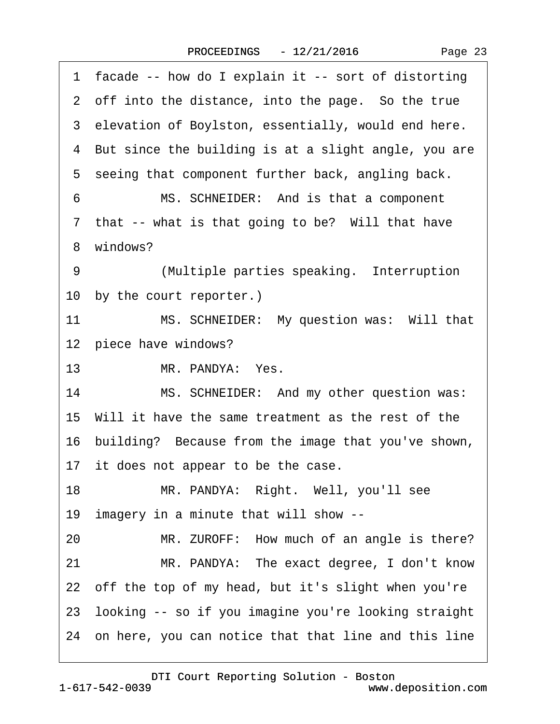| facade -- how do I explain it -- sort of distorting<br>1. |
|-----------------------------------------------------------|
| 2 off into the distance, into the page. So the true       |
| 3 elevation of Boylston, essentially, would end here.     |
| 4 But since the building is at a slight angle, you are    |
| 5 seeing that component further back, angling back.       |
| 6<br>MS. SCHNEIDER: And is that a component               |
| 7 that -- what is that going to be? Will that have        |
| 8 windows?                                                |
| 9<br>(Multiple parties speaking. Interruption             |
| 10 by the court reporter.)                                |
| MS. SCHNEIDER: My question was: Will that<br>11           |
| 12 piece have windows?                                    |
| MR. PANDYA: Yes.<br>13                                    |
| MS. SCHNEIDER: And my other question was:<br>14           |
| 15 Will it have the same treatment as the rest of the     |
| 16 building? Because from the image that you've shown,    |
| 17 it does not appear to be the case.                     |
| 18<br>MR. PANDYA: Right. Well, you'll see                 |
| 19 imagery in a minute that will show --                  |
| MR. ZUROFF: How much of an angle is there?<br>20          |
| MR. PANDYA: The exact degree, I don't know<br>21          |
| 22 off the top of my head, but it's slight when you're    |
| 23 looking -- so if you imagine you're looking straight   |
| 24 on here, you can notice that that line and this line   |
|                                                           |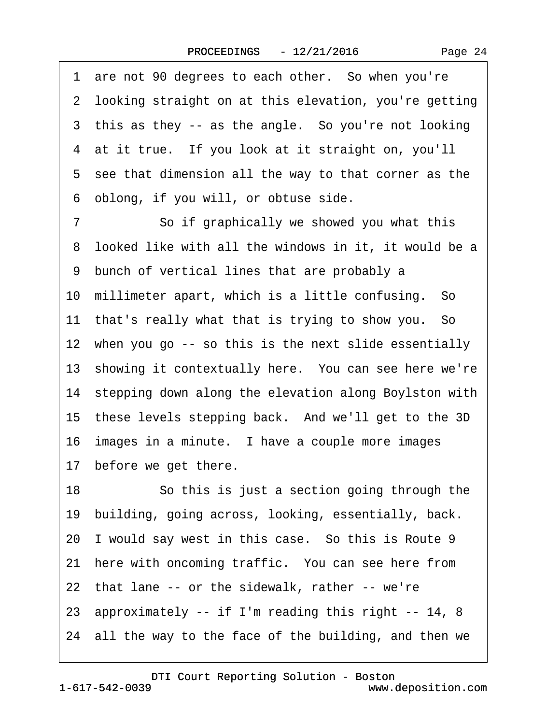1 are not 90 degrees to each other. So when you're 2 looking straight on at this elevation, you're getting 3 this as they -- as the angle. So you're not looking 4 at it true. If you look at it straight on, you'll 5 see that dimension all the way to that corner as the ·6· oblong, if you will, or obtuse side. 7 So if graphically we showed you what this 8 looked like with all the windows in it, it would be a ·9· bunch of vertical lines that are probably a 10 millimeter apart, which is a little confusing. So 11 that's really what that is trying to show you. So 12 when you go -- so this is the next slide essentially 13 showing it contextually here. You can see here we're 14 stepping down along the elevation along Boylston with 15 these levels stepping back. And we'll get to the 3D 16 images in a minute. I have a couple more images 17 before we get there. 18 **· · · · So this is just a section going through the** 19 building, going across, looking, essentially, back. 20 I would say west in this case. So this is Route 9 21 here with oncoming traffic. You can see here from 22 that lane -- or the sidewalk, rather -- we're 23· approximately -- if I'm reading this right -- 14, 8

24 all the way to the face of the building, and then we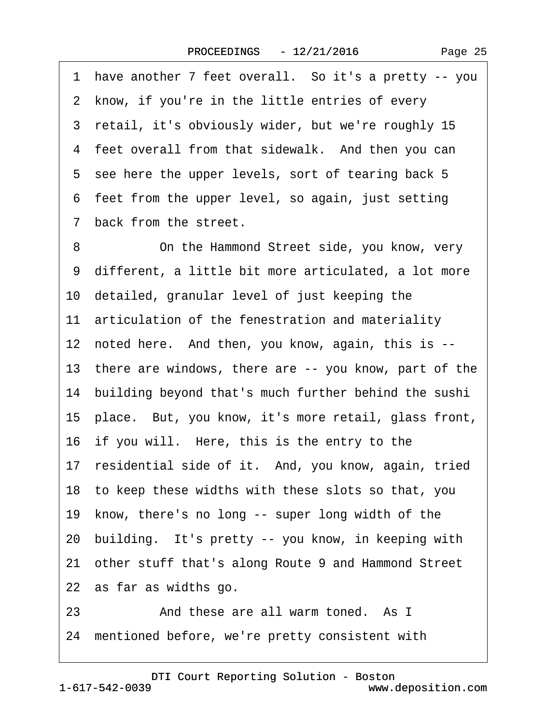·1· have another 7 feet overall.· So it's a pretty -- you 2 know, if you're in the little entries of every 3 retail, it's obviously wider, but we're roughly 15 4 feet overall from that sidewalk. And then you can 5 see here the upper levels, sort of tearing back 5 6 feet from the upper level, so again, just setting 7 back from the street. 8 On the Hammond Street side, you know, very ·9· different, a little bit more articulated, a lot more 10· detailed, granular level of just keeping the 11 articulation of the fenestration and materiality 12 noted here. And then, you know, again, this is --13 there are windows, there are -- you know, part of the 14 building beyond that's much further behind the sushi 15· place.· But, you know, it's more retail, glass front, 16 if you will. Here, this is the entry to the 17 residential side of it. And, you know, again, tried 18· to keep these widths with these slots so that, you 19 know, there's no long -- super long width of the 20 building. It's pretty -- you know, in keeping with 21 other stuff that's along Route 9 and Hammond Street 22 as far as widths go. 23 • • And these are all warm toned. As I

24 mentioned before, we're pretty consistent with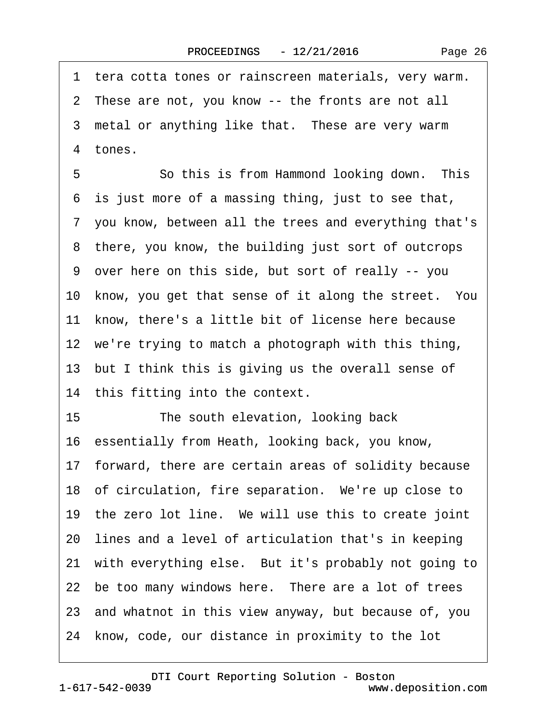|  | Page 26 |  |
|--|---------|--|
|--|---------|--|

·1· tera cotta tones or rainscreen materials, very warm. 2 These are not, you know -- the fronts are not all 3 metal or anything like that. These are very warm 4 tones. 5 **· · · · So this is from Hammond looking down.** This ·6· is just more of a massing thing, just to see that, ·7· you know, between all the trees and everything that's 8 there, you know, the building just sort of outcrops ·9· over here on this side, but sort of really -- you 10 know, you get that sense of it along the street. You 11 know, there's a little bit of license here because 12 we're trying to match a photograph with this thing, 13 but I think this is giving us the overall sense of 14 this fitting into the context. 15 The south elevation, looking back 16· essentially from Heath, looking back, you know, 17 forward, there are certain areas of solidity because 18 of circulation, fire separation. We're up close to 19 the zero lot line. We will use this to create joint 20· lines and a level of articulation that's in keeping 21 with everything else. But it's probably not going to 22 be too many windows here. There are a lot of trees 23· and whatnot in this view anyway, but because of, you 24 know, code, our distance in proximity to the lot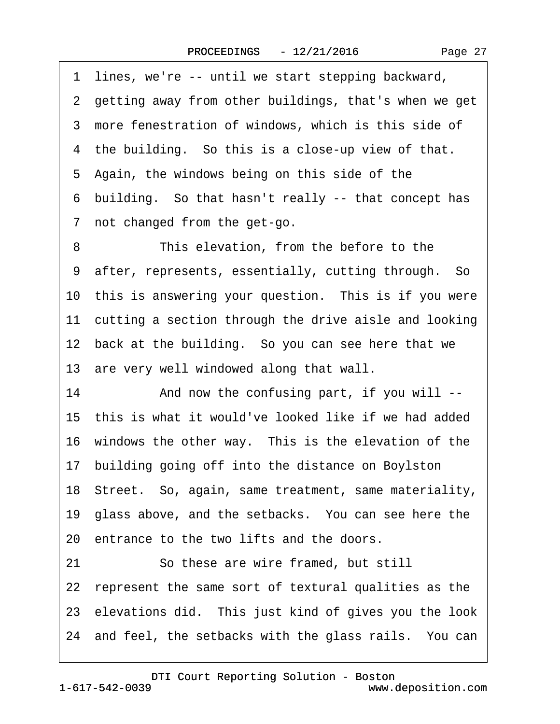·1· lines, we're -- until we start stepping backward, 2 getting away from other buildings, that's when we get 3 more fenestration of windows, which is this side of 4 the building. So this is a close-up view of that. 5 Again, the windows being on this side of the ·6· building.· So that hasn't really -- that concept has 7 not changed from the get-go. 8 This elevation, from the before to the 9 after, represents, essentially, cutting through. So 10 this is answering your question. This is if you were 11 cutting a section through the drive aisle and looking 12 back at the building. So you can see here that we 13 are very well windowed along that wall. 14 • And now the confusing part, if you will --15 this is what it would've looked like if we had added 16 windows the other way. This is the elevation of the 17 building going off into the distance on Boylston 18 Street. So, again, same treatment, same materiality, 19· glass above, and the setbacks.· You can see here the 20 entrance to the two lifts and the doors. 21 So these are wire framed, but still 22 represent the same sort of textural qualities as the 23 elevations did. This just kind of gives you the look 24 and feel, the setbacks with the glass rails. You can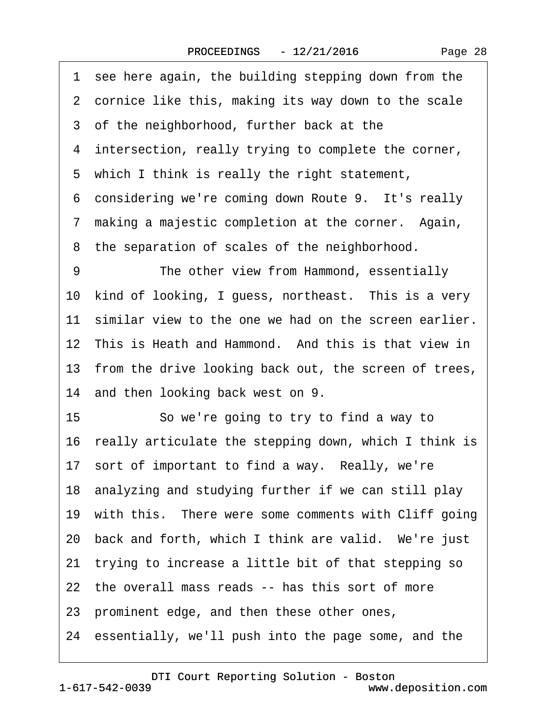| Page 28 |  |
|---------|--|
|---------|--|

|    | 1 see here again, the building stepping down from the    |
|----|----------------------------------------------------------|
|    | 2 cornice like this, making its way down to the scale    |
|    | 3 of the neighborhood, further back at the               |
|    | 4 intersection, really trying to complete the corner,    |
|    | 5 which I think is really the right statement,           |
|    | 6 considering we're coming down Route 9. It's really     |
|    | 7 making a majestic completion at the corner. Again,     |
|    | 8 the separation of scales of the neighborhood.          |
| 9  | The other view from Hammond, essentially                 |
|    | 10 kind of looking, I guess, northeast. This is a very   |
|    | 11 similar view to the one we had on the screen earlier. |
|    | 12 This is Heath and Hammond. And this is that view in   |
|    | 13 from the drive looking back out, the screen of trees, |
|    | 14 and then looking back west on 9.                      |
| 15 | So we're going to try to find a way to                   |
|    | 16 really articulate the stepping down, which I think is |
|    | 17 sort of important to find a way. Really, we're        |
|    | 18 analyzing and studying further if we can still play   |
|    | 19 with this. There were some comments with Cliff going  |
|    | 20 back and forth, which I think are valid. We're just   |
|    | 21 trying to increase a little bit of that stepping so   |
|    | 22 the overall mass reads -- has this sort of more       |
|    | 23 prominent edge, and then these other ones,            |
|    | 24 essentially, we'll push into the page some, and the   |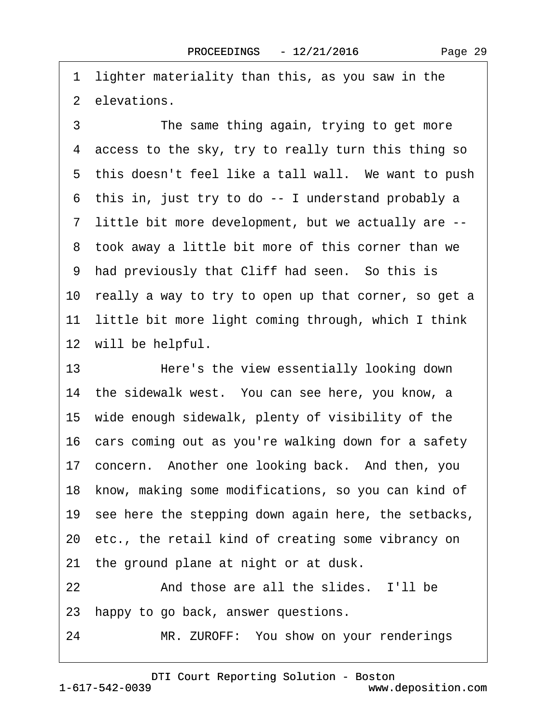·1· lighter materiality than this, as you saw in the 2 elevations.

3 The same thing again, trying to get more 4 access to the sky, try to really turn this thing so 5 this doesn't feel like a tall wall. We want to push ·6· this in, just try to do -- I understand probably a ·7· little bit more development, but we actually are -- 8 took away a little bit more of this corner than we 9 had previously that Cliff had seen. So this is 10 really a way to try to open up that corner, so get a 11 little bit more light coming through, which I think 12 will be helpful.

13 Here's the view essentially looking down 14 the sidewalk west. You can see here, you know, a 15· wide enough sidewalk, plenty of visibility of the 16 cars coming out as you're walking down for a safety 17 concern. Another one looking back. And then, you 18 know, making some modifications, so you can kind of 19 see here the stepping down again here, the setbacks, 20· etc., the retail kind of creating some vibrancy on 21 the ground plane at night or at dusk. 22 And those are all the slides. I'll be 23 happy to go back, answer questions. 24 MR. ZUROFF: You show on your renderings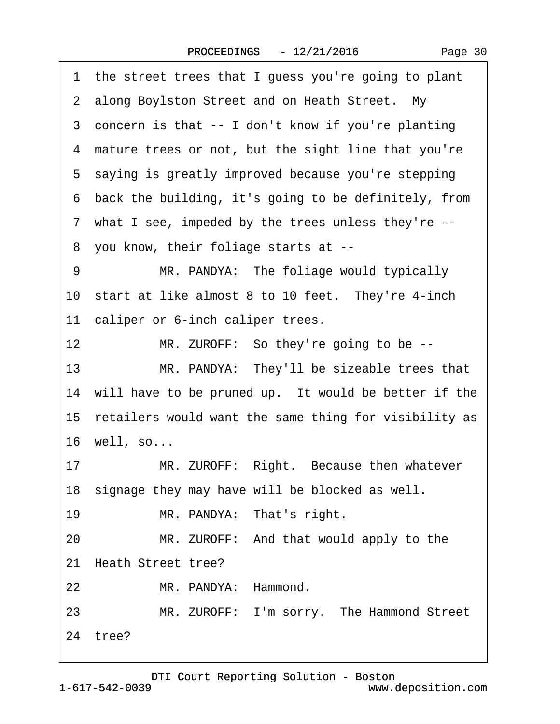|    | 1 the street trees that I guess you're going to plant    |
|----|----------------------------------------------------------|
|    | 2 along Boylston Street and on Heath Street. My          |
|    | 3 concern is that -- I don't know if you're planting     |
|    | 4 mature trees or not, but the sight line that you're    |
|    | 5 saying is greatly improved because you're stepping     |
|    | 6 back the building, it's going to be definitely, from   |
|    | 7 what I see, impeded by the trees unless they're --     |
|    | 8 you know, their foliage starts at --                   |
| 9  | MR. PANDYA: The foliage would typically                  |
|    | 10 start at like almost 8 to 10 feet. They're 4-inch     |
|    | 11 caliper or 6-inch caliper trees.                      |
| 12 | MR. ZUROFF: So they're going to be --                    |
| 13 | MR. PANDYA: They'll be sizeable trees that               |
|    | 14 will have to be pruned up. It would be better if the  |
|    | 15 retailers would want the same thing for visibility as |
|    | 16 well, so                                              |
| 17 | MR. ZUROFF: Right. Because then whatever                 |
|    | 18 signage they may have will be blocked as well.        |
| 19 | MR. PANDYA: That's right.                                |
| 20 | MR. ZUROFF: And that would apply to the                  |
|    | 21 Heath Street tree?                                    |
| 22 | MR. PANDYA: Hammond.                                     |
| 23 | MR. ZUROFF: I'm sorry. The Hammond Street                |
|    | 24 tree?                                                 |
|    |                                                          |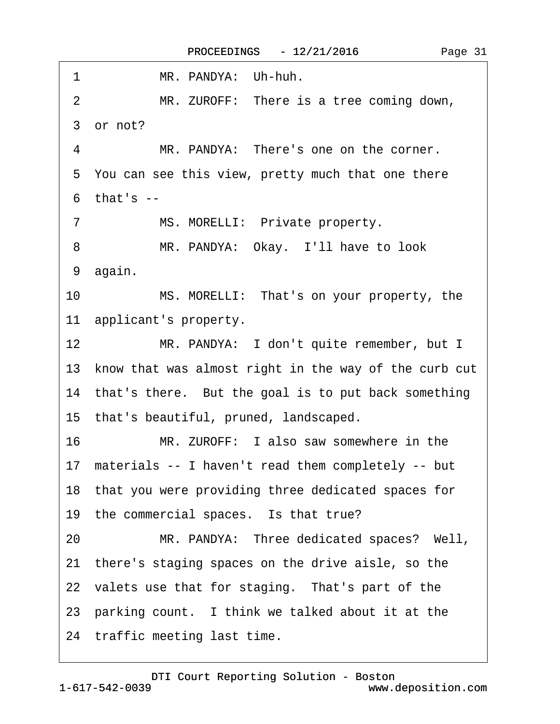$\Gamma$ 

| 1<br>MR. PANDYA: Uh-huh.                                 |
|----------------------------------------------------------|
| MR. ZUROFF: There is a tree coming down,<br>2            |
| 3 or not?                                                |
| MR. PANDYA: There's one on the corner.<br>4              |
| 5 You can see this view, pretty much that one there      |
| $6$ that's $-$                                           |
| MS. MORELLI: Private property.<br>7                      |
| 8<br>MR. PANDYA: Okay. I'll have to look                 |
| 9 again.                                                 |
| 10<br>MS. MORELLI: That's on your property, the          |
| 11 applicant's property.                                 |
| 12<br>MR. PANDYA: I don't quite remember, but I          |
| 13 know that was almost right in the way of the curb cut |
| 14 that's there. But the goal is to put back something   |
| 15 that's beautiful, pruned, landscaped.                 |
| 16<br>MR. ZUROFF: I also saw somewhere in the            |
| 17 materials -- I haven't read them completely -- but    |
| 18 that you were providing three dedicated spaces for    |
| 19 the commercial spaces. Is that true?                  |
| 20<br>MR. PANDYA: Three dedicated spaces? Well,          |
| 21 there's staging spaces on the drive aisle, so the     |
| 22 valets use that for staging. That's part of the       |
| 23 parking count. I think we talked about it at the      |
| 24 traffic meeting last time.                            |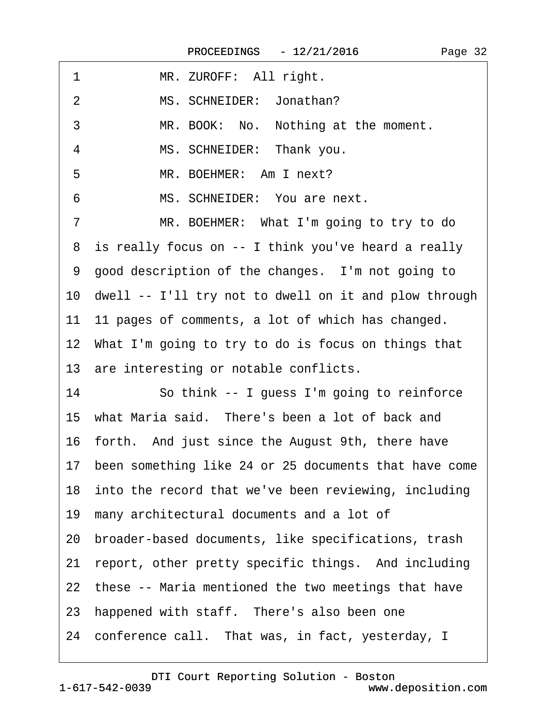| 1  | MR. ZUROFF: All right.                                   |
|----|----------------------------------------------------------|
| 2  | MS. SCHNEIDER: Jonathan?                                 |
| 3  | MR. BOOK: No. Nothing at the moment.                     |
| 4  | MS. SCHNEIDER: Thank you.                                |
| 5  | MR. BOEHMER: Am I next?                                  |
| 6  | MS. SCHNEIDER: You are next.                             |
| 7  | MR. BOEHMER: What I'm going to try to do                 |
|    | 8 is really focus on -- I think you've heard a really    |
|    | 9 good description of the changes. I'm not going to      |
|    | 10 dwell -- I'll try not to dwell on it and plow through |
|    | 11 11 pages of comments, a lot of which has changed.     |
|    | 12 What I'm going to try to do is focus on things that   |
|    | 13 are interesting or notable conflicts.                 |
| 14 | So think -- I guess I'm going to reinforce               |
|    | 15 what Maria said. There's been a lot of back and       |
|    | 16 forth. And just since the August 9th, there have      |
|    | 17 been something like 24 or 25 documents that have come |
|    | 18 into the record that we've been reviewing, including  |
|    | 19 many architectural documents and a lot of             |
|    | 20 broader-based documents, like specifications, trash   |
|    | 21 report, other pretty specific things. And including   |
|    | 22 these -- Maria mentioned the two meetings that have   |
|    | 23 happened with staff. There's also been one            |
|    | 24 conference call. That was, in fact, yesterday, I      |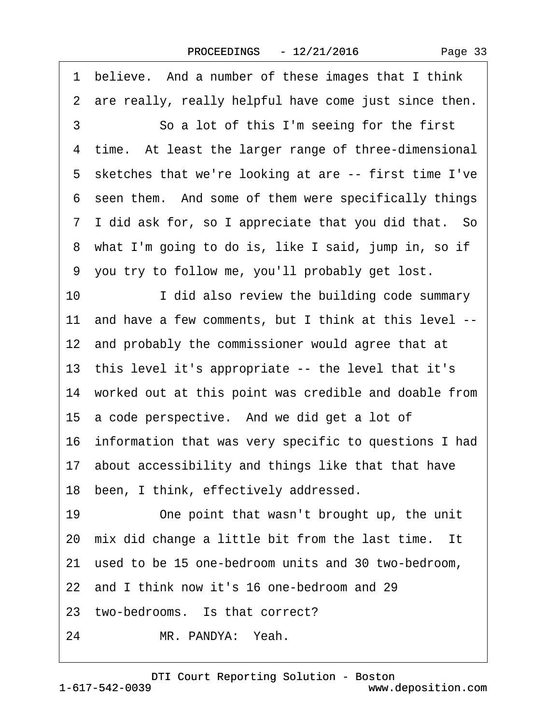|    | 1 believe. And a number of these images that I think     |
|----|----------------------------------------------------------|
|    | 2 are really, really helpful have come just since then.  |
| 3  | So a lot of this I'm seeing for the first                |
|    | 4 time. At least the larger range of three-dimensional   |
|    | 5 sketches that we're looking at are -- first time I've  |
|    | 6 seen them. And some of them were specifically things   |
|    | 7 I did ask for, so I appreciate that you did that. So   |
|    | 8 what I'm going to do is, like I said, jump in, so if   |
|    | 9 you try to follow me, you'll probably get lost.        |
| 10 | I did also review the building code summary              |
|    | 11 and have a few comments, but I think at this level -- |
|    | 12 and probably the commissioner would agree that at     |
|    | 13 this level it's appropriate -- the level that it's    |
|    | 14 worked out at this point was credible and doable from |
|    | 15 a code perspective. And we did get a lot of           |
|    | 16 information that was very specific to questions I had |
|    | 17 about accessibility and things like that that have    |
|    | 18 been, I think, effectively addressed.                 |
| 19 | One point that wasn't brought up, the unit               |
|    | 20 mix did change a little bit from the last time. It    |
|    | 21 used to be 15 one-bedroom units and 30 two-bedroom,   |
|    | 22 and I think now it's 16 one-bedroom and 29            |
|    | 23 two-bedrooms. Is that correct?                        |
| 24 | MR. PANDYA: Yeah.                                        |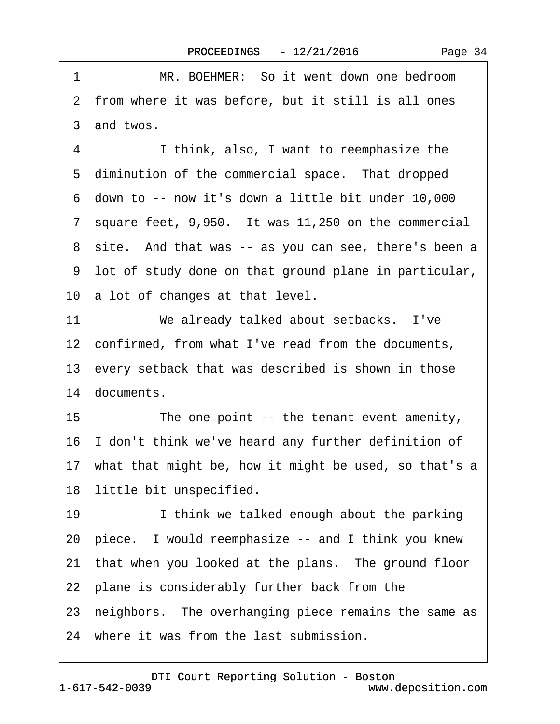1 MR. BOEHMER: So it went down one bedroom 2 from where it was before, but it still is all ones 3 and twos. 4 I think, also, I want to reemphasize the 5 diminution of the commercial space. That dropped ·6· down to -- now it's down a little bit under 10,000 7 square feet, 9,950. It was 11,250 on the commercial 8 site. And that was -- as you can see, there's been a ·9· lot of study done on that ground plane in particular, 10 a lot of changes at that level. 11 We already talked about setbacks. I've 12 confirmed, from what I've read from the documents, 13 every setback that was described is shown in those 14 documents. 15 The one point -- the tenant event amenity, 16 I don't think we've heard any further definition of 17 what that might be, how it might be used, so that's a 18 little bit unspecified. 19 **I** think we talked enough about the parking 20· piece.· I would reemphasize -- and I think you knew 21 that when you looked at the plans. The ground floor 22· plane is considerably further back from the 23 neighbors. The overhanging piece remains the same as 24 where it was from the last submission.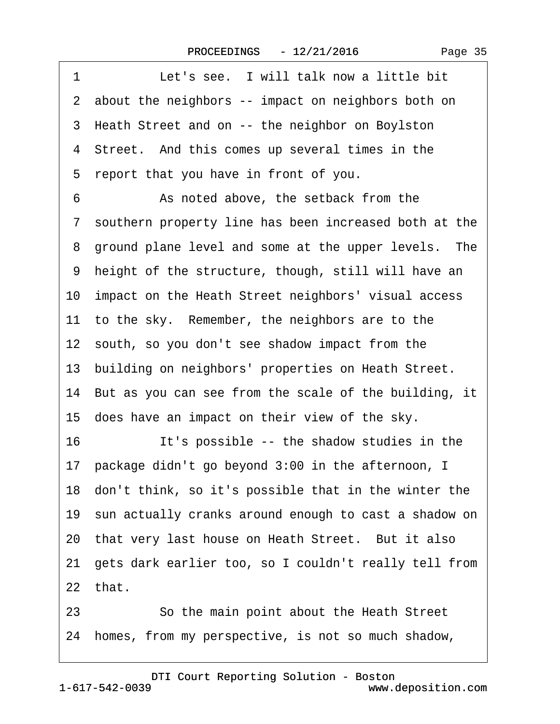| 1<br>Let's see. I will talk now a little bit             |
|----------------------------------------------------------|
| 2 about the neighbors -- impact on neighbors both on     |
| 3 Heath Street and on -- the neighbor on Boylston        |
| 4 Street. And this comes up several times in the         |
| report that you have in front of you.<br>5               |
| 6<br>As noted above, the setback from the                |
| 7 southern property line has been increased both at the  |
| 8 ground plane level and some at the upper levels. The   |
| 9 height of the structure, though, still will have an    |
| 10 impact on the Heath Street neighbors' visual access   |
| 11 to the sky. Remember, the neighbors are to the        |
| 12 south, so you don't see shadow impact from the        |
| 13 building on neighbors' properties on Heath Street.    |
| 14 But as you can see from the scale of the building, it |
| 15 does have an impact on their view of the sky.         |
| 16<br>It's possible -- the shadow studies in the         |
| 17 package didn't go beyond 3:00 in the afternoon, I     |
| 18 don't think, so it's possible that in the winter the  |
| 19 sun actually cranks around enough to cast a shadow on |
| 20 that very last house on Heath Street. But it also     |
| 21 gets dark earlier too, so I couldn't really tell from |
| 22 that.                                                 |
| So the main point about the Heath Street<br>23           |
| homes, from my perspective, is not so much shadow,<br>24 |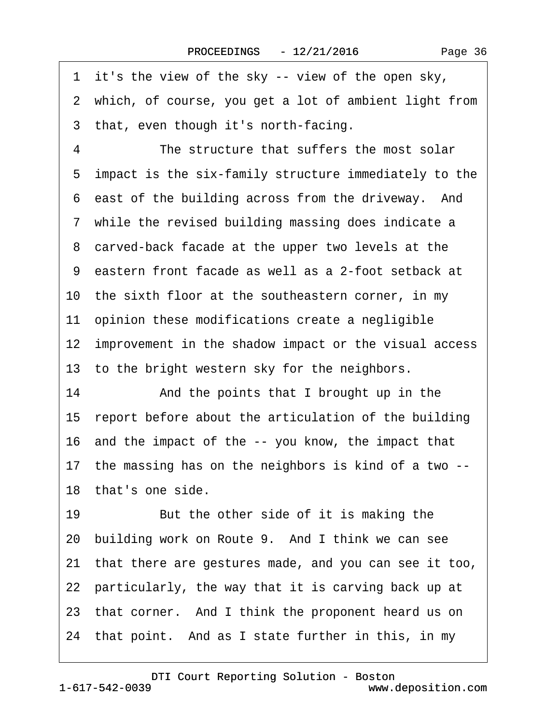1 it's the view of the sky -- view of the open sky, 2 which, of course, you get a lot of ambient light from 3 that, even though it's north-facing. 4 The structure that suffers the most solar ·5· impact is the six-family structure immediately to the 6 east of the building across from the driveway. And 7 while the revised building massing does indicate a 8 carved-back facade at the upper two levels at the ·9· eastern front facade as well as a 2-foot setback at 10 the sixth floor at the southeastern corner, in my 11 opinion these modifications create a negligible 12 improvement in the shadow impact or the visual access 13 to the bright western sky for the neighbors. 14 • And the points that I brought up in the 15 report before about the articulation of the building 16· and the impact of the -- you know, the impact that 17· the massing has on the neighbors is kind of a two -- 18 that's one side. 19 But the other side of it is making the 20 building work on Route 9. And I think we can see 21· that there are gestures made, and you can see it too, 22 particularly, the way that it is carving back up at 23 that corner. And I think the proponent heard us on 24· that point.· And as I state further in this, in my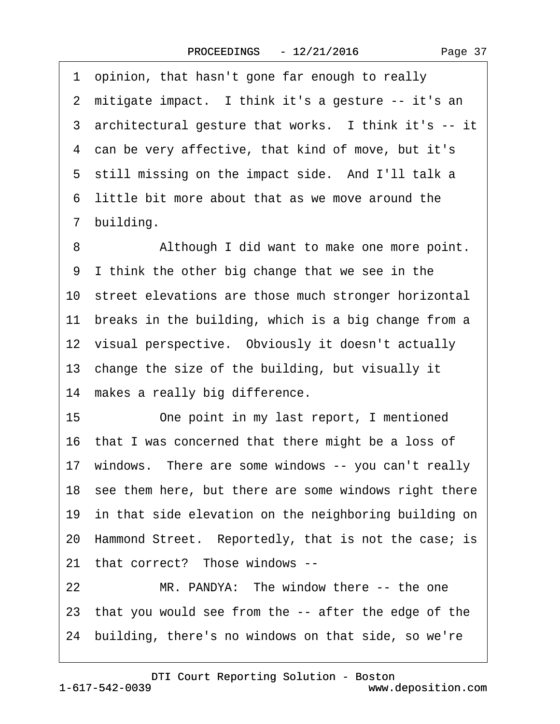1 opinion, that hasn't gone far enough to really 2 mitigate impact. I think it's a gesture -- it's an 3 architectural gesture that works. I think it's -- it 4 can be very affective, that kind of move, but it's 5 still missing on the impact side. And I'll talk a ·6· little bit more about that as we move around the 7 building.

8 Although I did want to make one more point. ·9· I think the other big change that we see in the 10 street elevations are those much stronger horizontal 11 breaks in the building, which is a big change from a 12 visual perspective. Obviously it doesn't actually 13· change the size of the building, but visually it 14 makes a really big difference. 15 One point in my last report, I mentioned

16 that I was concerned that there might be a loss of 17 windows. There are some windows -- you can't really 18 see them here, but there are some windows right there 19 in that side elevation on the neighboring building on 20 Hammond Street. Reportedly, that is not the case; is 21 that correct? Those windows --

22 MR. PANDYA: The window there -- the one 23· that you would see from the -- after the edge of the 24· building, there's no windows on that side, so we're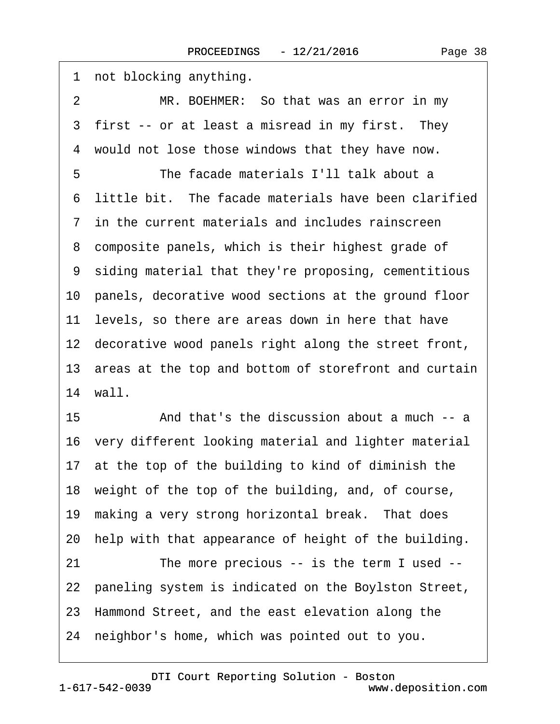1 not blocking anything. 2 MR. BOEHMER: So that was an error in my 3 first -- or at least a misread in my first. They 4 would not lose those windows that they have now. 5 **· · · · · The facade materials I'll talk about a** ·6· little bit.· The facade materials have been clarified ·7· in the current materials and includes rainscreen 8 composite panels, which is their highest grade of ·9· siding material that they're proposing, cementitious 10· panels, decorative wood sections at the ground floor 11 levels, so there are areas down in here that have 12 decorative wood panels right along the street front, 13 areas at the top and bottom of storefront and curtain 14 wall. 15 • And that's the discussion about a much -- a 16· very different looking material and lighter material 17 at the top of the building to kind of diminish the 18· weight of the top of the building, and, of course, 19 making a very strong horizontal break. That does 20· help with that appearance of height of the building. 21 The more precious -- is the term I used --22 paneling system is indicated on the Boylston Street, 23· Hammond Street, and the east elevation along the 24· neighbor's home, which was pointed out to you.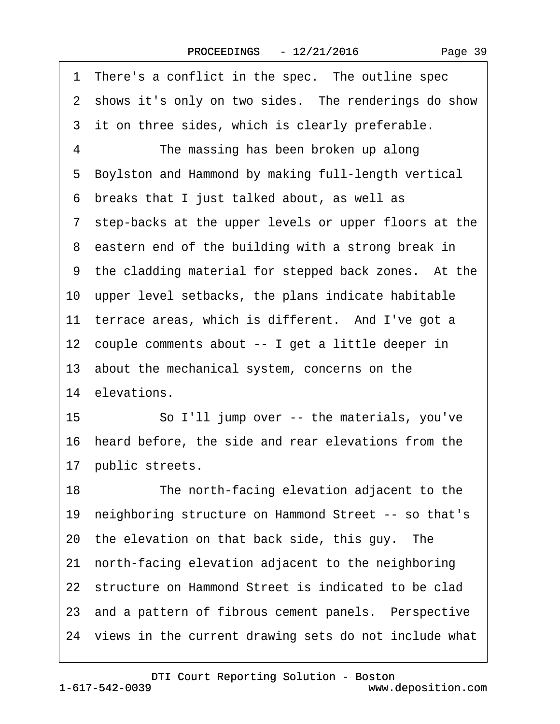| 1 There's a conflict in the spec. The outline spec       |
|----------------------------------------------------------|
| 2 shows it's only on two sides. The renderings do show   |
| 3 it on three sides, which is clearly preferable.        |
| 4<br>The massing has been broken up along                |
| Boylston and Hammond by making full-length vertical<br>5 |
| breaks that I just talked about, as well as<br>6         |
| 7 step-backs at the upper levels or upper floors at the  |
| 8 eastern end of the building with a strong break in     |
| 9 the cladding material for stepped back zones. At the   |
| 10 upper level setbacks, the plans indicate habitable    |
| 11 terrace areas, which is different. And I've got a     |
| 12 couple comments about -- I get a little deeper in     |
| 13 about the mechanical system, concerns on the          |
| 14 elevations.                                           |
| So I'll jump over -- the materials, you've<br>15         |
| 16 heard before, the side and rear elevations from the   |
| 17 public streets.                                       |
| 18<br>The north-facing elevation adjacent to the         |
| 19 neighboring structure on Hammond Street -- so that's  |
| 20 the elevation on that back side, this guy. The        |
| 21 north-facing elevation adjacent to the neighboring    |
| 22 structure on Hammond Street is indicated to be clad   |
| 23 and a pattern of fibrous cement panels. Perspective   |
| 24 views in the current drawing sets do not include what |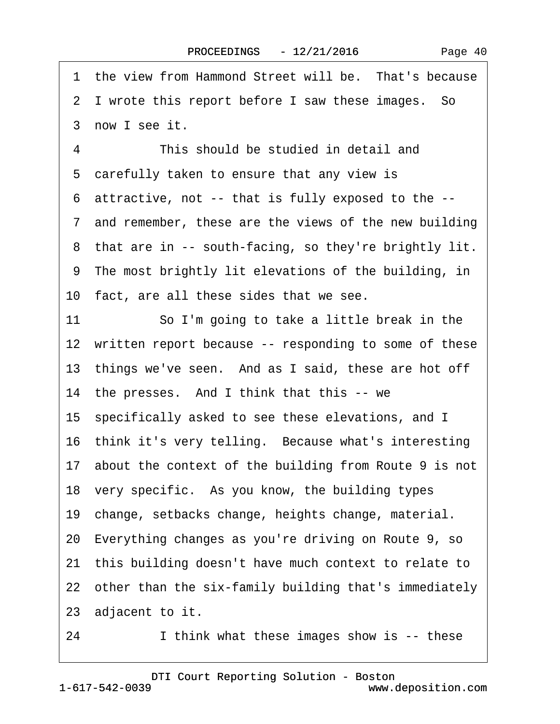1 the view from Hammond Street will be. That's because 2 I wrote this report before I saw these images. So 3 now I see it. 4 This should be studied in detail and 5 carefully taken to ensure that any view is ·6· attractive, not -- that is fully exposed to the -- ·7· and remember, these are the views of the new building 8 that are in -- south-facing, so they're brightly lit. ·9· The most brightly lit elevations of the building, in 10 fact, are all these sides that we see. 11 So I'm going to take a little break in the 12 written report because -- responding to some of these 13 things we've seen. And as I said, these are hot off 14 the presses. And I think that this -- we 15· specifically asked to see these elevations, and I 16 think it's very telling. Because what's interesting 17 about the context of the building from Route 9 is not 18 very specific. As you know, the building types 19· change, setbacks change, heights change, material. 20· Everything changes as you're driving on Route 9, so 21· this building doesn't have much context to relate to 22 other than the six-family building that's immediately 23 adjacent to it.

24 I think what these images show is -- these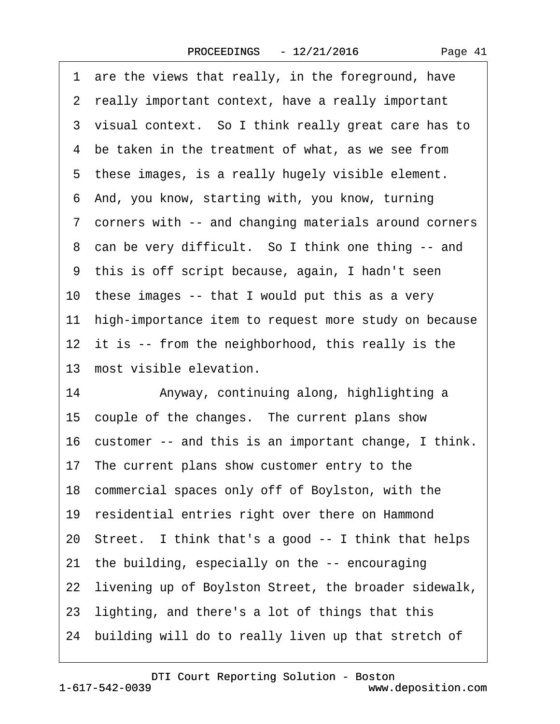1 are the views that really, in the foreground, have 2 really important context, have a really important 3 visual context. So I think really great care has to 4 be taken in the treatment of what, as we see from 5 these images, is a really hugely visible element. ·6· And, you know, starting with, you know, turning ·7· corners with -- and changing materials around corners 8 can be very difficult. So I think one thing -- and ·9· this is off script because, again, I hadn't seen 10 these images -- that I would put this as a very 11 high-importance item to request more study on because 12 it is -- from the neighborhood, this really is the 13 most visible elevation. 14 • Anyway, continuing along, highlighting a 15 couple of the changes. The current plans show 16· customer -- and this is an important change, I think. 17 The current plans show customer entry to the 18 commercial spaces only off of Boylston, with the 19 residential entries right over there on Hammond 20 Street. I think that's a good -- I think that helps 21· the building, especially on the -- encouraging 22 livening up of Boylston Street, the broader sidewalk, 23· lighting, and there's a lot of things that this 24 building will do to really liven up that stretch of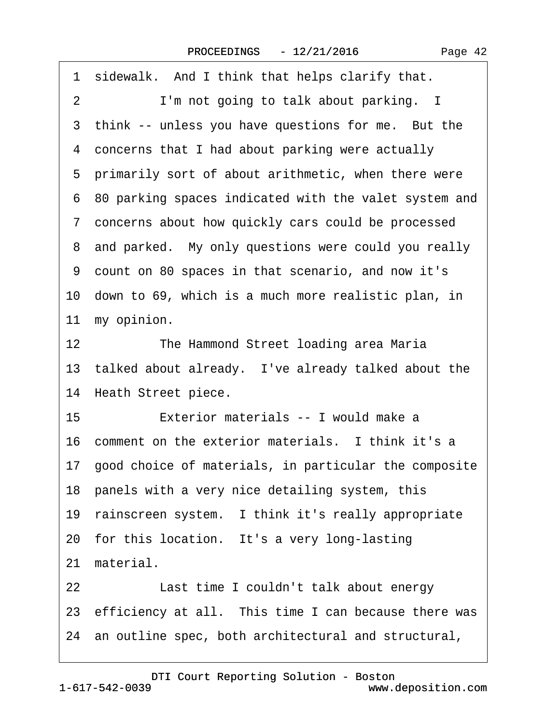| 1 sidewalk. And I think that helps clarify that.         |
|----------------------------------------------------------|
| I'm not going to talk about parking. I<br>2              |
| 3 think -- unless you have questions for me. But the     |
| 4 concerns that I had about parking were actually        |
| 5 primarily sort of about arithmetic, when there were    |
| 6 80 parking spaces indicated with the valet system and  |
| 7 concerns about how quickly cars could be processed     |
| 8 and parked. My only questions were could you really    |
| 9 count on 80 spaces in that scenario, and now it's      |
| 10 down to 69, which is a much more realistic plan, in   |
| 11 my opinion.                                           |
| 12 <sup>7</sup><br>The Hammond Street loading area Maria |
| 13 talked about already. I've already talked about the   |
| 14 Heath Street piece.                                   |
| 15<br>Exterior materials -- I would make a               |
| 16 comment on the exterior materials. I think it's a     |
| 17 good choice of materials, in particular the composite |
| 18 panels with a very nice detailing system, this        |
| 19 rainscreen system. I think it's really appropriate    |
| 20 for this location. It's a very long-lasting           |
| 21 material.                                             |
| 22<br>Last time I couldn't talk about energy             |
| 23 efficiency at all. This time I can because there was  |
| 24 an outline spec, both architectural and structural,   |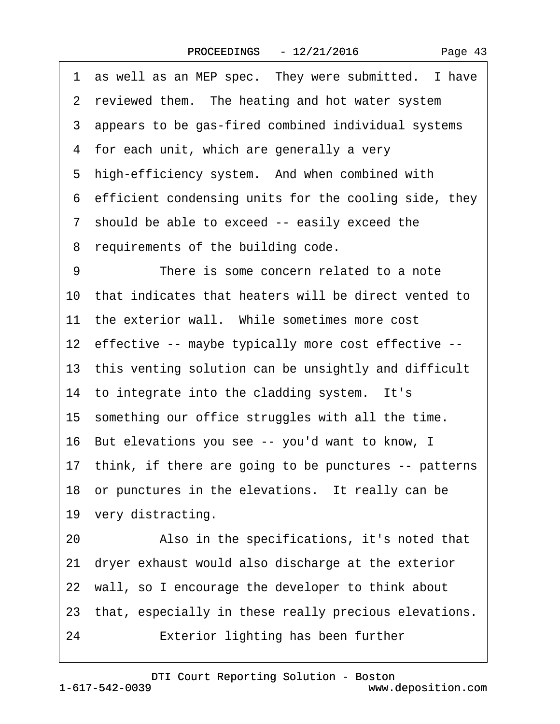| 1 as well as an MEP spec. They were submitted. I have    |
|----------------------------------------------------------|
| 2 reviewed them. The heating and hot water system        |
| 3 appears to be gas-fired combined individual systems    |
| 4 for each unit, which are generally a very              |
| 5 high-efficiency system. And when combined with         |
| 6 efficient condensing units for the cooling side, they  |
| 7 should be able to exceed -- easily exceed the          |
| 8 requirements of the building code.                     |
| 9<br>There is some concern related to a note             |
| 10 that indicates that heaters will be direct vented to  |
| 11 the exterior wall. While sometimes more cost          |
| 12 effective -- maybe typically more cost effective --   |
| 13 this venting solution can be unsightly and difficult  |
| 14 to integrate into the cladding system. It's           |
| 15 something our office struggles with all the time.     |
| 16 But elevations you see -- you'd want to know, I       |
| 17 think, if there are going to be punctures -- patterns |
| 18 or punctures in the elevations. It really can be      |
| 19 very distracting.                                     |
| Also in the specifications, it's noted that<br>20        |
| dryer exhaust would also discharge at the exterior<br>21 |
| 22 wall, so I encourage the developer to think about     |
| 23 that, especially in these really precious elevations. |
| Exterior lighting has been further<br>24                 |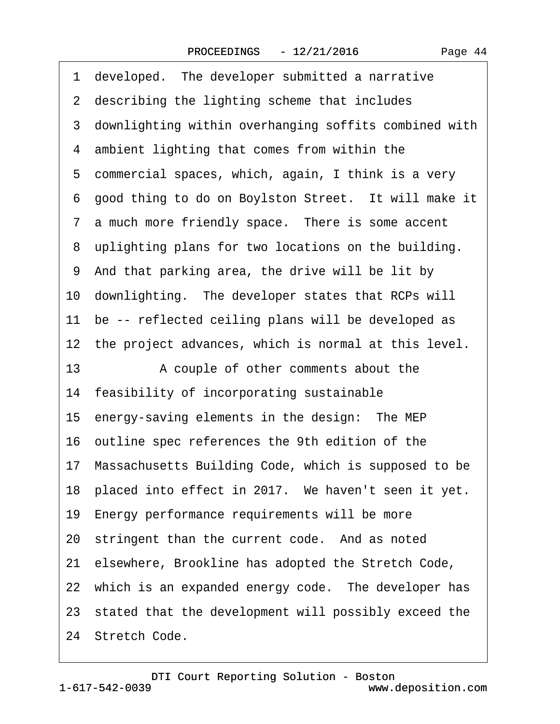| 1 developed. The developer submitted a narrative        |
|---------------------------------------------------------|
| 2 describing the lighting scheme that includes          |
| 3 downlighting within overhanging soffits combined with |
| 4 ambient lighting that comes from within the           |
| 5 commercial spaces, which, again, I think is a very    |
| 6 good thing to do on Boylston Street. It will make it  |
| 7 a much more friendly space. There is some accent      |
| 8 uplighting plans for two locations on the building.   |
| 9 And that parking area, the drive will be lit by       |
| 10 downlighting. The developer states that RCPs will    |
| 11 be -- reflected ceiling plans will be developed as   |
| 12 the project advances, which is normal at this level. |
| 13<br>A couple of other comments about the              |
|                                                         |
| 14 feasibility of incorporating sustainable             |
| 15 energy-saving elements in the design: The MEP        |
| 16 outline spec references the 9th edition of the       |
| 17 Massachusetts Building Code, which is supposed to be |
| 18 placed into effect in 2017. We haven't seen it yet.  |
| 19 Energy performance requirements will be more         |
| 20 stringent than the current code. And as noted        |
| 21 elsewhere, Brookline has adopted the Stretch Code,   |
| 22 which is an expanded energy code. The developer has  |
| 23 stated that the development will possibly exceed the |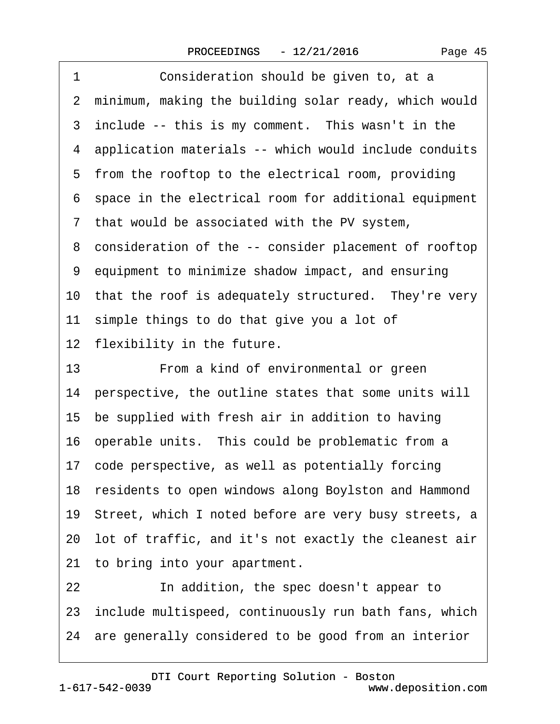| 1<br>Consideration should be given to, at a              |
|----------------------------------------------------------|
| 2 minimum, making the building solar ready, which would  |
| 3 include -- this is my comment. This wasn't in the      |
| 4 application materials -- which would include conduits  |
| 5 from the rooftop to the electrical room, providing     |
| 6 space in the electrical room for additional equipment  |
| 7 that would be associated with the PV system,           |
| 8 consideration of the -- consider placement of rooftop  |
| 9 equipment to minimize shadow impact, and ensuring      |
| 10 that the roof is adequately structured. They're very  |
| 11 simple things to do that give you a lot of            |
| 12 flexibility in the future.                            |
| From a kind of environmental or green<br>13              |
| 14 perspective, the outline states that some units will  |
| 15 be supplied with fresh air in addition to having      |
|                                                          |
| 16 operable units. This could be problematic from a      |
| 17 code perspective, as well as potentially forcing      |
| 18 residents to open windows along Boylston and Hammond  |
| 19 Street, which I noted before are very busy streets, a |
| 20 lot of traffic, and it's not exactly the cleanest air |
| 21 to bring into your apartment.                         |
| 22<br>In addition, the spec doesn't appear to            |
| 23 include multispeed, continuously run bath fans, which |
| 24 are generally considered to be good from an interior  |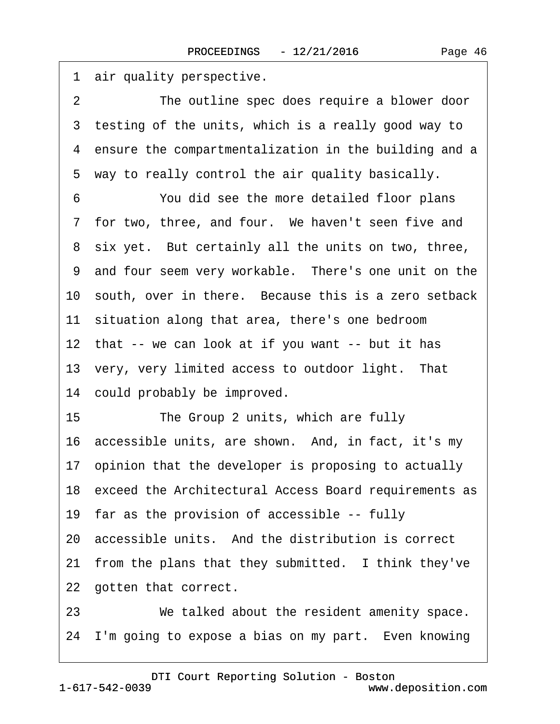1 air quality perspective. 2 The outline spec does require a blower door 3 testing of the units, which is a really good way to 4 ensure the compartmentalization in the building and a 5 way to really control the air quality basically. 6 You did see the more detailed floor plans 7 for two, three, and four. We haven't seen five and 8 six yet. But certainly all the units on two, three, 9 and four seem very workable. There's one unit on the 10 south, over in there. Because this is a zero setback 11 situation along that area, there's one bedroom 12 that -- we can look at if you want -- but it has 13 very, very limited access to outdoor light. That 14 could probably be improved. 15 The Group 2 units, which are fully 16 accessible units, are shown. And, in fact, it's my 17 opinion that the developer is proposing to actually 18 exceed the Architectural Access Board requirements as 19 far as the provision of accessible -- fully 20 accessible units. And the distribution is correct 21 from the plans that they submitted. I think they've 22 gotten that correct. 23 We talked about the resident amenity space. 24 I'm going to expose a bias on my part. Even knowing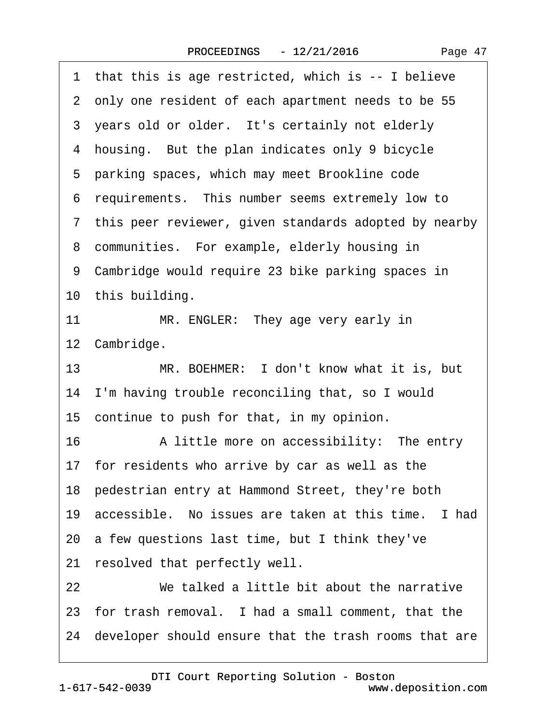| 1 that this is age restricted, which is -- I believe     |
|----------------------------------------------------------|
| 2 only one resident of each apartment needs to be 55     |
| 3 years old or older. It's certainly not elderly         |
| 4 housing. But the plan indicates only 9 bicycle         |
| 5 parking spaces, which may meet Brookline code          |
| 6 requirements. This number seems extremely low to       |
| 7 this peer reviewer, given standards adopted by nearby  |
| 8 communities. For example, elderly housing in           |
| 9 Cambridge would require 23 bike parking spaces in      |
| 10 this building.                                        |
| 11<br>MR. ENGLER: They age very early in                 |
| 12 Cambridge.                                            |
| 13<br>MR. BOEHMER: I don't know what it is, but          |
| 14 I'm having trouble reconciling that, so I would       |
| 15 continue to push for that, in my opinion.             |
| 16<br>A little more on accessibility: The entry          |
| 17 for residents who arrive by car as well as the        |
| 18 pedestrian entry at Hammond Street, they're both      |
| 19 accessible. No issues are taken at this time. I had   |
| 20 a few questions last time, but I think they've        |
| 21 resolved that perfectly well.                         |
| We talked a little bit about the narrative<br>22         |
| 23 for trash removal. I had a small comment, that the    |
|                                                          |
| 24 developer should ensure that the trash rooms that are |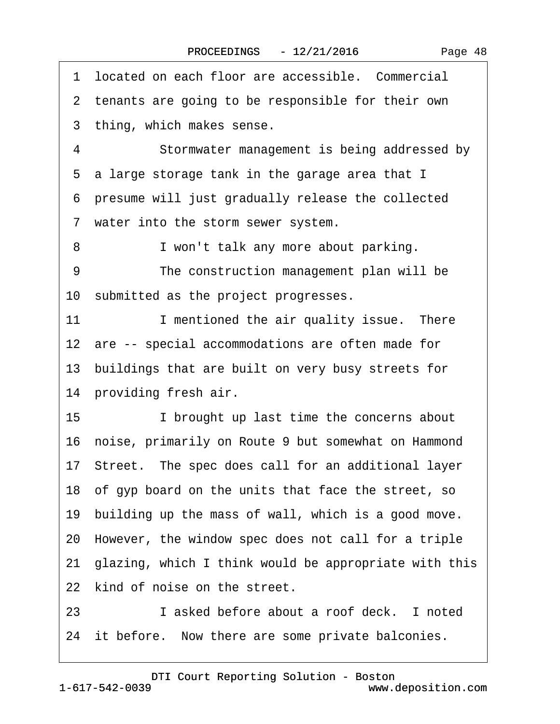1 located on each floor are accessible. Commercial 2 tenants are going to be responsible for their own 3 thing, which makes sense. 4 Stormwater management is being addressed by 5 a large storage tank in the garage area that I ·6· presume will just gradually release the collected 7 water into the storm sewer system. 8 • I won't talk any more about parking. 9 The construction management plan will be 10 submitted as the project progresses. 11 I mentioned the air quality issue. There 12 are -- special accommodations are often made for 13 buildings that are built on very busy streets for 14 providing fresh air. 15 • I brought up last time the concerns about 16· noise, primarily on Route 9 but somewhat on Hammond 17· Street.· The spec does call for an additional layer 18· of gyp board on the units that face the street, so 19 building up the mass of wall, which is a good move. 20· However, the window spec does not call for a triple 21· glazing, which I think would be appropriate with this 22 kind of noise on the street. 23· · · · · ·I asked before about a roof deck.· I noted 24 it before. Now there are some private balconies.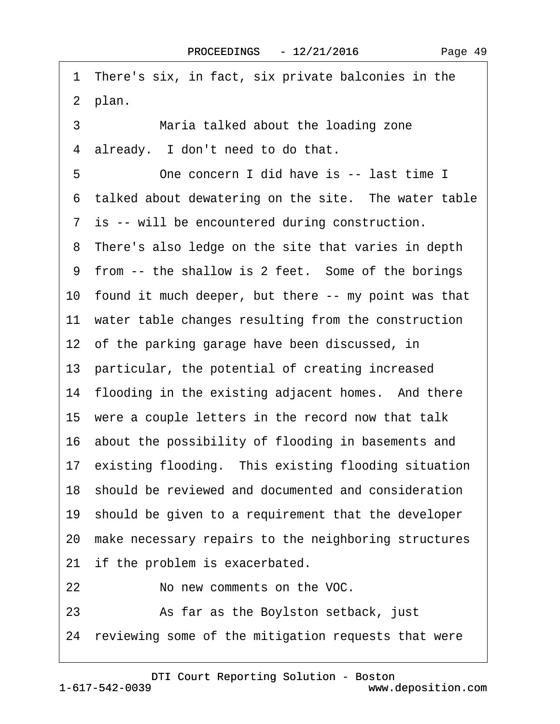1 There's six, in fact, six private balconies in the 2 plan. 3 Maria talked about the loading zone 4 already. I don't need to do that. 5 **••** One concern I did have is -- last time I 6 talked about dewatering on the site. The water table 7 is -- will be encountered during construction. 8 There's also ledge on the site that varies in depth 9 from -- the shallow is 2 feet. Some of the borings 10 found it much deeper, but there -- my point was that 11 water table changes resulting from the construction 12 of the parking garage have been discussed, in 13 particular, the potential of creating increased 14 flooding in the existing adjacent homes. And there 15 were a couple letters in the record now that talk 16· about the possibility of flooding in basements and 17 existing flooding. This existing flooding situation 18· should be reviewed and documented and consideration 19 should be given to a requirement that the developer 20· make necessary repairs to the neighboring structures 21 if the problem is exacerbated. 22· · · · · ·No new comments on the VOC. 23 • As far as the Boylston setback, just 24 reviewing some of the mitigation requests that were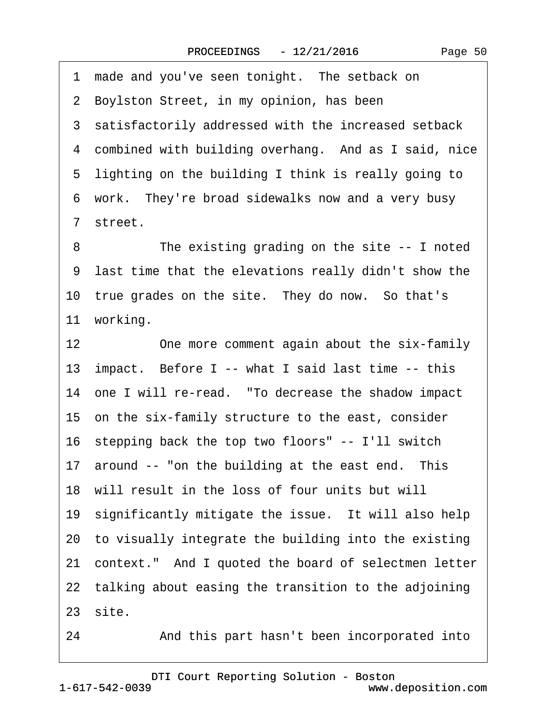1 made and you've seen tonight. The setback on 2 Boylston Street, in my opinion, has been 3 satisfactorily addressed with the increased setback 4 combined with building overhang. And as I said, nice 5 lighting on the building I think is really going to 6 work. They're broad sidewalks now and a very busy ·7· street. 8 The existing grading on the site -- I noted ·9· last time that the elevations really didn't show the 10 true grades on the site. They do now. So that's 11 working. 12 One more comment again about the six-family 13· impact.· Before I -- what I said last time -- this 14 one I will re-read. "To decrease the shadow impact 15· on the six-family structure to the east, consider 16 stepping back the top two floors" -- I'll switch 17 around -- "on the building at the east end. This 18 will result in the loss of four units but will 19 significantly mitigate the issue. It will also help 20· to visually integrate the building into the existing 21 context." And I quoted the board of selectmen letter 22 talking about easing the transition to the adjoining  $23$  site.

24 • And this part hasn't been incorporated into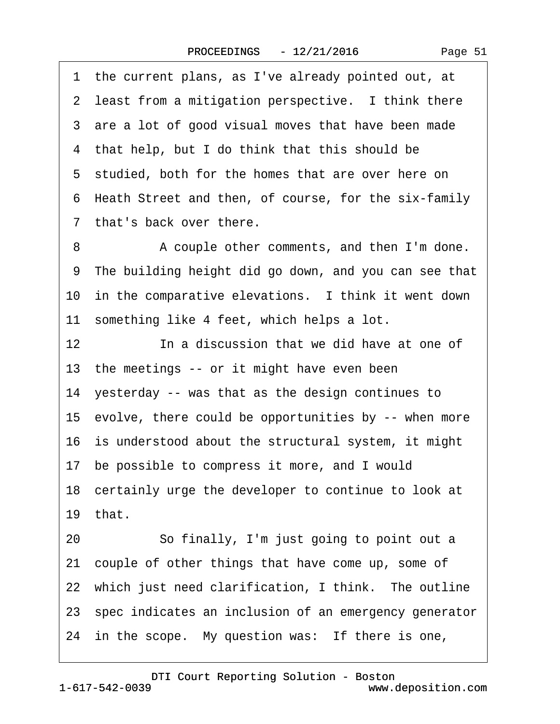·1· the current plans, as I've already pointed out, at 2 least from a mitigation perspective. I think there 3 are a lot of good visual moves that have been made 4 that help, but I do think that this should be 5 studied, both for the homes that are over here on ·6· Heath Street and then, of course, for the six-family 7 that's back over there. 8 • A couple other comments, and then I'm done. ·9· The building height did go down, and you can see that 10 in the comparative elevations. I think it went down 11 something like 4 feet, which helps a lot. 12 **In a discussion that we did have at one of** 13 the meetings -- or it might have even been 14 yesterday -- was that as the design continues to 15· evolve, there could be opportunities by -- when more 16 is understood about the structural system, it might 17· be possible to compress it more, and I would 18 certainly urge the developer to continue to look at 19 $th$ at. 20 · · · So finally, I'm just going to point out a 21· couple of other things that have come up, some of 22 which just need clarification, I think. The outline 23· spec indicates an inclusion of an emergency generator

24 in the scope. My question was: If there is one,

www.deposition.com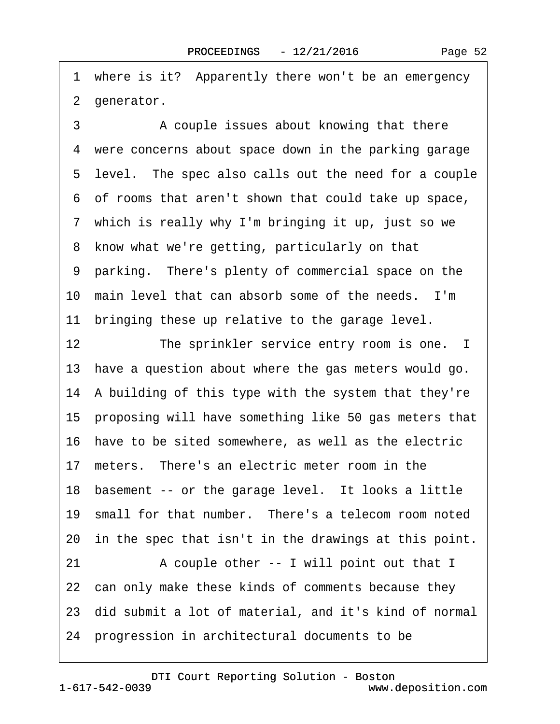1 where is it? Apparently there won't be an emergency 2 generator.

3 • • A couple issues about knowing that there 4 were concerns about space down in the parking garage 5 level. The spec also calls out the need for a couple ·6· of rooms that aren't shown that could take up space, 7 which is really why I'm bringing it up, just so we 8 know what we're getting, particularly on that ·9· parking.· There's plenty of commercial space on the 10 main level that can absorb some of the needs. I'm 11 bringing these up relative to the garage level. 12 The sprinkler service entry room is one. I 13 have a question about where the gas meters would go. 14 A building of this type with the system that they're 15· proposing will have something like 50 gas meters that 16 have to be sited somewhere, as well as the electric 17 meters. There's an electric meter room in the 18 basement -- or the garage level. It looks a little 19 small for that number. There's a telecom room noted 20 in the spec that isn't in the drawings at this point. 21 A couple other -- I will point out that I 22 can only make these kinds of comments because they 23· did submit a lot of material, and it's kind of normal 24· progression in architectural documents to be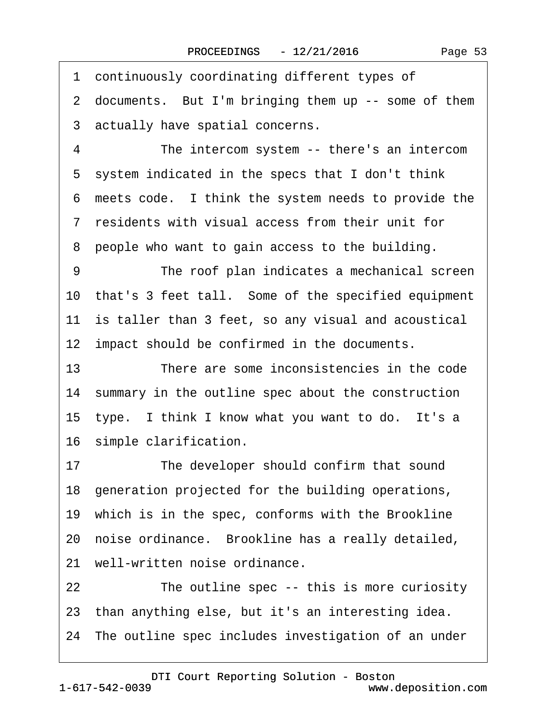1 continuously coordinating different types of 2 documents. But I'm bringing them up -- some of them 3 actually have spatial concerns. 4 The intercom system -- there's an intercom 5 system indicated in the specs that I don't think ·6· meets code.· I think the system needs to provide the ·7· residents with visual access from their unit for ·8· people who want to gain access to the building. 9 The roof plan indicates a mechanical screen 10· that's 3 feet tall.· Some of the specified equipment 11 is taller than 3 feet, so any visual and acoustical 12 impact should be confirmed in the documents. 13 There are some inconsistencies in the code 14 summary in the outline spec about the construction 15 type. I think I know what you want to do. It's a 16 simple clarification. 17 The developer should confirm that sound 18· generation projected for the building operations, 19· which is in the spec, conforms with the Brookline 20 noise ordinance. Brookline has a really detailed, 21 well-written noise ordinance.

22 The outline spec -- this is more curiosity 23· than anything else, but it's an interesting idea.

24 The outline spec includes investigation of an under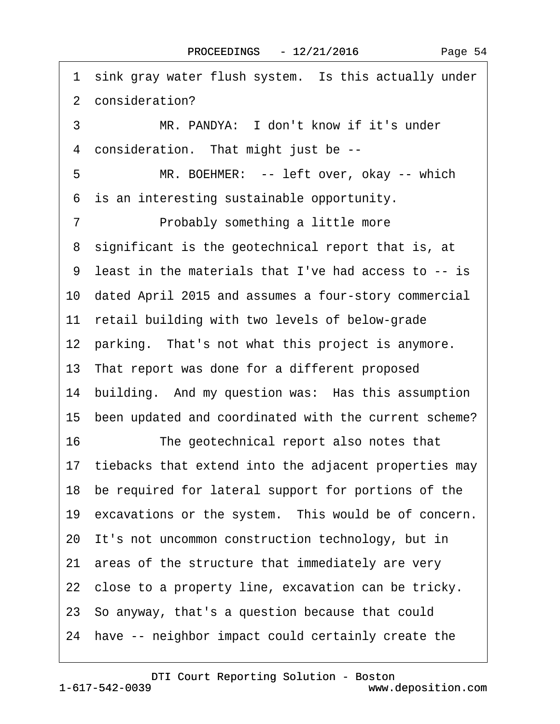1 sink gray water flush system. Is this actually under 2 consideration? 3 MR. PANDYA: I don't know if it's under 4 consideration. That might just be --5 MR. BOEHMER: -- left over, okay -- which ·6· is an interesting sustainable opportunity. 7 • Probably something a little more 8 significant is the geotechnical report that is, at ·9· least in the materials that I've had access to -- is 10· dated April 2015 and assumes a four-story commercial 11 retail building with two levels of below-grade 12 parking. That's not what this project is anymore. 13· That report was done for a different proposed 14 building. And my question was: Has this assumption 15 been updated and coordinated with the current scheme? 16 The geotechnical report also notes that 17 tiebacks that extend into the adjacent properties may 18 be required for lateral support for portions of the 19 excavations or the system. This would be of concern. 20 It's not uncommon construction technology, but in 21 areas of the structure that immediately are very 22 close to a property line, excavation can be tricky. 23· So anyway, that's a question because that could 24 have -- neighbor impact could certainly create the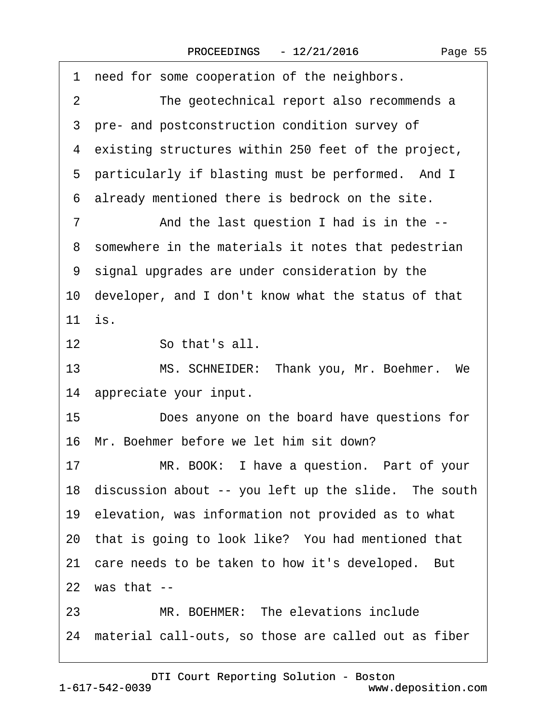| need for some cooperation of the neighbors.<br>1            |
|-------------------------------------------------------------|
| The geotechnical report also recommends a<br>$\overline{2}$ |
| 3 pre- and postconstruction condition survey of             |
| 4 existing structures within 250 feet of the project,       |
| 5 particularly if blasting must be performed. And I         |
| already mentioned there is bedrock on the site.<br>6        |
| $\overline{7}$<br>And the last question I had is in the --  |
| 8 somewhere in the materials it notes that pedestrian       |
| 9 signal upgrades are under consideration by the            |
| 10 developer, and I don't know what the status of that      |
| 11 is.                                                      |
| So that's all.<br>12                                        |
| MS. SCHNEIDER: Thank you, Mr. Boehmer. We<br>13             |
| 14 appreciate your input.                                   |
| 15<br>Does anyone on the board have questions for           |
| 16 Mr. Boehmer before we let him sit down?                  |
| MR. BOOK: I have a question. Part of your<br>17             |
| 18 discussion about -- you left up the slide. The south     |
| 19 elevation, was information not provided as to what       |
| 20 that is going to look like? You had mentioned that       |
| 21 care needs to be taken to how it's developed. But        |
| 22 was that --                                              |
| MR. BOEHMER: The elevations include<br>23                   |
| 24 material call-outs, so those are called out as fiber     |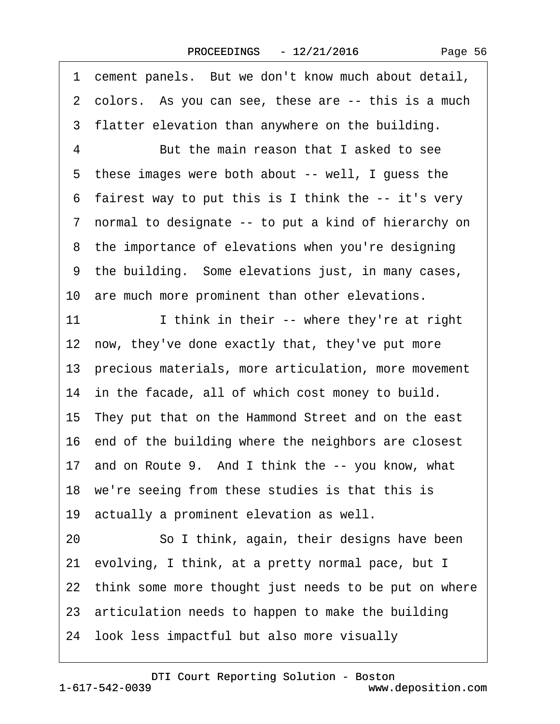1 cement panels. But we don't know much about detail,

|    | 2 colors. As you can see, these are -- this is a much    |
|----|----------------------------------------------------------|
|    | 3 flatter elevation than anywhere on the building.       |
| 4  | But the main reason that I asked to see                  |
|    | 5 these images were both about -- well, I guess the      |
|    | 6 fairest way to put this is I think the -- it's very    |
|    | 7 normal to designate -- to put a kind of hierarchy on   |
|    | 8 the importance of elevations when you're designing     |
|    | 9 the building. Some elevations just, in many cases,     |
|    | 10 are much more prominent than other elevations.        |
| 11 | I think in their -- where they're at right               |
|    | 12 now, they've done exactly that, they've put more      |
|    | 13 precious materials, more articulation, more movement  |
|    | 14 in the facade, all of which cost money to build.      |
|    | 15 They put that on the Hammond Street and on the east   |
|    | 16 end of the building where the neighbors are closest   |
|    | 17 and on Route 9. And I think the -- you know, what     |
|    | 18 we're seeing from these studies is that this is       |
|    | 19 actually a prominent elevation as well.               |
| 20 | So I think, again, their designs have been               |
|    | 21 evolving, I think, at a pretty normal pace, but I     |
|    | 22 think some more thought just needs to be put on where |
|    | 23 articulation needs to happen to make the building     |
|    | 24 look less impactful but also more visually            |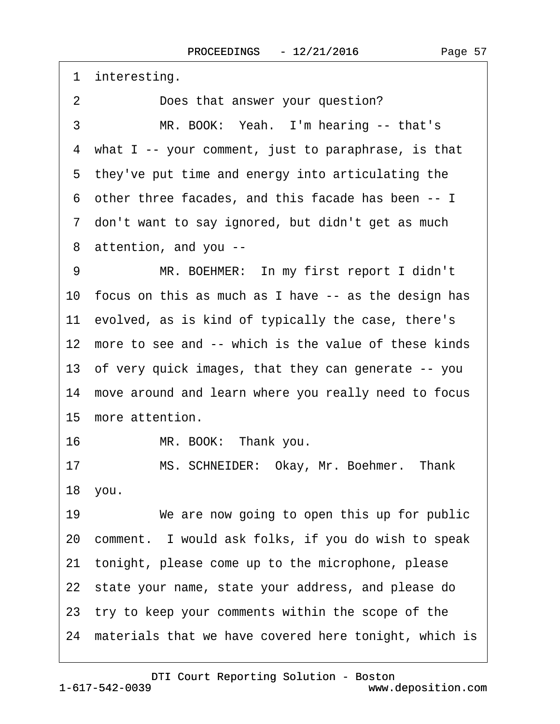|    | 1 interesting.                                           |
|----|----------------------------------------------------------|
| 2  | Does that answer your question?                          |
| 3  | MR. BOOK: Yeah. I'm hearing -- that's                    |
|    | 4 what I -- your comment, just to paraphrase, is that    |
|    | 5 they've put time and energy into articulating the      |
|    | 6 other three facades, and this facade has been -- I     |
|    | 7 don't want to say ignored, but didn't get as much      |
|    | 8 attention, and you --                                  |
| 9  | MR. BOEHMER: In my first report I didn't                 |
|    | 10 focus on this as much as I have -- as the design has  |
|    | 11 evolved, as is kind of typically the case, there's    |
|    | 12 more to see and -- which is the value of these kinds  |
|    | 13 of very quick images, that they can generate -- you   |
|    | 14 move around and learn where you really need to focus  |
|    | 15 more attention.                                       |
| 16 | MR. BOOK: Thank you.                                     |
| 17 | MS. SCHNEIDER: Okay, Mr. Boehmer. Thank                  |
|    | 18 you.                                                  |
| 19 | We are now going to open this up for public              |
|    | 20 comment. I would ask folks, if you do wish to speak   |
|    | 21 tonight, please come up to the microphone, please     |
|    | 22 state your name, state your address, and please do    |
|    | 23 try to keep your comments within the scope of the     |
|    | 24 materials that we have covered here tonight, which is |
|    |                                                          |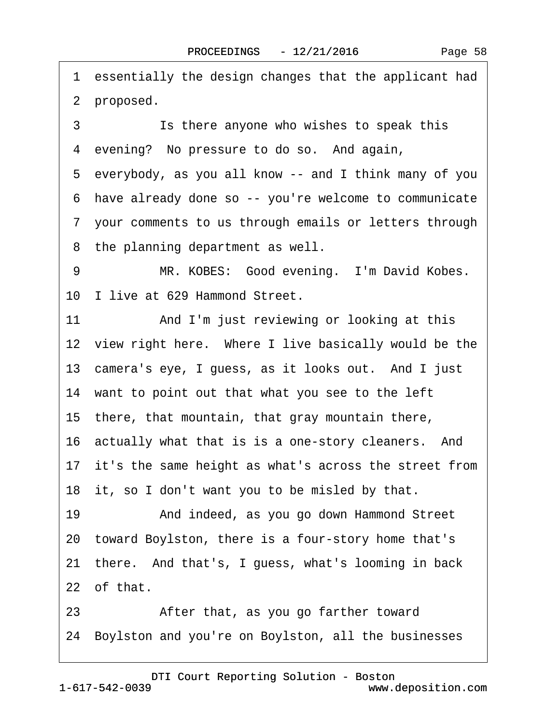·1· essentially the design changes that the applicant had 2 proposed. 3 **Share Suppensist Suppensist Stupe 1** Stupe 1 **Stupe 1** Stupe 1 Stupe 1 Stupe 1 Stupe 1 Stupe 1 Stupe 1 Stupe 1 Stupe 1 Stupe 1 Stupe 1 Stupe 1 Stupe 1 Stupe 1 Stupe 1 Stupe 1 Stupe 1 Stupe 1 Stupe 1 Stupe 1 Stupe 1 Stup 4 evening? No pressure to do so. And again, ·5· everybody, as you all know -- and I think many of you ·6· have already done so -- you're welcome to communicate ·7· your comments to us through emails or letters through 8 the planning department as well. 9 MR. KOBES: Good evening. I'm David Kobes. 10 I live at 629 Hammond Street. 11 • And I'm just reviewing or looking at this 12 view right here. Where I live basically would be the 13 camera's eye, I guess, as it looks out. And I just 14 want to point out that what you see to the left 15 there, that mountain, that gray mountain there, 16 actually what that is is a one-story cleaners. And 17 it's the same height as what's across the street from 18 it, so I don't want you to be misled by that. 19 • And indeed, as you go down Hammond Street 20· toward Boylston, there is a four-story home that's 21 there. And that's, I guess, what's looming in back 22 of that. 23 • After that, as you go farther toward 24· Boylston and you're on Boylston, all the businesses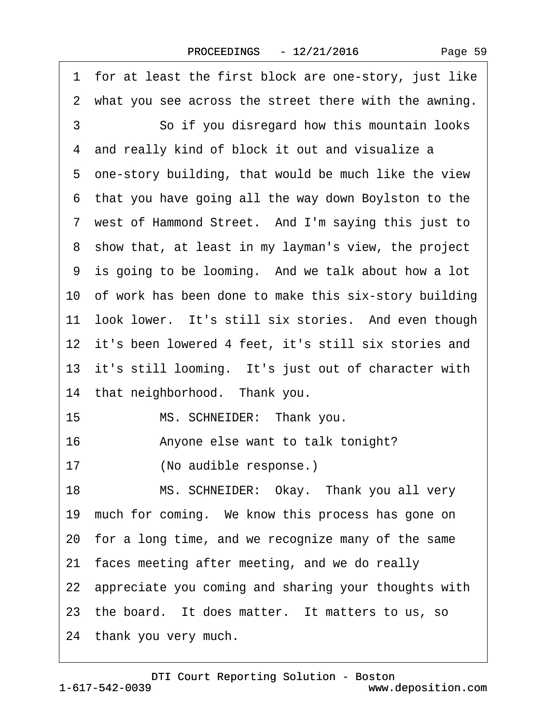|    | 1 for at least the first block are one-story, just like  |
|----|----------------------------------------------------------|
|    | 2 what you see across the street there with the awning.  |
| 3  | So if you disregard how this mountain looks              |
|    | 4 and really kind of block it out and visualize a        |
|    | 5 one-story building, that would be much like the view   |
|    | 6 that you have going all the way down Boylston to the   |
|    | 7 west of Hammond Street. And I'm saying this just to    |
|    | 8 show that, at least in my layman's view, the project   |
|    | 9 is going to be looming. And we talk about how a lot    |
|    | 10 of work has been done to make this six-story building |
|    | 11 look lower. It's still six stories. And even though   |
|    | 12 it's been lowered 4 feet, it's still six stories and  |
|    | 13 it's still looming. It's just out of character with   |
|    | 14 that neighborhood. Thank you.                         |
| 15 | MS. SCHNEIDER: Thank you.                                |
| 16 | Anyone else want to talk tonight?                        |
| 17 | (No audible response.)                                   |
| 18 | MS. SCHNEIDER: Okay. Thank you all very                  |
|    | 19 much for coming. We know this process has gone on     |
|    | 20 for a long time, and we recognize many of the same    |
|    | 21 faces meeting after meeting, and we do really         |
|    | 22 appreciate you coming and sharing your thoughts with  |
|    | 23 the board. It does matter. It matters to us, so       |
|    | 24 thank you very much.                                  |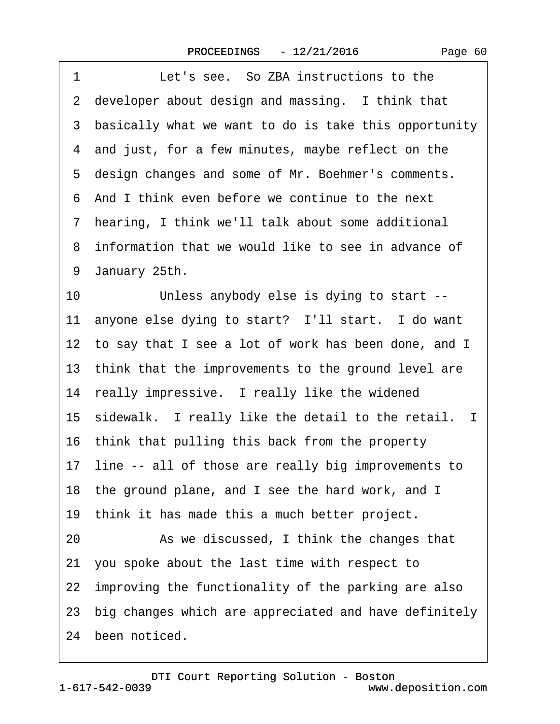| 1<br>Let's see. So ZBA instructions to the               |
|----------------------------------------------------------|
| 2 developer about design and massing. I think that       |
| 3 basically what we want to do is take this opportunity  |
| 4 and just, for a few minutes, maybe reflect on the      |
| 5 design changes and some of Mr. Boehmer's comments.     |
| 6 And I think even before we continue to the next        |
| 7 hearing, I think we'll talk about some additional      |
| 8 information that we would like to see in advance of    |
| 9 January 25th.                                          |
| 10<br>Unless anybody else is dying to start --           |
| 11 anyone else dying to start? I'll start. I do want     |
| 12 to say that I see a lot of work has been done, and I  |
| 13 think that the improvements to the ground level are   |
| 14 really impressive. I really like the widened          |
| 15 sidewalk. I really like the detail to the retail. I   |
| 16 think that pulling this back from the property        |
| 17 line -- all of those are really big improvements to   |
| 18 the ground plane, and I see the hard work, and I      |
| 19 think it has made this a much better project.         |
| 20<br>As we discussed, I think the changes that          |
| 21 you spoke about the last time with respect to         |
| 22 improving the functionality of the parking are also   |
| 23 big changes which are appreciated and have definitely |
| 24 been noticed.                                         |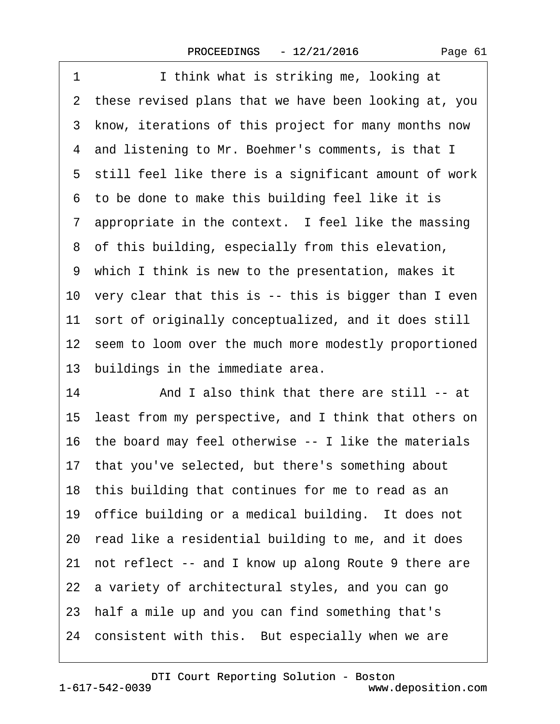1 **I** think what is striking me, looking at 2 these revised plans that we have been looking at, you 3 know, iterations of this project for many months now 4 and listening to Mr. Boehmer's comments, is that I 5 still feel like there is a significant amount of work ·6· to be done to make this building feel like it is 7 appropriate in the context. I feel like the massing 8 of this building, especially from this elevation, ·9· which I think is new to the presentation, makes it 10 very clear that this is -- this is bigger than I even 11 sort of originally conceptualized, and it does still 12 seem to loom over the much more modestly proportioned 13 buildings in the immediate area. 14 And I also think that there are still -- at 15· least from my perspective, and I think that others on 16· the board may feel otherwise -- I like the materials 17· that you've selected, but there's something about 18 this building that continues for me to read as an 19 office building or a medical building. It does not 20· read like a residential building to me, and it does 21 not reflect -- and I know up along Route 9 there are 22 a variety of architectural styles, and you can go 23· half a mile up and you can find something that's 24 consistent with this. But especially when we are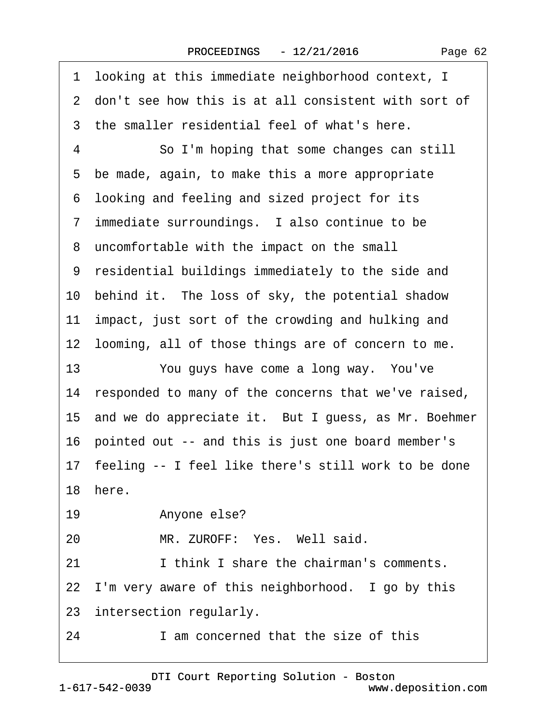Page 62

·1· looking at this immediate neighborhood context, I 2 don't see how this is at all consistent with sort of 3 the smaller residential feel of what's here. 4 **· · · · So I'm hoping that some changes can still** 5 be made, again, to make this a more appropriate ·6· looking and feeling and sized project for its 7 immediate surroundings. I also continue to be ·8· uncomfortable with the impact on the small ·9· residential buildings immediately to the side and 10 behind it. The loss of sky, the potential shadow 11 impact, just sort of the crowding and hulking and 12 looming, all of those things are of concern to me. 13 You guys have come a long way. You've 14 responded to many of the concerns that we've raised, 15 and we do appreciate it. But I guess, as Mr. Boehmer 16· pointed out -- and this is just one board member's 17 feeling -- I feel like there's still work to be done 18 here 19 • Anyone else? 20 MR. ZUROFF: Yes. Well said. 21 I think I share the chairman's comments. 22 I'm very aware of this neighborhood. I go by this 23 intersection regularly. 24 am concerned that the size of this

[DTI Court Reporting Solution - Boston](http://www.deposition.com)

1-617-542-0039

## www.deposition.com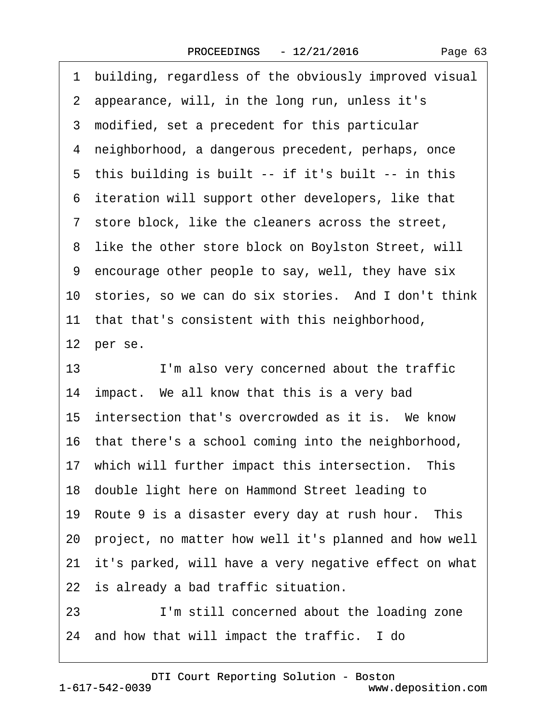1 building, regardless of the obviously improved visual 2 appearance, will, in the long run, unless it's 3 modified, set a precedent for this particular 4 neighborhood, a dangerous precedent, perhaps, once 5 this building is built -- if it's built -- in this 6 iteration will support other developers, like that ·7· store block, like the cleaners across the street, 8 like the other store block on Boylston Street, will ·9· encourage other people to say, well, they have six 10 stories, so we can do six stories. And I don't think 11 that that's consistent with this neighborhood, 12 per se. 13 I'm also very concerned about the traffic 14 impact. We all know that this is a very bad 15 intersection that's overcrowded as it is. We know 16· that there's a school coming into the neighborhood, 17 which will further impact this intersection. This 18· double light here on Hammond Street leading to 19 Route 9 is a disaster every day at rush hour. This 20· project, no matter how well it's planned and how well 21 it's parked, will have a very negative effect on what 22 is already a bad traffic situation. 23 I'm still concerned about the loading zone

24 and how that will impact the traffic. I do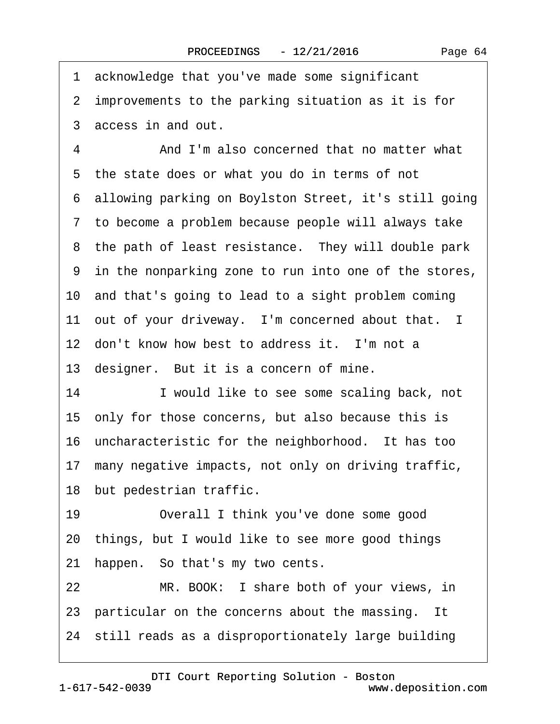1 acknowledge that you've made some significant 2 improvements to the parking situation as it is for ·3· access in and out. 4 And I'm also concerned that no matter what 5 the state does or what you do in terms of not ·6· allowing parking on Boylston Street, it's still going ·7· to become a problem because people will always take 8 the path of least resistance. They will double park ·9· in the nonparking zone to run into one of the stores, 10· and that's going to lead to a sight problem coming 11 out of your driveway. I'm concerned about that. I 12 don't know how best to address it. I'm not a 13 designer. But it is a concern of mine. 14 I would like to see some scaling back, not 15· only for those concerns, but also because this is 16· uncharacteristic for the neighborhood.· It has too 17 many negative impacts, not only on driving traffic, 18 but pedestrian traffic.

19 Overall I think you've done some good 20· things, but I would like to see more good things 21 happen. So that's my two cents.

22 MR. BOOK: I share both of your views, in 23 particular on the concerns about the massing. It 24 still reads as a disproportionately large building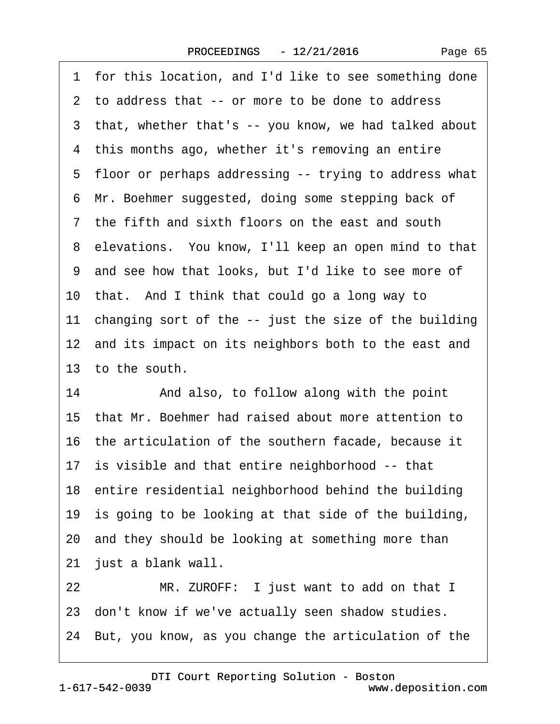|  | Page 65 |
|--|---------|
|--|---------|

| for this location, and I'd like to see something done<br>1 |
|------------------------------------------------------------|
| 2 to address that -- or more to be done to address         |
| 3 that, whether that's -- you know, we had talked about    |
| 4 this months ago, whether it's removing an entire         |
| 5 floor or perhaps addressing -- trying to address what    |
| 6 Mr. Boehmer suggested, doing some stepping back of       |
| 7 the fifth and sixth floors on the east and south         |
| 8 elevations. You know, I'll keep an open mind to that     |
| 9 and see how that looks, but I'd like to see more of      |
| 10 that. And I think that could go a long way to           |
| 11 changing sort of the -- just the size of the building   |
| 12 and its impact on its neighbors both to the east and    |
| 13 to the south.                                           |
| And also, to follow along with the point<br>14             |
| 15 that Mr. Boehmer had raised about more attention to     |
| 16 the articulation of the southern facade, because it     |
| 17 is visible and that entire neighborhood -- that         |
| 18 entire residential neighborhood behind the building     |
| 19 is going to be looking at that side of the building,    |
| 20 and they should be looking at something more than       |
| 21 just a blank wall.                                      |
| MR. ZUROFF: I just want to add on that I<br>22             |
| 23 don't know if we've actually seen shadow studies.       |
| 24 But, you know, as you change the articulation of the    |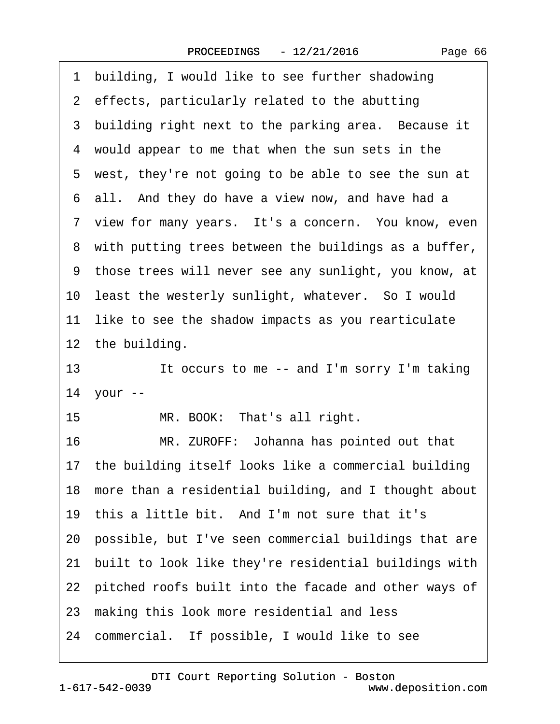1 building, I would like to see further shadowing 2 effects, particularly related to the abutting 3 building right next to the parking area. Because it 4 would appear to me that when the sun sets in the 5 west, they're not going to be able to see the sun at 6 all. And they do have a view now, and have had a 7 view for many years. It's a concern. You know, even 8 with putting trees between the buildings as a buffer, ·9· those trees will never see any sunlight, you know, at 10 least the westerly sunlight, whatever. So I would 11 like to see the shadow impacts as you rearticulate 12 the building. 13 It occurs to me -- and I'm sorry I'm taking 14 your --15 MR. BOOK: That's all right. 16 MR. ZUROFF: Johanna has pointed out that 17 the building itself looks like a commercial building 18 more than a residential building, and I thought about 19 this a little bit. And I'm not sure that it's 20· possible, but I've seen commercial buildings that are 21· built to look like they're residential buildings with 22 pitched roofs built into the facade and other ways of 23 making this look more residential and less 24 commercial. If possible, I would like to see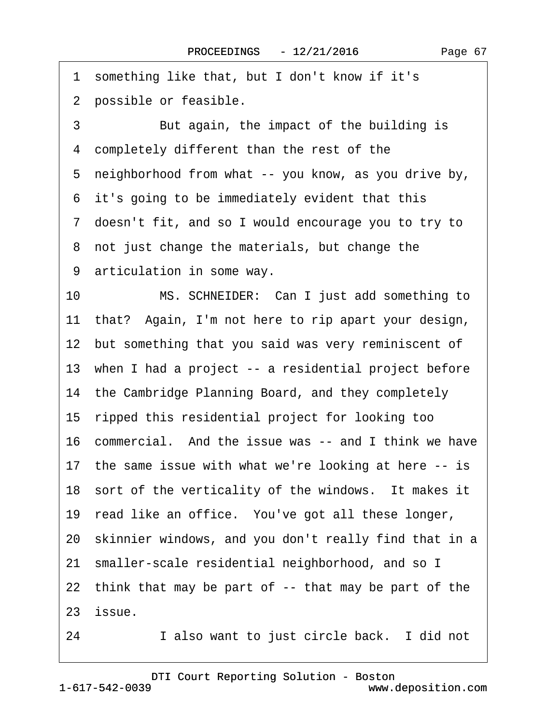$\lceil$ 

| something like that, but I don't know if it's<br>1       |
|----------------------------------------------------------|
| 2 possible or feasible.                                  |
| 3<br>But again, the impact of the building is            |
| 4 completely different than the rest of the              |
| 5 neighborhood from what -- you know, as you drive by,   |
| 6 it's going to be immediately evident that this         |
| 7 doesn't fit, and so I would encourage you to try to    |
| 8 not just change the materials, but change the          |
| 9 articulation in some way.                              |
| MS. SCHNEIDER: Can I just add something to<br>10         |
| 11 that? Again, I'm not here to rip apart your design,   |
| 12 but something that you said was very reminiscent of   |
| 13 when I had a project -- a residential project before  |
| 14 the Cambridge Planning Board, and they completely     |
| 15 ripped this residential project for looking too       |
| 16 commercial. And the issue was -- and I think we have  |
| 17 the same issue with what we're looking at here -- is  |
| 18 sort of the verticality of the windows. It makes it   |
| 19 read like an office. You've got all these longer,     |
| 20 skinnier windows, and you don't really find that in a |
| smaller-scale residential neighborhood, and so I<br>21   |
| 22 think that may be part of -- that may be part of the  |
| 23 issue.                                                |

24 I also want to just circle back. I did not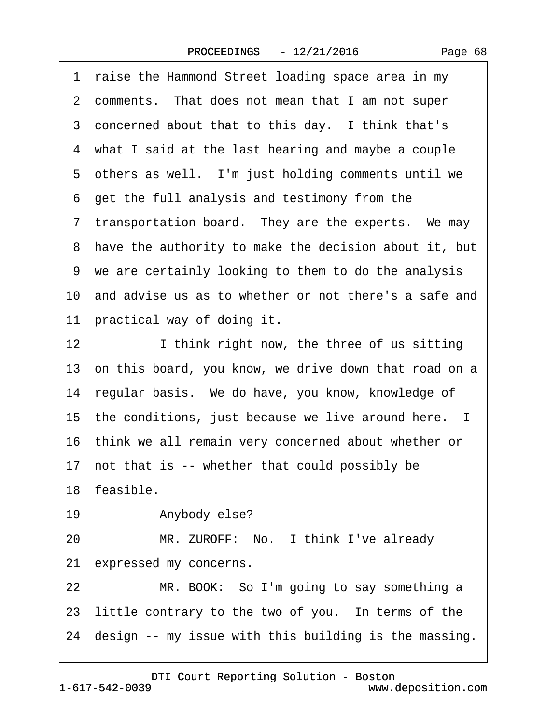| Page 68 |  |
|---------|--|
|---------|--|

·1· raise the Hammond Street loading space area in my 2 comments. That does not mean that I am not super 3 concerned about that to this day. I think that's ·4· what I said at the last hearing and maybe a couple 5 others as well. I'm just holding comments until we ·6· get the full analysis and testimony from the 7 transportation board. They are the experts. We may ·8· have the authority to make the decision about it, but ·9· we are certainly looking to them to do the analysis 10· and advise us as to whether or not there's a safe and 11 practical way of doing it. 12 I think right now, the three of us sitting 13 on this board, you know, we drive down that road on a 14 regular basis. We do have, you know, knowledge of 15 the conditions, just because we live around here. I 16· think we all remain very concerned about whether or 17 not that is -- whether that could possibly be 18 feasible. 19 • Anybody else? 20 MR. ZUROFF: No. I think I've already 21 expressed my concerns. 22 MR. BOOK: So I'm going to say something a 23 little contrary to the two of you. In terms of the 24 design -- my issue with this building is the massing.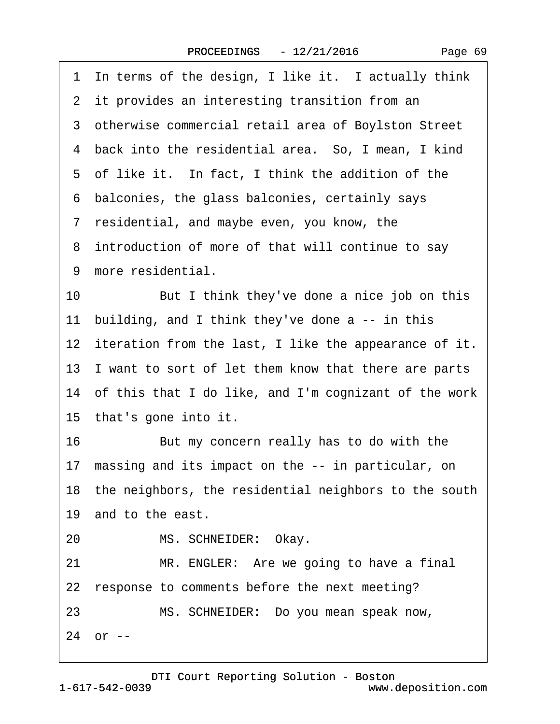| In terms of the design, I like it. I actually think<br>1       |
|----------------------------------------------------------------|
| 2 it provides an interesting transition from an                |
| 3 otherwise commercial retail area of Boylston Street          |
| 4 back into the residential area. So, I mean, I kind           |
| 5 of like it. In fact, I think the addition of the             |
| 6 balconies, the glass balconies, certainly says               |
| 7 residential, and maybe even, you know, the                   |
| 8 introduction of more of that will continue to say            |
| 9 more residential.                                            |
| But I think they've done a nice job on this<br>10 <sup>°</sup> |
| 11 building, and I think they've done a -- in this             |
| 12 iteration from the last, I like the appearance of it.       |
| 13 I want to sort of let them know that there are parts        |
| 14 of this that I do like, and I'm cognizant of the work       |
| 15 that's gone into it.                                        |
| 16<br>But my concern really has to do with the                 |
| 17 massing and its impact on the -- in particular, on          |
| 18 the neighbors, the residential neighbors to the south       |
| 19 and to the east.                                            |
| MS. SCHNEIDER: Okay.<br>20                                     |
| MR. ENGLER: Are we going to have a final<br>21                 |
| 22 response to comments before the next meeting?               |
| MS. SCHNEIDER: Do you mean speak now,<br>23                    |
| 24 or --                                                       |
|                                                                |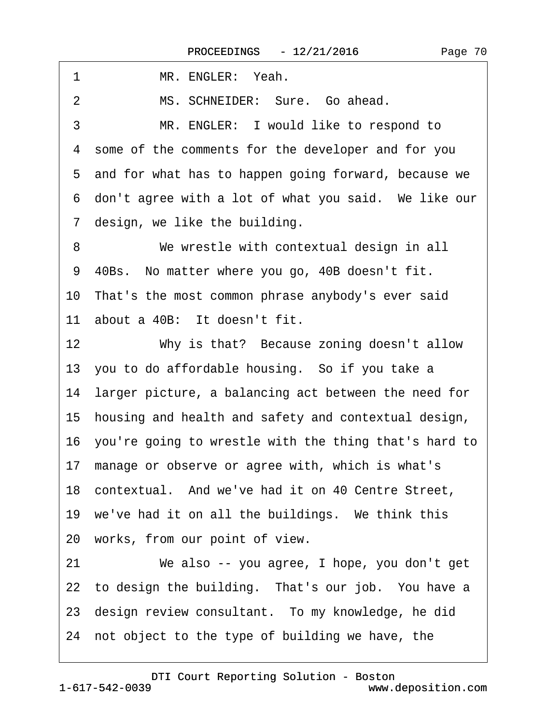| 1<br>MR. ENGLER: Yeah.                                   |
|----------------------------------------------------------|
| MS. SCHNEIDER: Sure. Go ahead.<br>2                      |
| 3<br>MR. ENGLER: I would like to respond to              |
| 4 some of the comments for the developer and for you     |
| 5 and for what has to happen going forward, because we   |
| 6 don't agree with a lot of what you said. We like our   |
| 7 design, we like the building.                          |
| We wrestle with contextual design in all<br>8            |
| 9 40Bs. No matter where you go, 40B doesn't fit.         |
| 10 That's the most common phrase anybody's ever said     |
| 11 about a 40B: It doesn't fit.                          |
| 12<br>Why is that? Because zoning doesn't allow          |
| 13 you to do affordable housing. So if you take a        |
| 14 larger picture, a balancing act between the need for  |
| 15 housing and health and safety and contextual design,  |
| 16 you're going to wrestle with the thing that's hard to |
| 17 manage or observe or agree with, which is what's      |
| 18 contextual. And we've had it on 40 Centre Street,     |
| 19 we've had it on all the buildings. We think this      |
| 20 works, from our point of view.                        |
| We also -- you agree, I hope, you don't get<br>21        |
| 22 to design the building. That's our job. You have a    |
| 23 design review consultant. To my knowledge, he did     |
| 24 not object to the type of building we have, the       |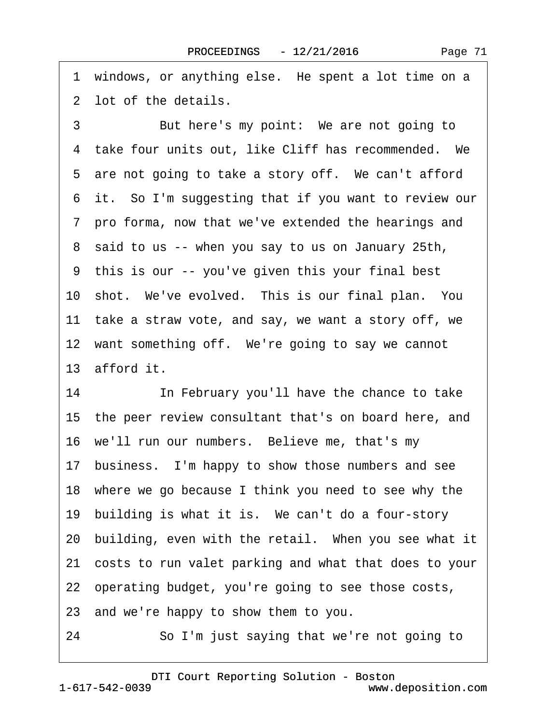1 windows, or anything else. He spent a lot time on a 2 lot of the details.

3 But here's my point: We are not going to 4 take four units out, like Cliff has recommended. We 5 are not going to take a story off. We can't afford 6 it. So I'm suggesting that if you want to review our ·7· pro forma, now that we've extended the hearings and ·8· said to us -- when you say to us on January 25th, ·9· this is our -- you've given this your final best 10 shot. We've evolved. This is our final plan. You 11 take a straw vote, and say, we want a story off, we 12 want something off. We're going to say we cannot 13 afford it.

14 **In February you'll have the chance to take** 15· the peer review consultant that's on board here, and 16· we'll run our numbers.· Believe me, that's my 17 business. I'm happy to show those numbers and see 18 where we go because I think you need to see why the 19 building is what it is. We can't do a four-story 20 building, even with the retail. When you see what it 21· costs to run valet parking and what that does to your 22· operating budget, you're going to see those costs, 23· and we're happy to show them to you.

24 · · So I'm just saying that we're not going to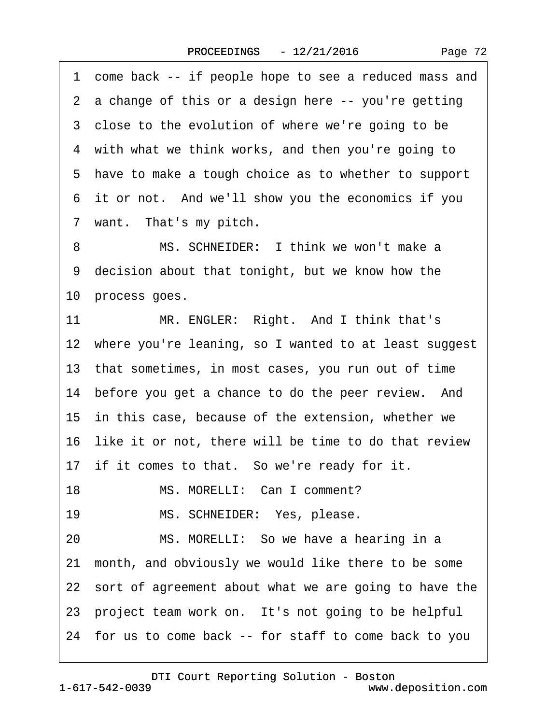·1· come back -- if people hope to see a reduced mass and 2 a change of this or a design here -- you're getting 3 close to the evolution of where we're going to be 4 with what we think works, and then you're going to 5 have to make a tough choice as to whether to support 6 it or not. And we'll show you the economics if you 7 want. That's my pitch. 8 MS. SCHNEIDER: I think we won't make a 9 decision about that tonight, but we know how the 10 process goes. 11 MR. ENGLER: Right. And I think that's 12 where you're leaning, so I wanted to at least suggest 13· that sometimes, in most cases, you run out of time 14 before you get a chance to do the peer review. And 15 in this case, because of the extension, whether we 16 like it or not, there will be time to do that review 17 if it comes to that. So we're ready for it. 18 MS. MORELLI: Can I comment? 19 MS. SCHNEIDER: Yes, please. 20 MS. MORELLI: So we have a hearing in a 21· month, and obviously we would like there to be some 22 sort of agreement about what we are going to have the 23 project team work on. It's not going to be helpful 24· for us to come back -- for staff to come back to you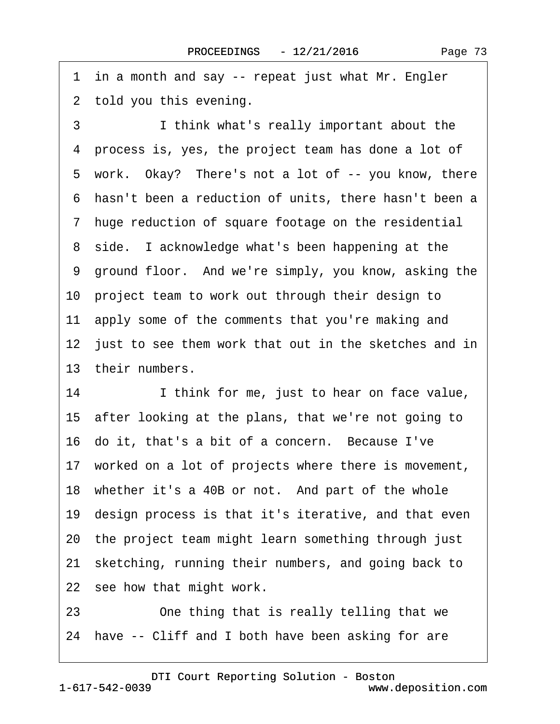Page 73

<span id="page-72-0"></span>1 in a month and say -- repeat just what Mr. Engler 2 told you this evening.

3 **I** think what's really important about the 4 process is, yes, the project team has done a lot of 5 work. Okay? There's not a lot of -- you know, there ·6· hasn't been a reduction of units, there hasn't been a ·7· huge reduction of square footage on the residential 8 side. I acknowledge what's been happening at the 9 ground floor. And we're simply, you know, asking the 10 project team to work out through their design to 11 apply some of the comments that you're making and 12 just to see them work that out in the sketches and in 13 their numbers. 14 I think for me, just to hear on face value,

15· after looking at the plans, that we're not going to

16 do it, that's a bit of a concern. Because I've

17 worked on a lot of projects where there is movement,

18 whether it's a 40B or not. And part of the whole

19· design process is that it's iterative, and that even

20· the project team might learn something through just

21 sketching, running their numbers, and going back to

22 see how that might work.

23 **Dear** Cone thing that is really telling that we

24 have -- Cliff and I both have been asking for are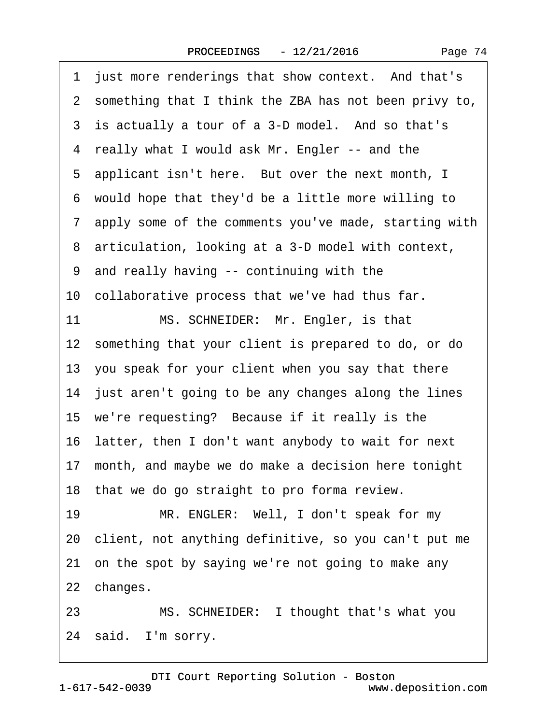|  | Page 74 |  |
|--|---------|--|
|--|---------|--|

<span id="page-73-0"></span>

|    | 1 just more renderings that show context. And that's    |
|----|---------------------------------------------------------|
|    | 2 something that I think the ZBA has not been privy to, |
|    | 3 is actually a tour of a 3-D model. And so that's      |
|    | 4 really what I would ask Mr. Engler -- and the         |
|    | 5 applicant isn't here. But over the next month, I      |
|    | 6 would hope that they'd be a little more willing to    |
|    | 7 apply some of the comments you've made, starting with |
|    | 8 articulation, looking at a 3-D model with context,    |
|    | 9 and really having -- continuing with the              |
|    | 10 collaborative process that we've had thus far.       |
| 11 | MS. SCHNEIDER: Mr. Engler, is that                      |
|    | 12 something that your client is prepared to do, or do  |
|    | 13 you speak for your client when you say that there    |
|    | 14 just aren't going to be any changes along the lines  |
|    | 15 we're requesting? Because if it really is the        |
|    | 16 latter, then I don't want anybody to wait for next   |
|    | 17 month, and maybe we do make a decision here tonight  |
|    | 18 that we do go straight to pro forma review.          |
| 19 | MR. ENGLER: Well, I don't speak for my                  |
|    | 20 client, not anything definitive, so you can't put me |
|    | 21 on the spot by saying we're not going to make any    |
|    | 22 changes.                                             |
| 23 | MS. SCHNEIDER: I thought that's what you                |
|    | 24 said. I'm sorry.                                     |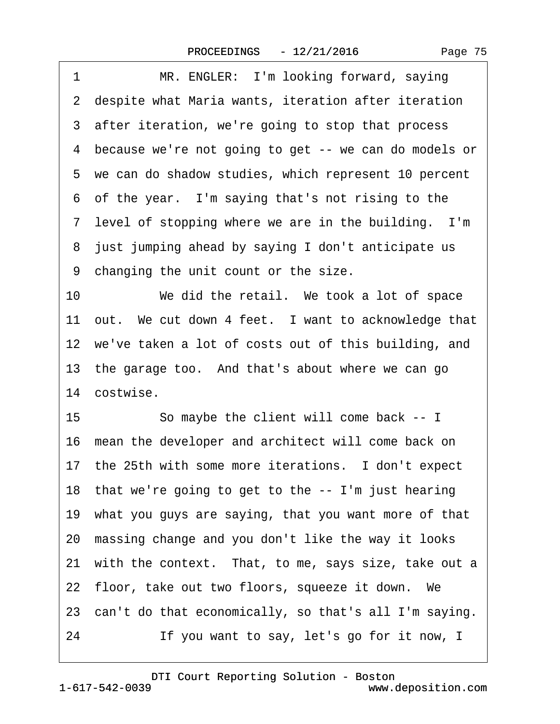<span id="page-74-0"></span> $\sqrt{ }$ 

| MR. ENGLER: I'm looking forward, saying<br>1             |
|----------------------------------------------------------|
| 2 despite what Maria wants, iteration after iteration    |
| 3 after iteration, we're going to stop that process      |
| 4 because we're not going to get -- we can do models or  |
| 5 we can do shadow studies, which represent 10 percent   |
| 6 of the year. I'm saying that's not rising to the       |
| 7 level of stopping where we are in the building. I'm    |
| 8 just jumping ahead by saying I don't anticipate us     |
| 9 changing the unit count or the size.                   |
| 10<br>We did the retail. We took a lot of space          |
| 11 out. We cut down 4 feet. I want to acknowledge that   |
| 12 we've taken a lot of costs out of this building, and  |
| 13 the garage too. And that's about where we can go      |
| 14 costwise.                                             |
| 15<br>So maybe the client will come back -- I            |
| 16 mean the developer and architect will come back on    |
| 17 the 25th with some more iterations. I don't expect    |
| 18 that we're going to get to the -- I'm just hearing    |
| 19 what you guys are saying, that you want more of that  |
| 20 massing change and you don't like the way it looks    |
| 21 with the context. That, to me, says size, take out a  |
| 22 floor, take out two floors, squeeze it down. We       |
| 23 can't do that economically, so that's all I'm saying. |
| If you want to say, let's go for it now, I<br>24         |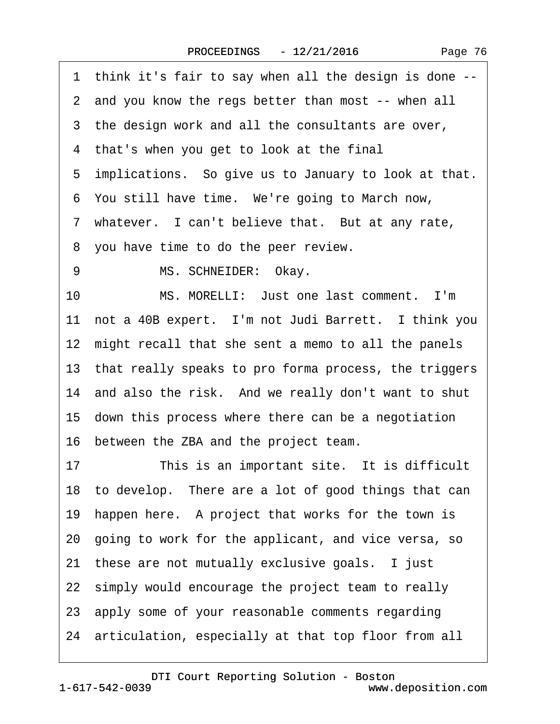<span id="page-75-0"></span>·1· think it's fair to say when all the design is done --

- 2 and you know the regs better than most -- when all
- 3 the design work and all the consultants are over,
- 4 that's when you get to look at the final
- 5 implications. So give us to January to look at that.
- 6 You still have time. We're going to March now,
- 7 whatever. I can't believe that. But at any rate,
- ·8· you have time to do the peer review.
- 9 MS. SCHNEIDER: Okay.

10 MS. MORELLI: Just one last comment. I'm 11 not a 40B expert. I'm not Judi Barrett. I think you 12 might recall that she sent a memo to all the panels 13· that really speaks to pro forma process, the triggers 14 and also the risk. And we really don't want to shut 15· down this process where there can be a negotiation 16· between the ZBA and the project team.

17 This is an important site. It is difficult 18 to develop. There are a lot of good things that can 19 happen here. A project that works for the town is 20· going to work for the applicant, and vice versa, so 21 these are not mutually exclusive goals. I just 22 simply would encourage the project team to really 23· apply some of your reasonable comments regarding 24· articulation, especially at that top floor from all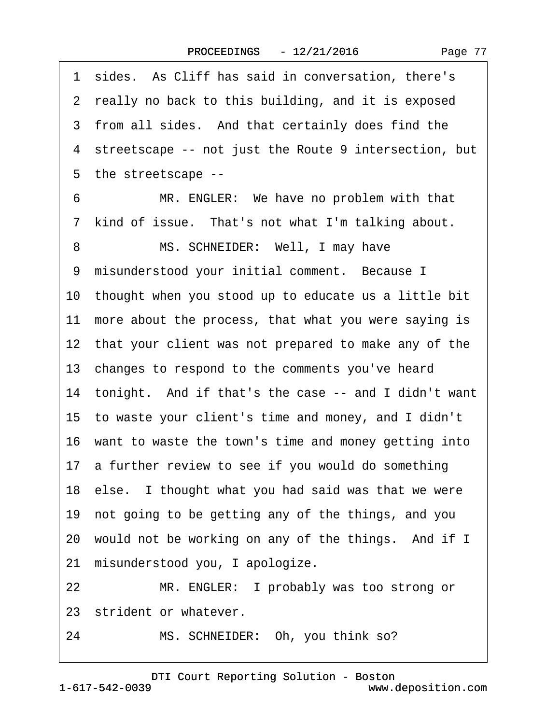Page 77

<span id="page-76-0"></span>1 sides. As Cliff has said in conversation, there's 2 really no back to this building, and it is exposed 3 from all sides. And that certainly does find the ·4· streetscape -- not just the Route 9 intersection, but ·5· the streetscape -- 6 MR. ENGLER: We have no problem with that 7 kind of issue. That's not what I'm talking about. 8 MS. SCHNEIDER: Well, I may have 9 misunderstood your initial comment. Because I 10· thought when you stood up to educate us a little bit 11 more about the process, that what you were saying is 12 that your client was not prepared to make any of the 13 changes to respond to the comments you've heard 14 tonight. And if that's the case -- and I didn't want 15· to waste your client's time and money, and I didn't 16 want to waste the town's time and money getting into 17 a further review to see if you would do something 18 else. I thought what you had said was that we were 19· not going to be getting any of the things, and you 20 would not be working on any of the things. And if I 21 misunderstood you, I apologize. 22 MR. ENGLER: I probably was too strong or 23 strident or whatever.

24 MS. SCHNEIDER: Oh, you think so?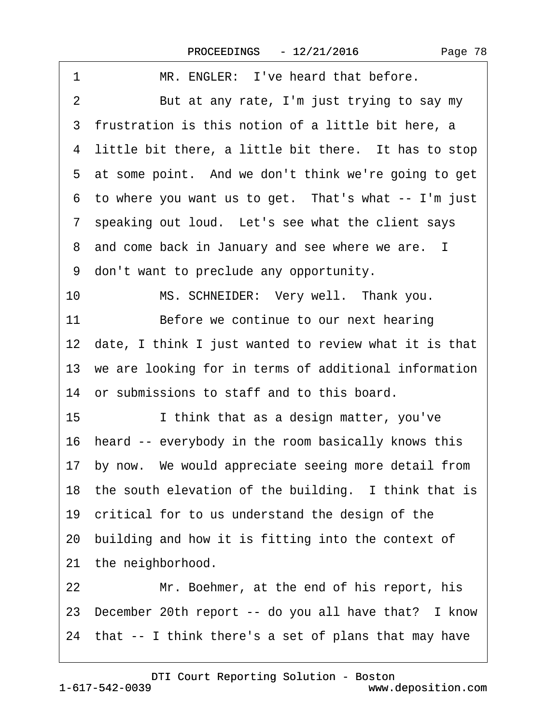<span id="page-77-0"></span>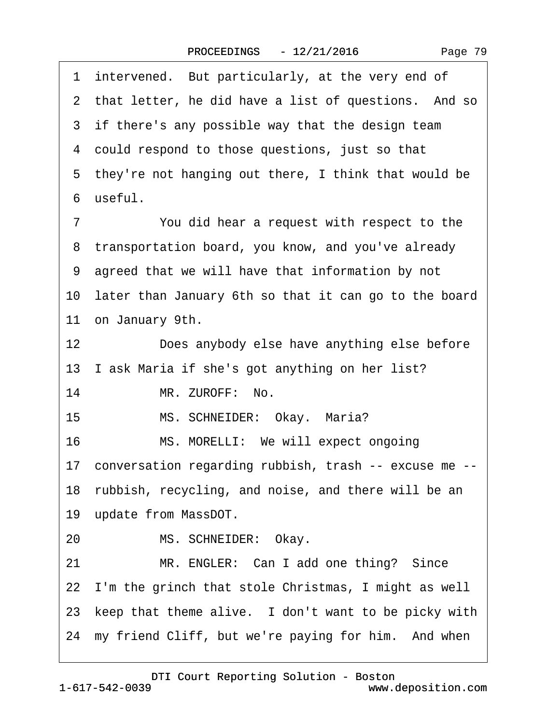<span id="page-78-0"></span>1 intervened. But particularly, at the very end of 2 that letter, he did have a list of questions. And so 3 if there's any possible way that the design team 4 could respond to those questions, just so that 5 they're not hanging out there, I think that would be ·6· useful. 7 You did hear a request with respect to the 8 transportation board, you know, and you've already ·9· agreed that we will have that information by not 10 later than January 6th so that it can go to the board 11 on January 9th. 12 Does anybody else have anything else before 13 I ask Maria if she's got anything on her list? 14 MR. ZUROFF: No. 15 MS. SCHNEIDER: Okay. Maria? 16 MS. MORELLI: We will expect ongoing 17· conversation regarding rubbish, trash -- excuse me -- 18 rubbish, recycling, and noise, and there will be an 19 update from MassDOT. 20 MS. SCHNEIDER: Okay. 21 MR. ENGLER: Can I add one thing? Since 22 I'm the grinch that stole Christmas, I might as well 23 keep that theme alive. I don't want to be picky with 24 my friend Cliff, but we're paying for him. And when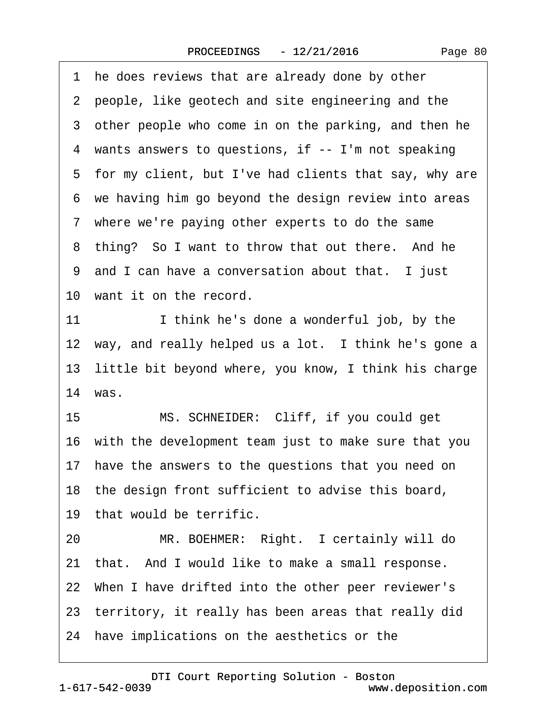<span id="page-79-0"></span>1 he does reviews that are already done by other 2 people, like geotech and site engineering and the 3 other people who come in on the parking, and then he 4 wants answers to questions, if -- I'm not speaking 5 for my client, but I've had clients that say, why are ·6· we having him go beyond the design review into areas 7 where we're paying other experts to do the same 8 thing? So I want to throw that out there. And he 9 and I can have a conversation about that. I just 10 want it on the record. 11 I think he's done a wonderful job, by the 12 way, and really helped us a lot. I think he's gone a 13 little bit beyond where, you know, I think his charge 14 was. 15 MS. SCHNEIDER: Cliff, if you could get 16 with the development team just to make sure that you 17 have the answers to the questions that you need on 18 the design front sufficient to advise this board, 19 that would be terrific. 20 MR. BOEHMER: Right. I certainly will do 21 that. And I would like to make a small response. 22· When I have drifted into the other peer reviewer's 23· territory, it really has been areas that really did 24· have implications on the aesthetics or the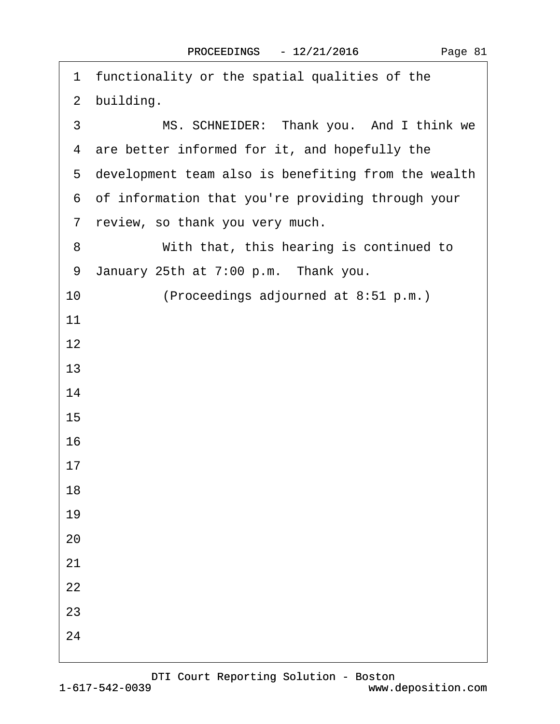<span id="page-80-0"></span>

| 1 functionality or the spatial qualities of the       |
|-------------------------------------------------------|
| 2 building.                                           |
| MS. SCHNEIDER: Thank you. And I think we<br>3         |
| 4 are better informed for it, and hopefully the       |
| 5 development team also is benefiting from the wealth |
| 6 of information that you're providing through your   |
| 7 review, so thank you very much.                     |
| With that, this hearing is continued to<br>8          |
| January 25th at 7:00 p.m. Thank you.<br>9             |
| 10<br>(Proceedings adjourned at 8:51 p.m.)            |
| 11                                                    |
| 12                                                    |
| 13                                                    |
| 14                                                    |
| 15                                                    |
| 16                                                    |
| 17                                                    |
| 18                                                    |
| 19                                                    |
| 20                                                    |
| 21                                                    |
| 22                                                    |
| 23                                                    |
| 24                                                    |
|                                                       |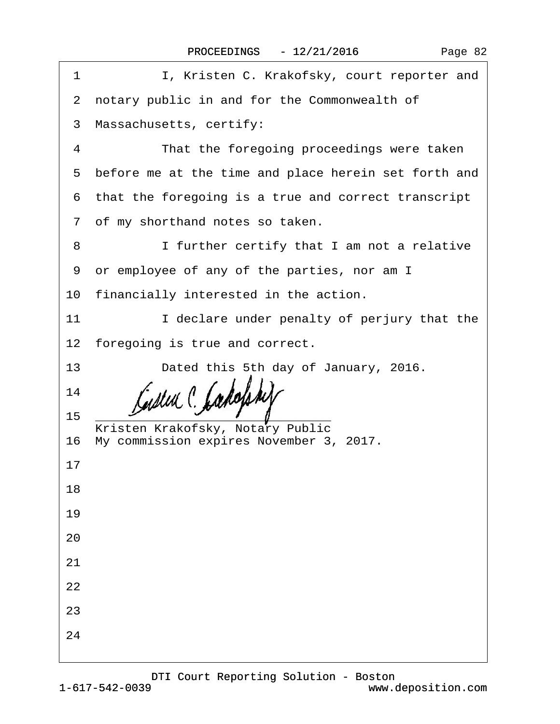| I, Kristen C. Krakofsky, court reporter and<br>1       |  |
|--------------------------------------------------------|--|
| 2 notary public in and for the Commonwealth of         |  |
| 3 Massachusetts, certify:                              |  |
| That the foregoing proceedings were taken<br>4         |  |
| 5 before me at the time and place herein set forth and |  |
| 6 that the foregoing is a true and correct transcript  |  |
| 7 of my shorthand notes so taken.                      |  |
| I further certify that I am not a relative<br>8        |  |
| 9 or employee of any of the parties, nor am I          |  |
| 10 financially interested in the action.               |  |
| 11<br>I declare under penalty of perjury that the      |  |
| 12 foregoing is true and correct.                      |  |
| 13<br>Dated this 5th day of January, 2016.             |  |
| 14                                                     |  |
| 15<br>Kristen Krakofsky, Notary Public                 |  |
| 16 My commission expires November 3, 2017.             |  |
| 17                                                     |  |
| 18                                                     |  |
| 19                                                     |  |
| 20                                                     |  |
| 21                                                     |  |
| 22                                                     |  |
| 23                                                     |  |
| 24                                                     |  |
|                                                        |  |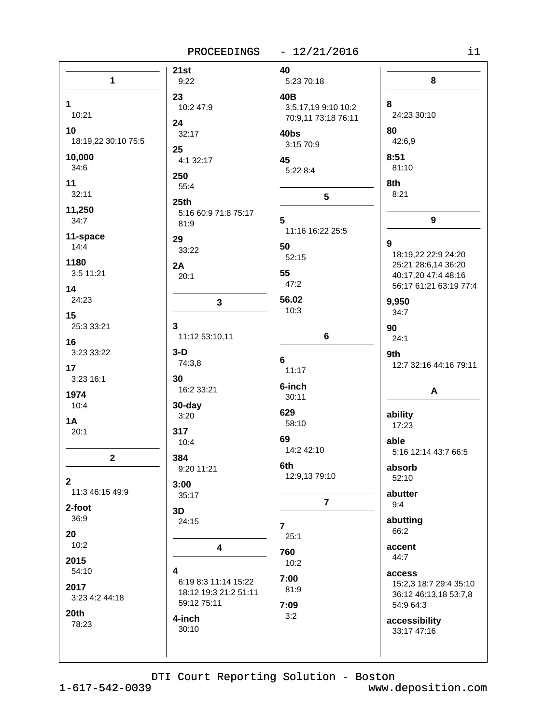#### PROCEEDINGS - 12/21/2016

| n e s |  |
|-------|--|
|       |  |
|       |  |

|                                 | 21st                      | 40                  |                                  |
|---------------------------------|---------------------------|---------------------|----------------------------------|
| $\mathbf{1}$                    | 9:22                      | 5:23 70:18          | 8                                |
|                                 | 23                        | 40B                 |                                  |
| $\mathbf 1$                     | 10:2 47:9                 | 3:5,17,19 9:10 10:2 | 8                                |
| 10:21                           | 24                        | 70:9,11 73:18 76:11 | 24:23 30:10                      |
| 10                              | 32:17                     | 40bs                | 80                               |
| 18:19,22 30:10 75:5             | 25                        | 3:15 70:9           | 42:6,9                           |
| 10,000                          | 4:1 32:17                 | 45                  | 8:51                             |
| 34:6                            | 250                       | 5:22 8:4            | 81:10                            |
| 11                              | 55:4                      |                     | 8th                              |
| 32:11                           | 25th                      | 5                   | 8:21                             |
| 11,250                          | 5:16 60:9 71:8 75:17      |                     |                                  |
| 34:7                            | 81:9                      | 5                   | 9                                |
| 11-space                        | 29                        | 11:16 16:22 25:5    | 9                                |
| 14:4                            | 33:22                     | 50                  | 18:19,22 22:9 24:20              |
| 1180                            | 2A                        | 52:15               | 25:21 28:6,14 36:20              |
| 3:5 11:21                       | 20:1                      | 55                  | 40:17,20 47:4 48:16              |
| 14                              |                           | 47:2                | 56:17 61:21 63:19 77:4           |
| 24:23                           | $\mathbf{3}$              | 56.02               | 9,950                            |
| 15                              |                           | 10:3                | 34:7                             |
| 25:3 33:21                      | 3                         |                     | 90                               |
| 16                              | 11:12 53:10,11            | $6\phantom{a}$      | 24:1                             |
| 3:23 33:22                      | $3-D$                     | 6                   | 9th                              |
| 17                              | 74:3,8                    | 11:17               | 12:7 32:16 44:16 79:11           |
| 3:23 16:1                       | 30                        | 6-inch              |                                  |
| 1974                            | 16:2 33:21                | 30:11               | A                                |
| 10:4                            | 30-day                    | 629                 |                                  |
| <b>1A</b>                       | 3:20                      | 58:10               | ability<br>17:23                 |
| 20:1                            | 317                       | 69                  |                                  |
|                                 | 10:4                      | 14:2 42:10          | able<br>5:16 12:14 43:7 66:5     |
| $\mathbf 2$                     | 384                       | 6th                 |                                  |
|                                 | 9:20 11:21                | 12:9,13 79:10       | absorb<br>52:10                  |
| $\mathbf{2}$<br>11:3 46:15 49:9 | 3:00                      |                     |                                  |
|                                 | 35:17                     | $\overline{7}$      | abutter<br>9:4                   |
| 2-foot<br>36:9                  | 3D                        |                     |                                  |
|                                 | 24:15                     | $\overline{7}$      | abutting<br>66:2                 |
| 20<br>10:2                      |                           | 25:1                |                                  |
|                                 | 4                         | 760                 | accent<br>44:7                   |
| 2015                            |                           | 10:2                |                                  |
| 54:10                           | 4<br>6:19 8:3 11:14 15:22 | 7:00                | access<br>15:2,3 18:7 29:4 35:10 |
| 2017                            | 18:12 19:3 21:2 51:11     | 81:9                | 36:12 46:13,18 53:7,8            |
| 3:23 4:2 44:18                  | 59:12 75:11               | 7:09                | 54:9 64:3                        |
| 20th                            | 4-inch                    | 3:2                 | accessibility                    |
| 78:23                           | 30:10                     |                     | 33:17 47:16                      |
|                                 |                           |                     |                                  |
|                                 |                           |                     |                                  |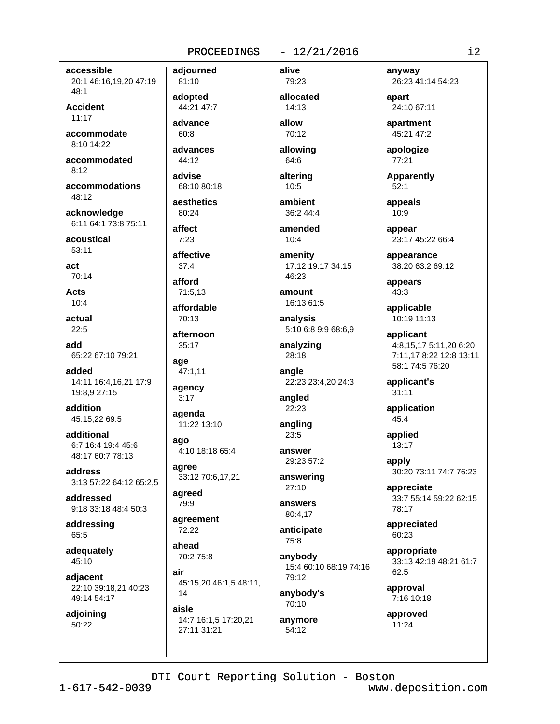accessible 20:1 46:16,19,20 47:19 48:1

**Accident**  $11:17$ 

accommodate 8:10 14:22

accommodated  $8.12$ 

accommodations  $48.12$ 

acknowledge 6:11 64:1 73:8 75:11

acoustical  $53:11$ 

act  $70.14$ 

**Acts**  $10:4$ 

actual  $22:5$ 

add 65:22 67:10 79:21

added 14:11 16:4,16,21 17:9 19:8,9 27:15

addition 45:15,22 69:5

additional 6:7 16:4 19:4 45:6 48:17 60:7 78:13

address 3:13 57:22 64:12 65:2,5

addressed 9:18 33:18 48:4 50:3

addressing 65:5

adequately 45:10

adjacent 22:10 39:18,21 40:23 49:14 54:17

adjoining 50:22

81:10 adopted 44:21 47:7

adiourned

advance  $60:8$ 

advances  $44:12$ 

advise 68:10 80:18

aesthetics 80:24

affect  $7:23$ 

affective

 $37:4$ afford

71:5.13

affordable 70:13

afternoon 35:17

age 47:1.11

agency  $3:17$ 

agenda 11:22 13:10

ago

4:10 18:18 65:4 agree

33:12 70:6,17,21 agreed

79:9

agreement 72:22

ahead 70:2 75:8

air 45:15,20 46:1,5 48:11, 14

aisle 14:7 16:1,5 17:20,21 27:11 31:21

allocated 14:13 allow

alive

79:23

 $-12/21/2016$ 

70:12

allowing 64:6

altering  $10:5$ 

ambient 36:2 44:4

amended  $10:4$ 

amenity 17:12 19:17 34:15  $46.23$ 

amount 16:13 61:5

analysis 5:10 6:8 9:9 68:6,9

analyzing 28:18

angle 22:23 23:4,20 24:3

angled 22:23

angling  $23:5$ 

answer 29:23 57:2 answering

27:10 answers

80:4,17

anticipate 75:8

anybody 15:4 60:10 68:19 74:16  $79.12$ 

anybody's 70:10

anymore 54:12

anyway 26:23 41:14 54:23

apart 24:10 67:11

apartment 45:21 47:2

apologize 77:21

**Apparently**  $52:1$ 

appeals  $10:9$ 

appear 23:17 45:22 66:4

appearance 38:20 63:2 69:12

appears  $43:3$ 

applicable 10:19 11:13

applicant 4:8,15,17 5:11,20 6:20 7:11.17 8:22 12:8 13:11 58:1 74:5 76:20

applicant's  $31:11$ 

application  $45:4$ 

applied 13:17

apply 30:20 73:11 74:7 76:23

appreciate 33:7 55:14 59:22 62:15 78:17

appreciated 60:23

appropriate 33:13 42:19 48:21 61:7 62:5

approval 7:16 10:18

approved 11:24

DTI Court Reporting Solution - Boston

 $1 - 617 - 542 - 0039$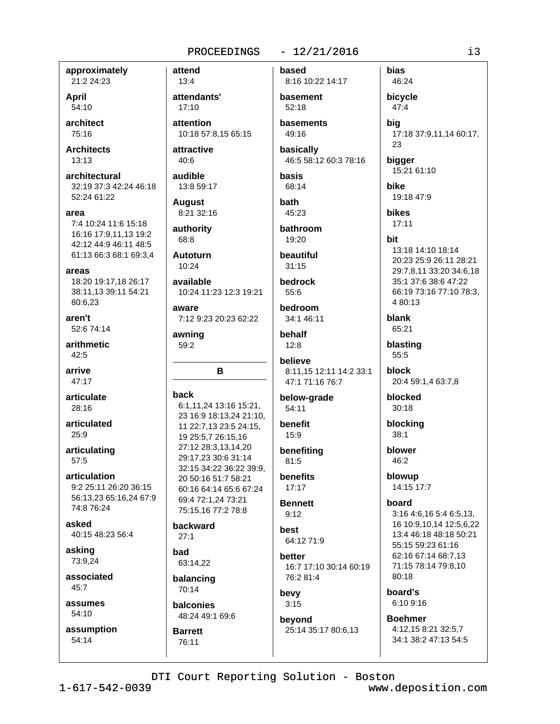#### $-12/21/2016$

approximately 21:2 24:23

April 54:10

architect 75:16

**Architects**  $13:13$ 

architectural 32:19 37:3 42:24 46:18 52:24 61:22

area

7:4 10:24 11:6 15:18 16:16 17:9,11,13 19:2 42:12 44:9 46:11 48:5 61:13 66:3 68:1 69:3,4

areas

18:20 19:17,18 26:17 38:11,13 39:11 54:21 80:6.23

aren't 52:6 74:14

arithmetic  $42.5$ 

arrive 47:17

articulate 28:16

articulated  $25:9$ 

articulating  $57:5$ 

articulation 9:2 25:11 26:20 36:15 56:13,23 65:16,24 67:9 74:8 76:24

asked 40:15 48:23 56:4

asking 73:9,24

associated  $45:7$ 

assumes 54:10

assumption 54:14

attend  $13:4$ attendants'  $17:10$ attention 10:18 57:8,15 65:15 attractive

 $40:6$ audible

13:8 59:17

**August** 8:21 32:16

authority 68:8

**Autoturn**  $10:24$ 

available 10:24 11:23 12:3 19:21

aware 7:12 9:23 20:23 62:22

awning 59:2

#### B

back

6:1,11,24 13:16 15:21, 23 16:9 18:13,24 21:10, 11 22:7,13 23:5 24:15, 19 25:5,7 26:15,16 27:12 28:3,13,14,20 29:17,23 30:6 31:14 32:15 34:22 36:22 39:9, 20 50:16 51:7 58:21 60:16 64:14 65:6 67:24 69:4 72:1.24 73:21 75:15.16 77:2 78:8

backward  $27:1$ 

bad 63:14.22

**Barrett** 

76:11

balancing 70:14

balconies 48:24 49:1 69:6

8:16 10:22 14:17 basement 52:18 **hasements** 49:16 basically 46:5 58:12 60:3 78:16 **basis** 68:14 bath 45:23

based

bathroom 19:20

beautiful  $31:15$ 

```
bedrock
 55:6
```
bedroom 34:1 46:11

behalf  $12:8$ 

believe 8:11,15 12:11 14:2 33:1 47:1 71:16 76:7

below-grade 54:11

benefit 15:9

benefiting  $81:5$ **benefits** 

 $17:17$ **Bennett** 

 $9:12$ hest

64:12 71:9

hetter 16:7 17:10 30:14 60:19 76:2 81:4

bevy  $3:15$ 

beyond 25:14 35:17 80:6,13

46:24 bicycle 47:4 bia 17:18 37:9,11,14 60:17, 23 bigger 15:21 61:10 **bike** 19:18 47:9 **bikes**  $17:11$ 13:18 14:10 18:14 20:23 25:9 26:11 28:21 29:7,8,11 33:20 34:6,18 35:1 37:6 38:6 47:22 66:19 73:16 77:10 78:3, 4 80:13 blank 65:21 blasting  $55:5$ block 20:4 59:1,4 63:7,8 blocked  $30:18$ 

blocking  $38:1$ 

blower 46:2

**bias** 

bit

blowup 14:15 17:7

hoard

3:16 4:6,16 5:4 6:5,13, 16 10:9,10,14 12:5,6,22 13:4 46:18 48:18 50:21 55:15 59:23 61:16 62:16 67:14 68:7,13 71:15 78:14 79:8,10 80:18

hoard's 6:10 9:16

**Boehmer** 4:12,15 8:21 32:5,7 34:1 38:2 47:13 54:5

DTI Court Reporting Solution - Boston

www.deposition.com

i3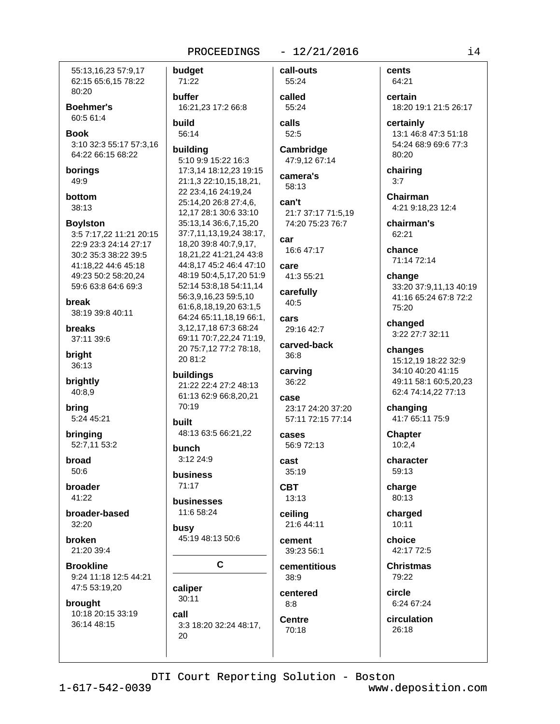55:13.16.23 57:9.17 62:15 65:6,15 78:22 80:20 **Boehmer's** 60:5 61:4 **Book** 3:10 32:3 55:17 57:3,16 64:22 66:15 68:22 borings 49:9 bottom 38:13 **Boylston** 3:5 7:17,22 11:21 20:15 22:9 23:3 24:14 27:17 30:2 35:3 38:22 39:5 41:18,22 44:6 45:18 49:23 50:2 58:20,24 59:6 63:8 64:6 69:3 hreak 38:19 39:8 40:11 **breaks** 37:11 39:6 briaht 36:13 brightly 40:8,9 bring 5:24 45:21 built bringing 52:7,11 53:2 broad  $50:6$ broader  $41:22$ broader-based 32:20 broken 21:20 39:4 **Brookline** 9:24 11:18 12:5 44:21 47:5 53:19,20 brought 10:18 20:15 33:19 call 36:14 48:15 20

call-outs budget 71:22 55:24 buffer called 16:21.23 17:2 66:8 55:24 **build** calls 56:14 52:5 buildina 5:10 9:9 15:22 16:3 17:3,14 18:12,23 19:15 21:1.3 22:10.15.18.21. 58:13 22 23:4,16 24:19,24 25:14,20 26:8 27:4,6, can't 12,17 28:1 30:6 33:10 35:13,14 36:6,7,15,20 37:7,11,13,19,24 38:17, car 18,20 39:8 40:7,9,17, 18,21,22 41:21,24 43:8 44:8,17 45:2 46:4 47:10 Care 48:19 50:4,5,17,20 51:9 52:14 53:8,18 54:11,14 carefully 56:3,9,16,23 59:5,10 40:5 61:6,8,18,19,20 63:1,5 64:24 65:11,18,19 66:1, cars 3,12,17,18 67:3 68:24 69:11 70:7,22,24 71:19, carved-back 20 75:7,12 77:2 78:18,  $36:8$ 20 81:2 carving buildings 36:22 21:22 22:4 27:2 48:13 61:13 62:9 66:8,20,21 case 70:19 48:13 63:5 66:21,22 cases bunch  $3:1224:9$ cast  $35:19$ **business**  $71:17$ **CBT** 13:13 businesses 11:6 58:24 ceiling busy 45:19 48:13 50:6 cement C 38:9 caliper  $30:11$  $8:8$ **Centre** 3:3 18:20 32:24 48:17. 70:18

 $-12/21/2016$ 

Cambridge 47:9,12 67:14

camera's

21:7 37:17 71:5.19 74:20 75:23 76:7

16:6 47:17

41:3 55:21

29:16 42:7

23:17 24:20 37:20 57:11 72:15 77:14

56:9 72:13

21:6 44:11

39:23 56:1 cementitious

centered

cents 64:21

certain 18:20 19:1 21:5 26:17

certainly 13:1 46:8 47:3 51:18 54:24 68:9 69:6 77:3 80:20

chairing  $3:7$ 

**Chairman** 4:21 9:18,23 12:4

chairman's 62:21

chance 71:14 72:14

change 33:20 37:9,11,13 40:19 41:16 65:24 67:8 72:2 75:20

changed 3:22 27:7 32:11

changes 15:12,19 18:22 32:9 34:10 40:20 41:15 49:11 58:1 60:5.20.23 62:4 74:14,22 77:13

changing 41:7 65:11 75:9

**Chapter**  $10:2.4$ 

character 59:13

charge 80:13

charged  $10:11$ 

choice 42:17 72:5

**Christmas** 79:22

circle 6:24 67:24

circulation 26:18

DTI Court Reporting Solution - Boston

 $1 - 617 - 542 - 0039$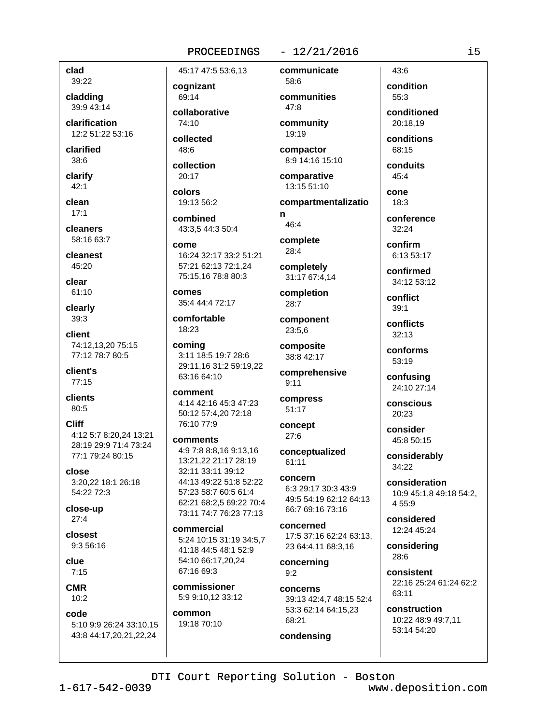#### $-12/21/2016$

clad 39:22

cladding 39:9 43:14

clarification 12:2 51:22 53:16

clarified  $38:6$ 

clarify  $42:1$ 

clean  $17:1$ 

cleaners 58:16 63:7

cleanest

45:20 clear

61:10

clearly  $39:3$ 

client 74:12,13,20 75:15 77:12 78:7 80:5

client's  $77:15$ 

clients 80:5

**Cliff** 4:12 5:7 8:20,24 13:21 28:19 29:9 71:4 73:24 77:1 79:24 80:15

close 3:20,22 18:1 26:18 54:22 72:3

close-up  $27:4$ 

closest  $9:356:16$ 

clue  $7:15$ 

**CMR**  $10:2$ 

code 5:10 9:9 26:24 33:10,15 43:8 44:17,20,21,22,24

45:17 47:5 53:6,13

cognizant 69:14

collaborative  $74.10$ 

collected  $48:6$ 

collection  $20:17$ 

colors 19:13 56:2

combined 43:3.5 44:3 50:4

come 16:24 32:17 33:2 51:21 57:21 62:13 72:1.24 75:15,16 78:8 80:3

comes 35:4 44:4 72:17

comfortable 18:23

coming 3:11 18:5 19:7 28:6 29:11,16 31:2 59:19,22 63:16 64:10

comment 4:14 42:16 45:3 47:23 50:12 57:4,20 72:18 76:10 77:9

comments 4:9 7:8 8:8,16 9:13,16 13:21,22 21:17 28:19 32:11 33:11 39:12 44:13 49:22 51:8 52:22 57:23 58:7 60:5 61:4 62:21 68:2.5 69:22 70:4 73:11 74:7 76:23 77:13

commercial 5:24 10:15 31:19 34:5,7 41:18 44:5 48:1 52:9 54:10 66:17,20,24 67:16 69:3

commissioner 5:9 9:10,12 33:12

common 19:18 70:10

 $58.6$ communities  $47:8$ 

communicate

community 19:19

compactor 8:9 14:16 15:10

comparative 13:15 51:10

compartmentalizatio n

46:4 complete

28:4

completely 31:17 67:4,14

completion  $28:7$ 

component 23:5,6

composite 38:8 42:17

comprehensive  $9:11$ 

compress  $51:17$ 

concept  $27:6$ 

conceptualized 61:11

concern 6:3 29:17 30:3 43:9 49:5 54:19 62:12 64:13 66:7 69:16 73:16

concerned 17:5 37:16 62:24 63:13. 23 64:4,11 68:3,16

concerning  $Q \cdot 2$ 

concerns 39:13 42:4,7 48:15 52:4 53:3 62:14 64:15,23 68:21

condensing

condition 55:3

 $43:6$ 

conditioned 20:18.19

conditions 68:15

conduits  $45:4$ 

cone  $18:3$ 

conference  $32.24$ 

confirm 6:13 53:17

confirmed 34:12 53:12

conflict  $39:1$ 

conflicts  $32:13$ 

conforms 53:19

confusing 24:10 27:14

conscious 20:23

consider 45:8 50:15

considerably 34:22

consideration 10:9 45:1,8 49:18 54:2, 4 55:9

considered 12:24 45:24

considering 28:6

consistent 22:16 25:24 61:24 62:2 63:11

construction 10:22 48:9 49:7,11 53:14 54:20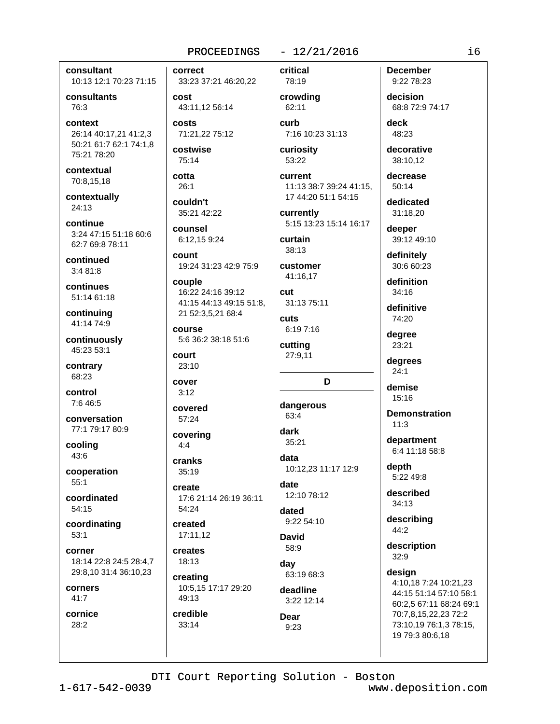#### consultant 10:13 12:1 70:23 71:15

consultants 76:3

context 26:14 40:17,21 41:2,3 50:21 61:7 62:1 74:1,8 75:21 78:20

contextual 70:8,15,18

contextually 24:13

continue 3:24 47:15 51:18 60:6 62:7 69:8 78:11

continued  $3:481:8$ 

continues 51:14 61:18

continuing 41:14 74:9

continuously 45:23 53:1

contrary 68:23

control 7:6 46:5

conversation 77:1 79:17 80:9

cooling 43:6

cooperation  $55:1$ 

coordinated 54:15

coordinating  $53:1$ 

corner 18:14 22:8 24:5 28:4,7 29:8,10 31:4 36:10,23

corners  $41:7$ 

cornice 28:2

correct 33:23 37:21 46:20,22

cost 43:11.12 56:14

costs 71:21,22 75:12

costwise 75:14

cotta  $26:1$ 

couldn't 35:21 42:22

counsel 6:12,15 9:24

count 19:24 31:23 42:9 75:9

couple 16:22 24:16 39:12 41:15 44:13 49:15 51:8, 21 52:3,5,21 68:4

course 5:6 36:2 38:18 51:6

court 23:10

cover  $3:12$ 

covered 57:24

covering  $4:4$ 

cranks  $35:19$ 

create 17:6 21:14 26:19 36:11 54:24

created 17:11.12

creates  $18:13$ 

creating 10:5,15 17:17 29:20 49:13

credible 33:14

 $-12/21/2016$ 

critical

```
78:19
crowding
 62:11
```
curb 7:16 10:23 31:13

curiosity 53:22

current 11:13 38:7 39:24 41:15, 17 44:20 51:1 54:15

currently 5:15 13:23 15:14 16:17

curtain 38:13

customer 41:16.17

cut 31:13 75:11 cuts

6:19 7:16 cutting

27:9,11

# D

dangerous 63:4

```
dark
 35:21
```
data 10:12,23 11:17 12:9

date 12:10 78:12

dated 9:22 54:10

**David** 58:9 day

63:19 68:3 deadline

3:22 12:14 **Dear**  $9:23$ 

**December** 9:22 78:23

decision 68:8 72:9 74:17

deck 48:23

decorative 38:10.12

decrease  $50:14$ 

dedicated 31:18.20

deeper 39:12 49:10

definitely 30:6 60:23

definition 34:16

definitive 74:20

degree 23:21

degrees  $24:1$ 

demise 15:16

**Demonstration**  $11:3$ 

department 6:4 11:18 58:8

depth 5:22 49:8

described  $34:13$ 

describing 44:2

description 32:9

design 4:10,18 7:24 10:21,23 44:15 51:14 57:10 58:1

60:2,5 67:11 68:24 69:1 70:7,8,15,22,23 72:2 73:10,19 76:1,3 78:15, 19 79:3 80:6,18

DTI Court Reporting Solution - Boston

 $1 - 617 - 542 - 0039$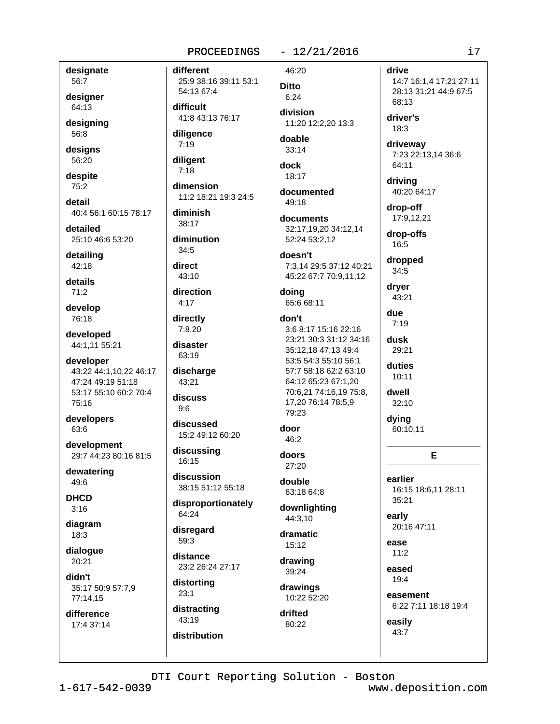#### designate 56:7

designer 64:13

designing 56:8

designs 56:20

despite 75:2

detail 40:4 56:1 60:15 78:17

detailed 25:10 46:6 53:20

detailing  $42:18$ 

details  $71:2$ 

develop 76:18

developed 44:1,11 55:21

developer 43:22 44:1,10,22 46:17 47:24 49:19 51:18 53:17 55:10 60:2 70:4 75:16

developers 63:6

development 29:7 44:23 80:16 81:5

dewatering 49:6

**DHCD**  $3:16$ 

diagram 18:3

dialogue  $20:21$ 

didn't 35:17 50:9 57:7,9 77:14,15

difference 17:4 37:14 different 25:9 38:16 39:11 53:1 54:13 67:4 difficult

41:8 43:13 76:17

diligence  $7:19$ 

diligent  $7:18$ 

dimension 11:2 18:21 19:3 24:5

#### diminish 38:17

diminution  $34:5$ 

direct  $43:10$ 

direction

 $4:17$ 

directly  $7:8,20$ 

disaster 63:19

discharge 43:21

discuss  $9:6$ 

discussed 15:2 49:12 60:20

discussing 16:15

discussion 38:15 51:12 55:18

disproportionately 64:24

disregard 59:3

distance 23:2 26:24 27:17

distorting  $23:1$ 

distracting 43:19 distribution 46:20

 $-12/21/2016$ 

**Ditto**  $6:24$ division

11:20 12:2.20 13:3

doable  $33:14$ 

dock 18:17

documented 49:18

documents 32:17,19,20 34:12,14 52:24 53:2,12

#### doesn't

7:3.14 29:5 37:12 40:21 45:22 67:7 70:9,11,12

#### doing 65:6 68:11

don't

3:6 8:17 15:16 22:16 23:21 30:3 31:12 34:16 35:12.18 47:13 49:4 53:5 54:3 55:10 56:1 57:7 58:18 62:2 63:10 64:12 65:23 67:1.20 70:6,21 74:16,19 75:8, 17,20 76:14 78:5,9 79:23

door 46:2

doors 27:20

double 63:18 64:8

downlighting 44:3,10

dramatic  $15:12$ 

drawing 39:24

drawings 10:22 52:20

drifted 80:22

#### drive

14:7 16:1,4 17:21 27:11 28:13 31:21 44:9 67:5 68:13

driver's  $18:3$ 

driveway 7:23 22:13,14 36:6 64:11

driving 40:20 64:17

drop-off 17:9.12.21

drop-offs 16:5

dropped  $34:5$ 

> dryer 43:21

due  $7:19$ 

dusk 29:21

duties  $10:11$ 

dwell 32:10

dying 60:10,11

E

oarlier 16:15 18:6,11 28:11 35:21

early 20:16 47:11

ease  $11:2$ 

eased  $19:4$ 

> easement 6:22 7:11 18:18 19:4

easily 43:7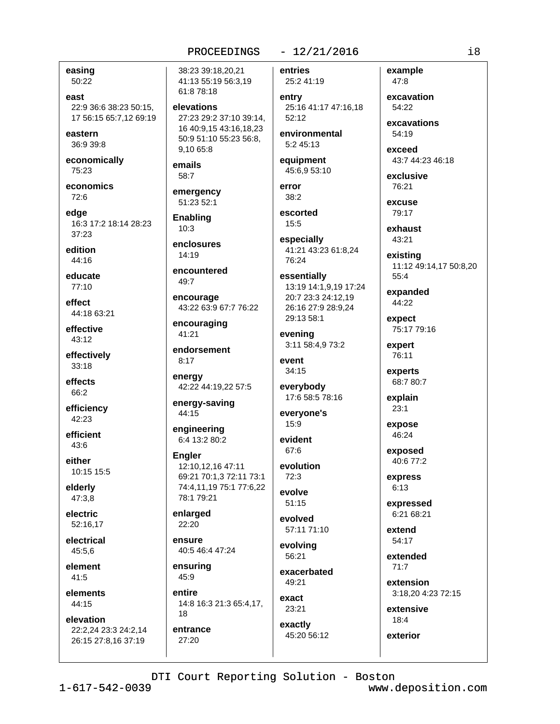easing 50:22

east 22:9 36:6 38:23 50:15. 17 56:15 65:7,12 69:19

eastern 36:9 39:8

economically 75:23

economics  $72.6$ 

edae 16:3 17:2 18:14 28:23  $37:23$ 

edition 44:16

educate 77:10

effect 44:18 63:21

effective 43:12

effectively  $33:18$ 

effects 66:2

efficiency 42:23

efficient  $43:6$ 

either 10:15 15:5

elderly 47:3,8

electric 52:16,17

electrical 45:5.6

element  $41:5$ 

elements 44:15

elevation 22:2,24 23:3 24:2,14 26:15 27:8,16 37:19

38:23 39:18.20.21 41:13 55:19 56:3,19 61:8 78:18

elevations 27:23 29:2 37:10 39:14. 16 40:9,15 43:16,18,23 50:9 51:10 55:23 56:8, 9.10 65:8

emails 58:7

emergency 51:23 52:1

Enabling  $10:3$ 

enclosures  $14.19$ 

encountered 49:7

encourage 43:22 63:9 67:7 76:22

encouraging 41:21

endorsement  $8:17$ 

energy 42:22 44:19,22 57:5

energy-saving 44:15

engineering 6:4 13:2 80:2

**Engler** 12:10.12.16 47:11 69:21 70:1,3 72:11 73:1 74:4,11,19 75:1 77:6,22 78:1 79:21

enlarged 22:20

ensure 40:5 46:4 47:24

ensuring 45:9

entire 14:8 16:3 21:3 65:4,17,

18 entrance 27:20

### $-12/21/2016$

entries

25:2 41:19 entry 25:16 41:17 47:16,18  $52:12$ 

environmental 5:2 45:13

equipment 45:6.9 53:10

error  $38:2$ 

escorted  $15:5$ 

especially 41:21 43:23 61:8,24 76:24

essentially 13:19 14:1,9,19 17:24 20:7 23:3 24:12.19 26:16 27:9 28:9,24 29:13 58:1

evening 3:11 58:4,9 73:2

event 34:15

everybody 17:6 58:5 78:16

everyone's  $15:9$ 

evident 67:6

evolution  $72:3$ 

evolve  $51:15$ 

evolved 57:11 71:10

evolvina  $56.21$ 

exacerbated 49:21

exact 23:21

exactly 45:20 56:12 excavations 54:19

example

excavation

47:8

54:22

exceed 43:7 44:23 46:18

exclusive 76:21

excuse 79:17

exhaust 43:21

existing 11:12 49:14,17 50:8,20  $55:4$ 

expanded 44:22

expect 75:17 79:16

expert 76:11

experts 68:7 80:7

explain  $23:1$ 

expose 46:24

exposed 40:6 77:2

express  $6:13$ 

expressed 6:21 68:21

extend 54:17

> extended  $71:7$

extension 3:18,20 4:23 72:15

extensive  $18:4$ 

exterior

DTI Court Reporting Solution - Boston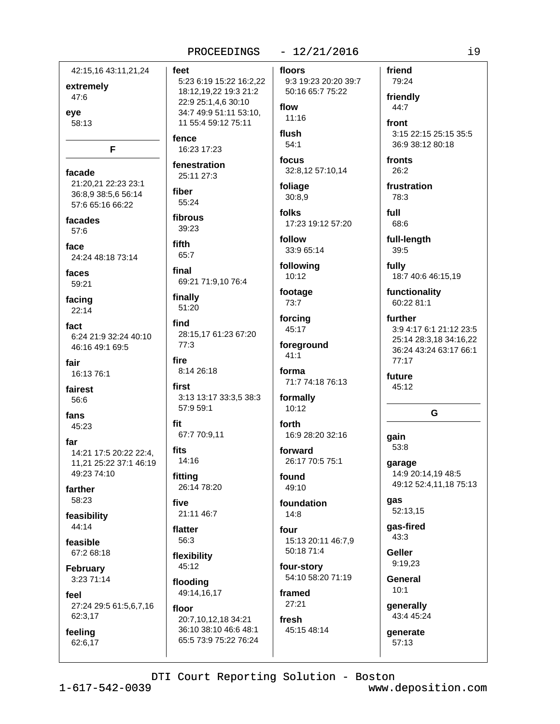| 42:15,16 43:11,21,24<br>extremely<br>47:6               | feet<br>5:2<br>18:<br>22:<br>34: |
|---------------------------------------------------------|----------------------------------|
| eye<br>58:13                                            | 11                               |
| F                                                       | fenc<br>16:                      |
| facade                                                  | fene                             |
| 21:20,21 22:23 23:1                                     | 25:                              |
| 36:8,9 38:5,6 56:14                                     | fibe                             |
| 57:6 65:16 66:22                                        | 55.                              |
| facades                                                 | fibro                            |
| 57:6                                                    | 39:                              |
| face                                                    | fifth                            |
| 24:24 48:18 73:14                                       | 65:                              |
| faces                                                   | fina                             |
| 59:21                                                   | 69:                              |
| facing                                                  | fina                             |
| 22:14                                                   | 51:                              |
| fact                                                    | find                             |
| 6:24 21:9 32:24 40:10                                   | 28:                              |
| 46:16 49:1 69:5                                         | 77:                              |
| fair                                                    | fire                             |
| 16:13 76:1                                              | 8:1                              |
| fairest<br>56:6                                         | first<br>3:1<br>57:              |
| fans                                                    | fit                              |
| 45:23                                                   | 67:                              |
| far<br>14:21 17:5 20:22 22:4,<br>11,21 25:22 37:1 46:19 | <b>fits</b><br>14:               |
| 49:23 74:10                                             | fittir                           |
| farther                                                 | 26:                              |
| 58:23                                                   | five                             |
| feasibility                                             | 21:                              |
| 44:14                                                   | flatt                            |
| feasible                                                | 56:                              |
| 67:2 68:18                                              | flexi<br>45.                     |
| February<br>3:23 71:14                                  | floo                             |
| feel                                                    | 49:                              |
| 27:24 29:5 61:5,6,7,16                                  | floo                             |
| 62:3,17                                                 | 20:                              |
| feeling                                                 | 36:                              |
| 62:6,17                                                 | 65:                              |
|                                                         |                                  |

#### $-12/21/2016$ PROCEEDINGS

3 6:19 15:22 16:2,22 12,19,22 19:3 21:2 9 25:1,4,6 30:10 7 49:9 51:11 53:10, 55:4 59:12 75:11

э. 23 17:23

stration 11 27:3

r 24

วนร 23

7

21 71:9,10 76:4

lly 20

15,17 61:23 67:20 3

4 26:18

3 13:17 33:3,5 38:3 959:1

7 70:9.11

16 ١g 14 78:20

11 46:7

er 3

ibility 12

ding 14, 16, 17

#### r 7,10,12,18 34:21

10 38:10 46:6 48:1 5 73:9 75:22 76:24 floors

9:3 19:23 20:20 39:7 50:16 65:7 75:22

#### flow  $11:16$

flush  $54:1$ 

focus 32:8,12 57:10,14

foliage  $30:8,9$ 

folks 17:23 19:12 57:20

follow 33:9 65:14

following  $10:12$ 

footage 73:7

forcing 45:17

foreground  $41:1$ 

forma 71:7 74:18 76:13

formally  $10:12$ 

forth 16:9 28:20 32:16

forward 26:17 70:5 75:1

found 49:10

foundation  $14:8$ 

four 15:13 20:11 46:7,9 50:18 71:4

four-story 54:10 58:20 71:19

framed 27:21

fresh 45:15 48:14

### 79:24 friendly 44:7 front

friend

3:15 22:15 25:15 35:5 36:9 38:12 80:18

fronts  $26:2$ 

frustration 78:3

full 68:6

full-length 39:5

fully 18:7 40:6 46:15,19

functionality 60:22 81:1

further 3:9 4:17 6:1 21:12 23:5 25:14 28:3,18 34:16,22 36:24 43:24 63:17 66:1  $77:17$ 

future 45:12

### G

qain 53:8

garage 14:9 20:14,19 48:5 49:12 52:4,11,18 75:13

gas 52:13,15

qas-fired 43:3

**Geller** 9:19,23

**General**  $10:1$ 

> generally 43:4 45:24

generate 57:13

DTI Court Reporting Solution - Boston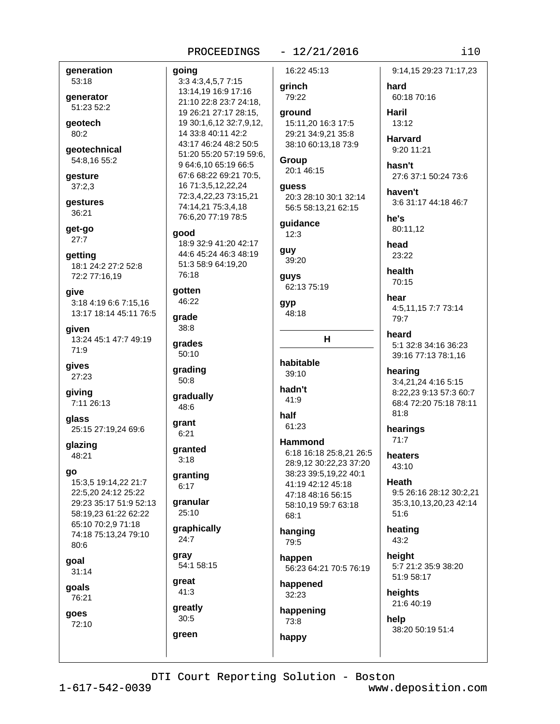going

#### $-12/21/2016$

generation 53:18

generator 51:23 52:2

qeotech 80:2

geotechnical 54:8,16 55:2

qesture  $37:2,3$ 

gestures 36:21

qet-qo  $27:7$ 

getting 18:1 24:2 27:2 52:8 72:2 77:16.19

give 3:18 4:19 6:6 7:15,16 13:17 18:14 45:11 76:5

given 13:24 45:1 47:7 49:19 71:9

qives 27:23

giving 7:11 26:13

qlass 25:15 27:19,24 69:6

glazing 48:21

go

15:3,5 19:14,22 21:7 22:5.20 24:12 25:22 29:23 35:17 51:9 52:13 58:19,23 61:22 62:22 65:10 70:2,9 71:18 74:18 75:13,24 79:10  $80:6$ goal  $31:14$ 

goals

76:21

## goes 72:10

3:3 4:3,4,5,7 7:15 13:14,19 16:9 17:16 21:10 22:8 23:7 24:18. 19 26:21 27:17 28:15, 19 30:1,6,12 32:7,9,12, 14 33:8 40:11 42:2 43:17 46:24 48:2 50:5 51:20 55:20 57:19 59:6, 9 64:6,10 65:19 66:5 67:6 68:22 69:21 70:5, 16 71:3,5,12,22,24 72:3,4,22,23 73:15,21 74:14,21 75:3,4,18 76:6,20 77:19 78:5 aood 18:9 32:9 41:20 42:17 44:6 45:24 46:3 48:19 51:3 58:9 64:19,20 76:18 gotten 46:22 grade 38:8 grades  $50:10$ grading 50:8 gradually 48:6 grant  $6:21$ granted  $3:18$ granting  $6:17$ **granular** 25:10 graphically 24:7 arav 54:1 58:15 great 41:3 greatly  $30:5$ 

16:22 45:13

grinch 79:22

ground 15:11.20 16:3 17:5 29:21 34:9,21 35:8 38:10 60:13,18 73:9

Group 20:1 46:15

guess 20:3 28:10 30:1 32:14 56:5 58:13,21 62:15

guidance  $12:3$ 

```
guy
 39:20
```
guys 62:13 75:19

gyp 48:18

# $H$

habitable 39:10

hadn't 41:9

half 61:23

#### **Hammond** 6:18 16:18 25:8,21 26:5 28:9,12 30:22,23 37:20 38:23 39:5,19,22 40:1 41:19 42:12 45:18 47:18 48:16 56:15 58:10.19 59:7 63:18 68:1

hanging 79:5

happen 56:23 64:21 70:5 76:19

happened  $32:23$ 

happening 73:8

happy

### 9:14,15 29:23 71:17,23

hard 60:18 70:16

Haril  $13:12$ 

**Harvard** 9:20 11:21

hasn't 27:6 37:1 50:24 73:6

haven't 3:6 31:17 44:18 46:7

he's 80:11.12

head 23:22

health 70:15

hear 4:5,11,15 7:7 73:14 79:7

heard 5:1 32:8 34:16 36:23 39:16 77:13 78:1,16

hearing 3:4,21,24 4:16 5:15 8:22,23 9:13 57:3 60:7 68:4 72:20 75:18 78:11

hearings  $71:7$ 

 $81:8$ 

heaters 43:10

Heath 9:5 26:16 28:12 30:2.21 35:3,10,13,20,23 42:14 51:6

heating 43:2

height 5:7 21:2 35:9 38:20 51:9 58:17

heights 21:6 40:19

help 38:20 50:19 51:4

DTI Court Reporting Solution - Boston

green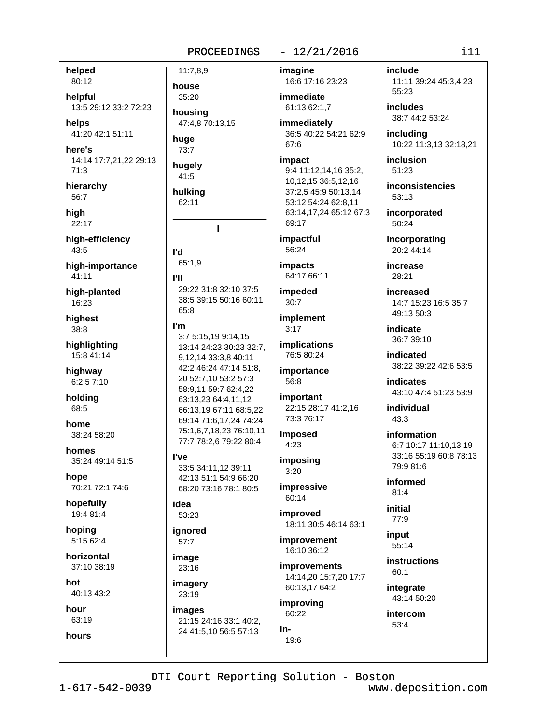11:7.8.9

house

35:20

housing

huge

 $73:7$ 

hugely

41:5

hulking

62:11

l'd 65:1.9

**PII** 

65:8

I'm

**I've** 

idea

53:23

ianored

 $57:7$ 

image

23:16

imagery

23:19

images

47:4,8 70:13,15

т

29:22 31:8 32:10 37:5

38:5 39:15 50:16 60:11

3:7 5:15,19 9:14,15

9,12,14 33:3,8 40:11

42:2 46:24 47:14 51:8,

20 52:7,10 53:2 57:3

58:9,11 59:7 62:4,22

63:13,23 64:4,11,12

66:13,19 67:11 68:5,22

69:14 71:6.17.24 74:24

75:1,6,7,18,23 76:10,11

77:7 78:2,6 79:22 80:4

33:5 34:11,12 39:11

42:13 51:1 54:9 66:20

68:20 73:16 78:1 80:5

21:15 24:16 33:1 40:2,

24 41:5,10 56:5 57:13

13:14 24:23 30:23 32:7,

## $-12/21/2016$

imagine 16:6 17:16 23:23

> immediate 61:13 62:1.7

immediately 36:5 40:22 54:21 62:9 67:6

impact 9:4 11:12,14,16 35:2, 10,12,15 36:5,12,16 37:2,5 45:9 50:13,14 53:12 54:24 62:8,11 63:14,17,24 65:12 67:3 69:17

impactful 56:24

**impacts** 64:17 66:11

impeded  $30:7$ 

implement  $3:17$ 

*implications* 76:5 80:24

importance 56:8

important 22:15 28:17 41:2.16 73:3 76:17

imposed  $4:23$ 

imposing  $3:20$ 

impressive 60:14

improved 18:11 30:5 46:14 63:1

*improvement* 16:10 36:12

**improvements** 14:14.20 15:7.20 17:7 60:13,17 64:2

improving 60:22 in-

19:6

include 11:11 39:24 45:3,4,23 55:23

**includes** 38:7 44:2 53:24

including 10:22 11:3,13 32:18,21

inclusion 51:23

inconsistencies 53:13

incorporated  $50:24$ 

incorporating 20:2 44:14

increase  $28.21$ 

increased 14:7 15:23 16:5 35:7 49:13 50:3

indicate 36:7 39:10

indicated 38:22 39:22 42:6 53:5

**indicates** 43:10 47:4 51:23 53:9

individual  $43.3$ 

information 6:7 10:17 11:10,13,19 33:16 55:19 60:8 78:13 79:9 81:6

informed  $81:4$ 

initial  $77:9$ 

input 55:14

**instructions** 60:1

integrate 43:14 50:20

intercom 53:4

#### helped 80:12

helpful 13:5 29:12 33:2 72:23

helps 41:20 42:1 51:11

here's 14:14 17:7,21,22 29:13  $71:3$ 

hierarchy 56:7

hiah  $22:17$ 

high-efficiency 43:5

high-importance  $41:11$ 

high-planted 16:23

hiahest  $38:8$ 

highlighting 15:8 41:14

highway 6:2,57:10

holding 68:5

home 38:24 58:20

homes 35:24 49:14 51:5

hope 70:21 72:1 74:6

hopefully 19:4 81:4

hopina 5:15 62:4

horizontal 37:10 38:19

hot 40:13 43:2

hour 63:19

hours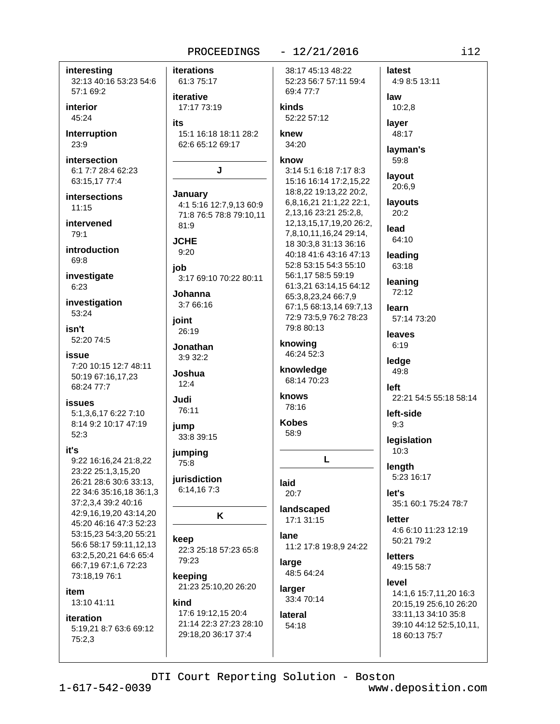#### $-12/21/2016$ PROCEEDINGS latest interesting **iterations** 38:17 45:13 48:22 32:13 40:16 53:23 54:6 61:3 75:17 52:23 56:7 57:11 59:4 4:9 8:5 13:11 57:1 69:2 69:4 77:7 iterative interior kinds 17:17 73:19 45:24 52:22 57:12 **its** Interruption 15:1 16:18 18:11 28:2 knew 23:9 62:6 65:12 69:17 34:20 intersection know 6:1 7:7 28:4 62:23 J 3:14 5:1 6:18 7:17 8:3 63:15,17 77:4 15:16 16:14 17:2,15,22 18:8,22 19:13,22 20:2, January intersections 6,8,16,21 21:1,22 22:1, 4:1 5:16 12:7,9,13 60:9  $11:15$ 2,13,16 23:21 25:2,8, 71:8 76:5 78:8 79:10.11 intervened 12, 13, 15, 17, 19, 20 26: 2, 81:9 79:1 7,8,10,11,16,24 29:14, **JCHE** 18 30:3.8 31:13 36:16 introduction  $9:20$ 40:18 41:6 43:16 47:13 69:8 52:8 53:15 54:3 55:10 job investigate 56:1.17 58:5 59:19 3:17 69:10 70:22 80:11 61:3,21 63:14,15 64:12 6:23 Johanna 65:3,8,23,24 66:7,9 investigation  $3:766:16$ 67:1,5 68:13,14 69:7,13 53:24 72:9 73:5,9 76:2 78:23 ioint 79:8 80:13 isn't 26:19 52:20 74:5 knowing Jonathan 46:24 52:3 issue 3:9 32:2 7:20 10:15 12:7 48:11 knowledge Joshua 50:19 67:16,17,23 68:14 70:23  $12:4$ 68:24 77:7 knows Judi **issues** 78:16 76:11 5:1,3,6,17 6:22 7:10 **Kobes** 8:14 9:2 10:17 47:19 jump 58:9  $52:3$ 33:8 39:15 jumping L 9:22 16:16,24 21:8,22 75:8 23:22 25:1,3,15,20 jurisdiction 26:21 28:6 30:6 33:13, laid 6:14,167:3 22 34:6 35:16,18 36:1,3  $20:7$ 37:2,3,4 39:2 40:16 landscaped 42:9,16,19,20 43:14,20 K 17:1 31:15 45:20 46:16 47:3 52:23 53:15,23 54:3,20 55:21 lane keep 56:6 58:17 59:11,12,13 11:2 17:8 19:8,9 24:22 22:3 25:18 57:23 65:8 63:2.5.20.21 64:6 65:4 79:23 large 66:7,19 67:1,6 72:23 48:5 64:24 73:18,19 76:1 keeping 21:23 25:10,20 26:20 larger item 33:4 70:14 13:10 41:11 kind 17:6 19:12.15 20:4 lateral iteration 21:14 22:3 27:23 28:10  $54:18$ 5:19,21 8:7 63:6 69:12 29:18,20 36:17 37:4 18 60:13 75:7  $75:2,3$

it's

law  $10:2.8$ laver 48:17 lavman's 59:8 layout 20:6,9 **lavouts**  $20:2$ lead 64:10 leading 63:18 leaning 72:12 learn 57:14 73:20 leaves  $6:19$ ledge 49:8 left 22:21 54:5 55:18 58:14 left-side  $9:3$ legislation  $10:3$ length 5:23 16:17 let's 35:1 60:1 75:24 78:7 letter 4:6 6:10 11:23 12:19 50:21 79:2 **letters** 49:15 58:7 level 14:1,6 15:7,11,20 16:3 20:15,19 25:6,10 26:20 33:11,13 34:10 35:8 39:10 44:12 52:5,10,11,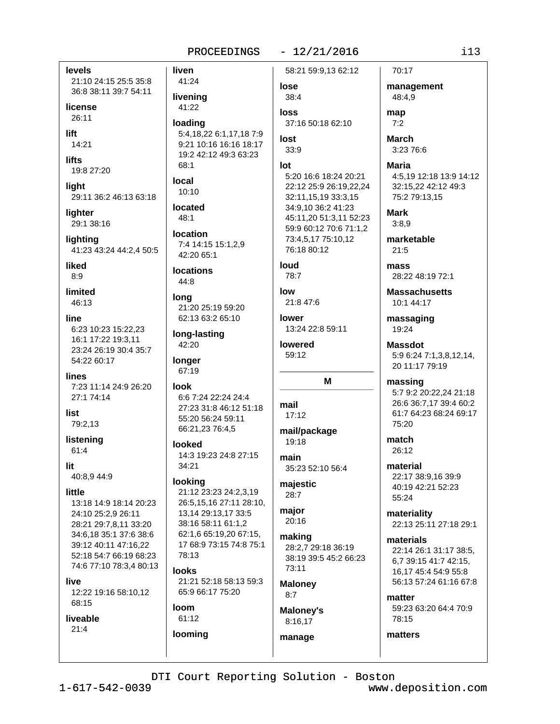#### $-12/21/2016$ PROCEEDINGS

levels 21:10 24:15 25:5 35:8 36:8 38:11 39:7 54:11

license  $26:11$ 

lift 14:21

**lifts** 19:8 27:20

light 29:11 36:2 46:13 63:18

liahter 29:1 38:16

lighting 41:23 43:24 44:2,4 50:5

liked  $R \cdot Q$ 

limited 46:13

## line

6:23 10:23 15:22,23 16:1 17:22 19:3,11 23:24 26:19 30:4 35:7 54:22 60:17

lines 7:23 11:14 24:9 26:20 27:1 74:14

list 79:2,13

listening 61:4

lit.

40:8,9 44:9

### little

13:18 14:9 18:14 20:23 24:10 25:2,9 26:11 28:21 29:7,8,11 33:20 34:6,18 35:1 37:6 38:6 39:12 40:11 47:16.22 52:18 54:7 66:19 68:23 74:6 77:10 78:3,4 80:13

live

12:22 19:16 58:10,12 68:15

### liveable

 $21:4$ 

liven 58:21 59:9,13 62:12 41:24 lose livening 38:4 41:22 loss loading 37:16 50:18 62:10 5:4, 18, 22 6:1, 17, 18 7:9 lost 9:21 10:16 16:16 18:17  $33:9$ 19:2 42:12 49:3 63:23  $68.1$  $Int$ 5:20 16:6 18:24 20:21 local 22:12 25:9 26:19,22,24  $10:10$ 32:11,15,19 33:3,15 located 34:9,10 36:2 41:23 45:11,20 51:3,11 52:23  $48:1$ 59:9 60:12 70:6 71:1,2 location 7:4 14:15 15:1,2,9 42:20 65:1 **locations** 44:8 long 21:20 25:19 59:20 62:13 63:2 65:10 long-lasting 42:20 longer 67:19 look 6:6 7:24 22:24 24:4 27:23 31:8 46:12 51:18 55:20 56:24 59:11 66:21,23 76:4,5 looked 14:3 19:23 24:8 27:15 34:21 looking 21:12 23:23 24:2,3,19 26:5,15,16 27:11 28:10, 13,14 29:13,17 33:5 38:16 58:11 61:1,2 62:1.6 65:19.20 67:15,

looks 21:21 52:18 58:13 59:3 65:9 66:17 75:20

17 68:9 73:15 74:8 75:1

#### **loom** 61:12

looming

78:13

73:4.5.17 75:10.12 76:18 80:12

loud 78:7

low

21:8 47:6 lower 13:24 22:8 59:11

**lowered** 59:12

#### м

mail  $17:12$ 

mail/package 19:18

main 35:23 52:10 56:4

majestic  $28:7$ 

major  $20:16$ 

making 28:2,7 29:18 36:19 38:19 39:5 45:2 66:23 73:11

**Maloney**  $8:7$ 

manage

**Maloney's** 8:16,17

70:17 management 48:4,9

map  $7:2$ 

> **March** 3:23 76:6

**Maria** 4:5,19 12:18 13:9 14:12 32:15,22 42:12 49:3 75:2 79:13,15

**Mark**  $3:8.9$ 

marketable  $21:5$ 

mass 28:22 48:19 72:1

**Massachusetts** 10:1 44:17

massaging 19:24

**Massdot** 5:9 6:24 7:1,3,8,12,14, 20 11:17 79:19

massing 5:7 9:2 20:22,24 21:18 26:6 36:7,17 39:4 60:2 61:7 64:23 68:24 69:17 75:20

match  $26:12$ 

material 22:17 38:9,16 39:9 40:19 42:21 52:23 55:24

materiality 22:13 25:11 27:18 29:1

materials 22:14 26:1 31:17 38:5. 6,7 39:15 41:7 42:15, 16,17 45:4 54:9 55:8 56:13 57:24 61:16 67:8

matter 59:23 63:20 64:4 70:9 78:15

matters

### DTI Court Reporting Solution - Boston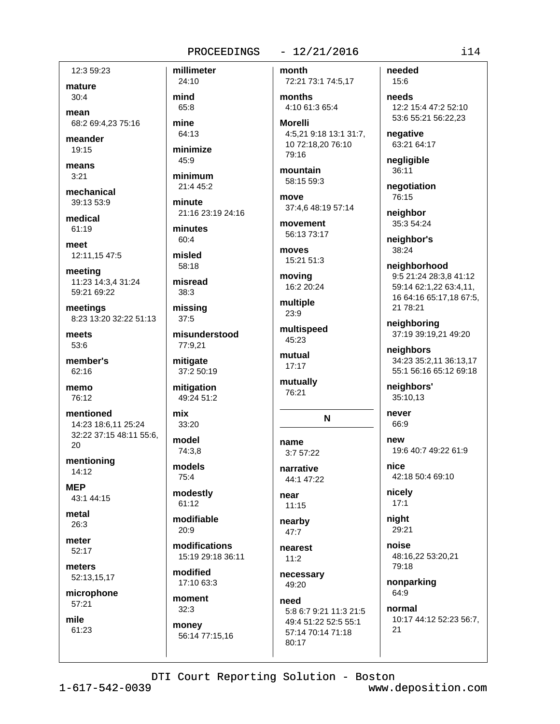12:3 59:23

mature  $30:4$ 

mean 68:2 69:4.23 75:16

meander 19:15

means  $3:21$ 

mechanical 39:13 53:9

medical 61:19

meet 12:11,15 47:5

meeting 11:23 14:3,4 31:24 59:21 69:22

meetings 8:23 13:20 32:22 51:13

meets 53:6

member's  $62:16$ 

memo 76:12

mentioned 14:23 18:6.11 25:24 32:22 37:15 48:11 55:6, 20

mentioning  $14:12$ 

**MEP** 43:1 44:15

metal  $26:3$ 

meter 52:17

meters 52:13,15,17

microphone  $57:21$ 

mile 61:23

24:10 mind 65:8 mine

millimeter

64:13 minimize

 $45:9$ 

minimum 21:4 45:2

minute 21:16 23:19 24:16

minutes  $60:4$ 

misled 58:18

misread  $38:3$ 

missing  $37:5$ 

misunderstood 77:9,21

mitigate 37:2 50:19

mitigation 49:24 51:2

mix 33:20

model 74:3.8

models 75:4

modestly 61:12

modifiable  $20.9$ 

modifications 15:19 29:18 36:11

modified 17:10 63:3

moment  $32:3$ money

56:14 77:15,16

month 72:21 73:1 74:5,17

 $-12/21/2016$ 

months 4:10 61:3 65:4

**Morelli** 4:5,21 9:18 13:1 31:7, 10 72:18,20 76:10 79:16

mountain 58:15 59:3

move

37:4.6 48:19 57:14 movement 56:13 73:17

moves 15:21 51:3

moving 16:2 20:24

multiple 23:9

multispeed 45:23 mutual

 $17:17$ 

mutually 76:21

N

name

3:7 57:22 narrative

44:1 47:22 near

 $11:15$ nearby

 $47:7$ 

nearest  $11:2$ 

necessary 49:20 need

5:8 6:7 9:21 11:3 21:5 49:4 51:22 52:5 55:1 57:14 70:14 71:18 80:17

needed  $15.6$ 

needs 12:2 15:4 47:2 52:10 53:6 55:21 56:22,23

negative 63:21 64:17

negligible 36:11

negotiation 76:15

neighbor 35:3 54:24

neighbor's 38:24

neighborhood 9:5 21:24 28:3,8 41:12 59:14 62:1,22 63:4,11, 16 64:16 65:17,18 67:5, 21 78:21

neighboring 37:19 39:19,21 49:20

neighbors 34:23 35:2.11 36:13.17 55:1 56:16 65:12 69:18

neighbors' 35:10,13

never 66:9

new 19:6 40:7 49:22 61:9

nice 42:18 50:4 69:10

nicelv  $17:1$ 

night 29:21

noise 48:16,22 53:20,21 79:18

nonparking 64:9

normal 10:17 44:12 52:23 56:7,  $21$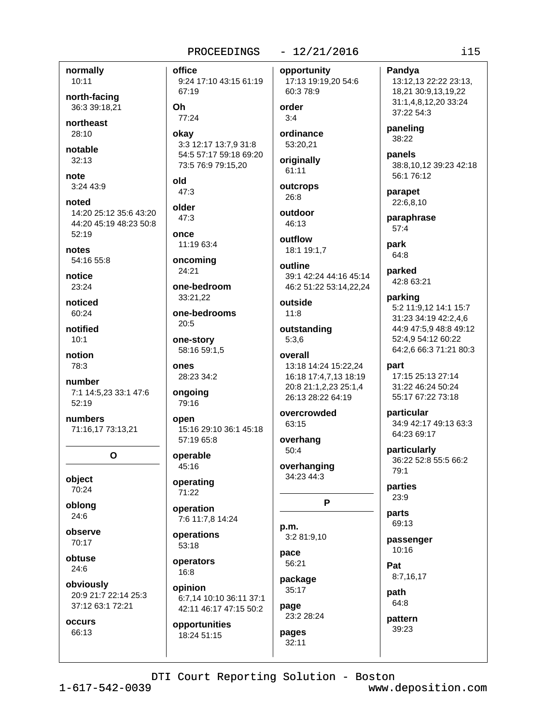## normally 10:11

north-facing 36:3 39:18.21

northeast  $28:10$ 

notable  $32:13$ 

note 3:24 43:9

noted 14:20 25:12 35:6 43:20 44:20 45:19 48:23 50:8 52:19

notes 54:16 55:8

notice 23:24

noticed  $60.24$ 

notified  $10:1$ 

notion

78:3

number 7:1 14:5,23 33:1 47:6 52:19

numbers 71:16,17 73:13,21

 $\Omega$ 

object 70:24

oblong 24:6

observe 70:17

obtuse 24:6

obviously 20:9 21:7 22:14 25:3 37:12 63:1 72:21

occurs 66:13

 $-12/21/2016$ office opportunity 9:24 17:10 43:15 61:19 67:19 60:3 78:9 order Oh 77:24  $3:4$ ordinance okay 3:3 12:17 13:7,9 31:8 53:20.21 54:5 57:17 59:18 69:20 originally 73:5 76:9 79:15,20 61:11 old outcrops  $47:3$ 26:8 older outdoor  $47:3$ 46:13 once outflow 11:19 63:4 oncoming outline 24:21 one-bedroom 33:21.22 outside one-bedrooms  $11:8$  $20:5$ one-story  $5:3,6$ 58:16 59:1,5 overall ODAS 28:23 34:2 ongoing 79:16 open 63:15 15:16 29:10 36:1 45:18 57:19 65:8 overhang  $50:4$ operable 45:16 34:23 44:3 operating 71:22 operation 7:6 11:7.8 14:24 p.m. operations 3:2 81:9,10 53:18 pace operators 56:21 16:8 package opinion 35:17 6:7,14 10:10 36:11 37:1 page 42:11 46:17 47:15 50:2

opportunities 18:24 51:15

17:13 19:19,20 54:6

18:1 19:1,7

39:1 42:24 44:16 45:14 46:2 51:22 53:14,22,24

outstanding

13:18 14:24 15:22,24 16:18 17:4,7,13 18:19 20:8 21:1,2,23 25:1,4 26:13 28:22 64:19

overcrowded

overhanging

P

23:2 28:24 pages  $32:11$ 

13:12,13 22:22 23:13, 18,21 30:9,13,19,22 31:1.4.8.12.20 33:24 37:22 54:3 paneling 38:22

panels 38:8,10,12 39:23 42:18 56:1 76:12

parapet 22:6,8,10

Pandva

paraphrase  $57:4$ 

park 64:8

parked 42:8 63:21

parking 5:2 11:9,12 14:1 15:7 31:23 34:19 42:2,4,6 44:9 47:5.9 48:8 49:12 52:4,9 54:12 60:22 64:2,6 66:3 71:21 80:3

part

17:15 25:13 27:14 31:22 46:24 50:24 55:17 67:22 73:18

particular 34:9 42:17 49:13 63:3 64:23 69:17

particularly 36:22 52:8 55:5 66:2  $79:1$ 

parties  $23:9$ 

parts 69:13

passenger 10:16

Pat 8:7,16,17

path

64:8 pattern 39:23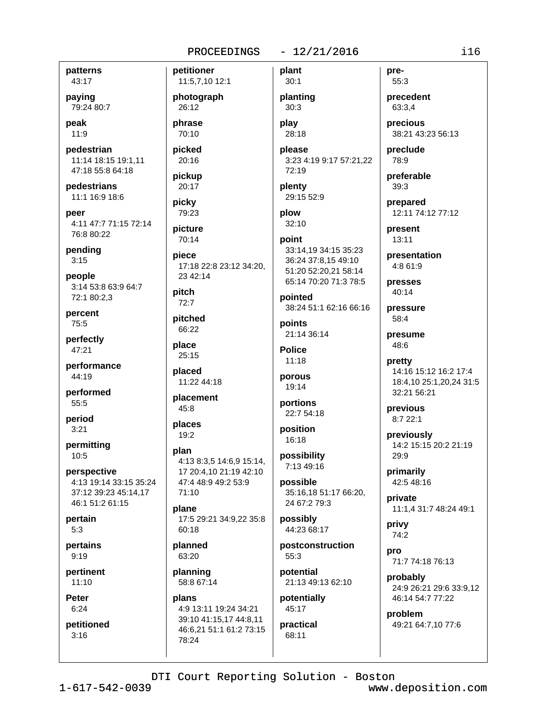#### $-12/21/2016$

patterns 43:17

paying 79:24 80:7

peak 11:9

pedestrian 11:14 18:15 19:1,11 47:18 55:8 64:18

pedestrians 11:1 16:9 18:6

peer 4:11 47:7 71:15 72:14 76:8 80:22

pending  $3:15$ 

people 3:14 53:8 63:9 64:7 72:1 80:2.3

percent 75:5

perfectly 47:21

performance 44:19

performed 55:5

period  $3:21$ 

permitting  $10:5$ 

perspective 4:13 19:14 33:15 35:24 37:12 39:23 45:14.17 46:1 51:2 61:15

pertain  $5:3$ 

pertains  $9.19$ 

pertinent  $11:10$ 

**Peter**  $6:24$ 

petitioned  $3:16$ 

plant petitioner 11:5,7,10 12:1  $30:1$ photograph 26:12 phrase play 70:10 picked please 20:16 pickup 20:17 picky plow 79:23 picture 70:14 33:14,19 34:15 35:23 piece 36:24 37:8,15 49:10 17:18 22:8 23:12 34:20. 51:20 52:20,21 58:14 23 42:14 65:14 70:20 71:3 78:5 pointed  $72:7$ 38:24 51:1 62:16 66:16 points 21:14 36:14 **Police**  $11.18$ porous 19:14 placement portions 22:7 54:18 places position  $19:2$ 16:18 possibility 7:13 49:16 possible 35:16.18 51:17 66:20. 24 67:2 79:3 17:5 29:21 34:9,22 35:8 possibly 44:23 68:17 postconstruction  $55.3$ planning potential 58:8 67:14 21:13 49:13 62:10

plans 4:9 13:11 19:24 34:21 39:10 41:15,17 44:8,11 46:6.21 51:1 61:2 73:15 78:24

planting  $30:3$ 

28:18

3:23 4:19 9:17 57:21,22 72:19

plenty 29:15 52:9

 $32:10$ 

point

pitch

pitched 66:22

place  $25:15$ 

placed 11:22 44:18

45:8

plan 4:13 8:3.5 14:6.9 15:14. 17 20:4.10 21:19 42:10 47:4 48:9 49:2 53:9 71:10

plane 60:18

planned 63:20

55:3 precedent 63:3,4

pre-

precious 38:21 43:23 56:13

preclude 78:9

preferable 39:3

prepared 12:11 74:12 77:12

present  $13:11$ 

presentation 4:8 61:9

presses 40:14

pressure 58:4

presume 48:6

pretty 14:16 15:12 16:2 17:4 18:4,10 25:1,20,24 31:5 32:21 56:21

previous 8:7 22:1

> previously 14:2 15:15 20:2 21:19 29:9

primarily 42:5 48:16

private 11:1,4 31:7 48:24 49:1

privy 74:2

> pro 71:7 74:18 76:13

probably 24:9 26:21 29:6 33:9,12 46:14 54:7 77:22

problem 49:21 64:7,10 77:6

DTI Court Reporting Solution - Boston

potentially

45:17

practical

68:11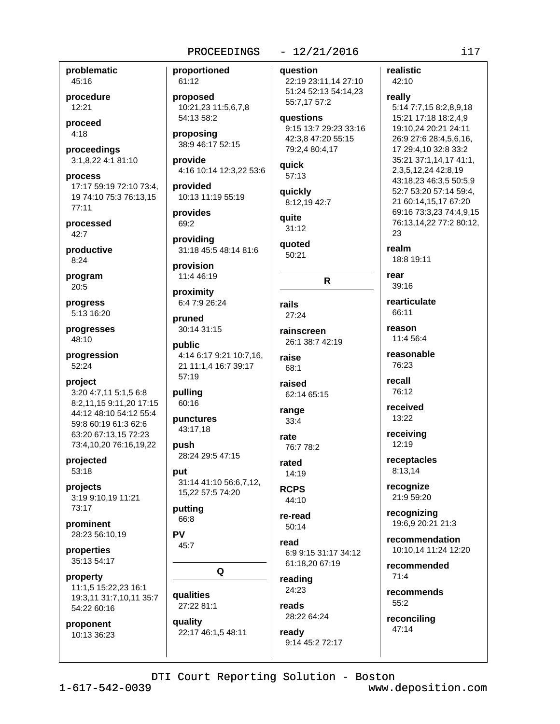problematic 45:16

procedure  $12:21$ 

proceed  $4:18$ 

proceedings 3:1,8,22 4:1 81:10

process 17:17 59:19 72:10 73:4, 19 74:10 75:3 76:13,15  $77:11$ 

processed  $42:7$ 

productive  $8:24$ 

program 20:5

progress 5:13 16:20

progresses 48:10

progression 52:24

project 3:20 4:7,11 5:1,5 6:8 8:2,11,15 9:11,20 17:15 44:12 48:10 54:12 55:4 59:8 60:19 61:3 62:6 63:20 67:13.15 72:23

73:4,10,20 76:16,19,22

projected 53:18

projects 3:19 9:10.19 11:21 73:17

prominent 28:23 56:10,19

properties 35:13 54:17

property 11:1,5 15:22,23 16:1 19:3,11 31:7,10,11 35:7 54:22 60:16

proponent 10:13 36:23 proportioned 61:12

proposed 10:21,23 11:5,6,7,8 54:13 58:2

proposing 38:9 46:17 52:15

provide 4:16 10:14 12:3,22 53:6

provided 10:13 11:19 55:19

provides 69:2

providing 31:18 45:5 48:14 81:6

provision 11:4 46:19

proximity 6:4 7:9 26:24

pruned 30:14 31:15

public 4:14 6:17 9:21 10:7,16, 21 11:1,4 16:7 39:17 57:19

pulling

60:16

punctures 43:17.18

push 28:24 29:5 47:15

nut 31:14 41:10 56:6,7,12, 15,22 57:5 74:20

putting 66:8

**PV** 

45:7

Q

qualities

27:22 81:1 quality 22:17 46:1,5 48:11

 $-12/21/2016$ **auestion** 

22:19 23:11,14 27:10 51:24 52:13 54:14,23 55:7,17 57:2

**auestions** 9:15 13:7 29:23 33:16 42:3,8 47:20 55:15 79:2,4 80:4,17

quick 57:13

quickly 8:12,19 42:7

quite  $31:12$ 

auoted  $50:21$ 

 $\mathsf{R}$ 

rails  $27:24$ rainscreen

26:1 38:7 42:19 raise

 $68:1$ raised

62:14 65:15 range

 $33.4$ rate 76:7 78:2

rated 14:19

**RCPS**  $44:10$ 

re-read  $50:14$ 

read 6:9 9:15 31:17 34:12 61:18,20 67:19

reading 24:23

reads 28:22 64:24

ready 9:14 45:2 72:17 realistic

42:10

really 5:14 7:7,15 8:2,8,9,18 15:21 17:18 18:2,4,9 19:10,24 20:21 24:11 26:9 27:6 28:4,5,6,16, 17 29:4,10 32:8 33:2 35:21 37:1,14,17 41:1, 2, 3, 5, 12, 24 42: 8, 19 43:18,23 46:3,5 50:5,9 52:7 53:20 57:14 59:4, 21 60:14,15,17 67:20 69:16 73:3,23 74:4,9,15 76:13,14,22 77:2 80:12, 23 realm 18:8 19:11 rear  $39.16$ rearticulate 66:11 reason 11:4 56:4 reasonable 76:23 recall 76:12 received 13:22 receiving  $12:19$ receptacles 8:13.14 recognize 21:9 59:20 recognizing 19:6,9 20:21 21:3 recommendation 10:10,14 11:24 12:20 recommended  $71:4$ recommends 55:2

reconciling 47:14

DTI Court Reporting Solution - Boston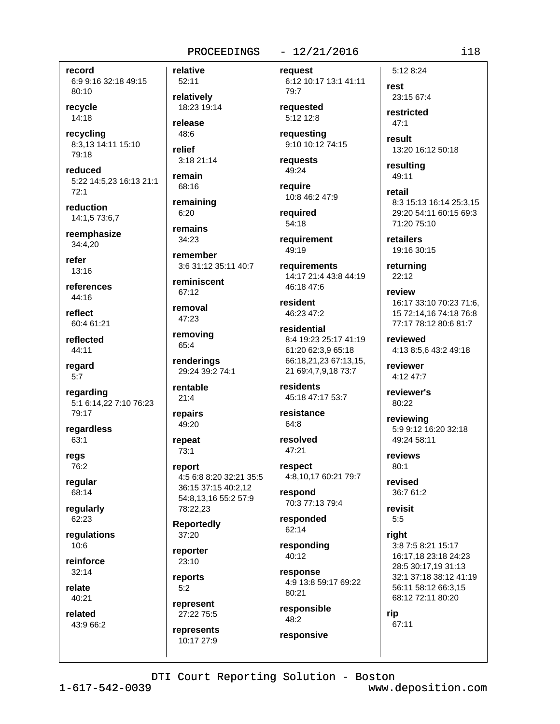record 6:9 9:16 32:18 49:15 80:10

recvcle  $14:18$ 

recycling 8:3,13 14:11 15:10 79:18

reduced 5:22 14:5,23 16:13 21:1  $72:1$ 

reduction 14:1.5 73:6.7

reemphasize 34:4.20

refer  $13:16$ 

references 44:16

reflect 60:4 61:21

reflected  $44:11$ 

regard  $5:7$ 

regarding 5:1 6:14,22 7:10 76:23 79:17

regardless 63:1

regs 76:2

regular 68:14

regularly 62:23

regulations  $10:6$ 

reinforce  $32:14$ 

relate 40:21

related

43:9 66:2

52:11 relatively 18:23 19:14

relative

release 48:6 relief

 $3:1821:14$ remain 68:16

remaining

 $6:20$ 

remains 34:23

remember

3:6 31:12 35:11 40:7 reminiscent

67:12

removal 47:23

removing 65:4

renderings 29:24 39:2 74:1

rentable  $21:4$ 

repairs 49:20

repeat 73:1

report 4:5 6:8 8:20 32:21 35:5 36:15 37:15 40:2,12 54:8,13,16 55:2 57:9 78:22,23

**Reportedly** 37:20

reporter  $23:10$ 

reports  $5:2$ 

represent 27:22 75:5

represents 10:17 27:9

 $-12/21/2016$ 

reauest 6:12 10:17 13:1 41:11 79:7

reauested  $5:12$  12:8

requesting 9:10 10:12 74:15

requests 49:24

require 10:8 46:2 47:9

reauired 54:18

requirement 49:19

**requirements** 14:17 21:4 43:8 44:19 46:18 47:6

resident 46:23 47:2

residential 8:4 19:23 25:17 41:19 61:20 62:3.9 65:18 66:18,21,23 67:13,15, 21 69:4,7,9,18 73:7

residents 45:18 47:17 53:7

resistance 64:8

resolved  $47:21$ 

respect 4:8,10,17 60:21 79:7

respond 70:3 77:13 79:4

responded 62:14

responding  $40.12$ 

response 4:9 13:8 59:17 69:22 80:21

responsible 48:2 responsive

5:12 8:24  $r$  $et$ 23:15 67:4 restricted

 $47.1$ 

result 13:20 16:12 50:18

resulting 49:11

retail 8:3 15:13 16:14 25:3.15 29:20 54:11 60:15 69:3 71:20 75:10

retailers 19:16 30:15

returning  $22:12$ 

review 16:17 33:10 70:23 71:6. 15 72:14,16 74:18 76:8 77:17 78:12 80:6 81:7

reviewed 4:13 8:5.6 43:2 49:18

reviewer 4:12 47:7

reviewer's 80:22

reviewing 5:9 9:12 16:20 32:18 49:24 58:11

reviews  $80:1$ 

revised 36:7 61:2

revisit  $5:5$ 

riaht 3:8 7:5 8:21 15:17 16:17,18 23:18 24:23 28:5 30:17,19 31:13 32:1 37:18 38:12 41:19 56:11 58:12 66:3.15 68:12 72:11 80:20

rip 67:11

DTI Court Reporting Solution - Boston

 $1 - 617 - 542 - 0039$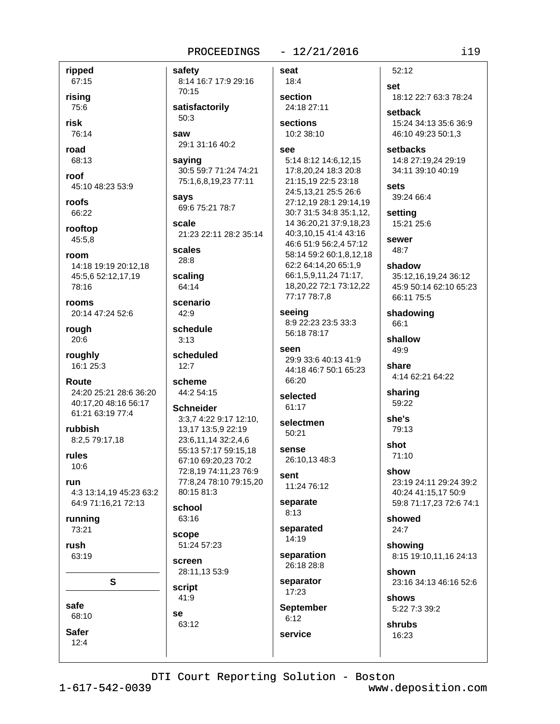safety

 $-12/21/2016$ 

ripped 67:15

rising 75:6

risk

76:14

road 68:13

roof 45:10 48:23 53:9

roofs 66:22

rooftop 45:5,8

room 14:18 19:19 20:12.18 45:5,6 52:12,17,19 78:16

rooms 20:14 47:24 52:6

rough 20:6

roughly 16:1 25:3

Route 24:20 25:21 28:6 36:20 40:17,20 48:16 56:17 61:21 63:19 77:4

rubbish 8:2,5 79:17,18

rules  $10:6$ 

run 4:3 13:14.19 45:23 63:2 64:9 71:16,21 72:13

S

running 73:21

rush  $63.19$ 

safe 68:10

**Safer** 

 $12:4$ 

8:14 16:7 17:9 29:16 70:15 satisfactorily  $50:3$ saw 29:1 31:16 40:2 saying 30:5 59:7 71:24 74:21 75:1,6,8,19,23 77:11 says 69:6 75:21 78:7 scale 21:23 22:11 28:2 35:14 scales  $28:8$ scaling 64:14 scenario  $42:9$ schedule  $3:13$ scheduled  $12:7$ scheme 44:2 54:15

**Schneider** 3:3,7 4:22 9:17 12:10, 13,17 13:5,9 22:19 23:6.11.14 32:2.4.6 55:13 57:17 59:15,18 67:10 69:20,23 70:2 72:8,19 74:11,23 76:9 77:8,24 78:10 79:15,20 80:15 81:3

school 63:16

scope

51:24 57:23 screen

28:11,13 53:9 script 41:9

**Se** 63:12 seat 18:4

section 24:18 27:11

sections 10:2 38:10

#### see

5:14 8:12 14:6,12,15 17:8,20,24 18:3 20:8 21:15,19 22:5 23:18 24:5,13,21 25:5 26:6 27:12,19 28:1 29:14,19 30:7 31:5 34:8 35:1,12, 14 36:20,21 37:9,18,23 40:3,10,15 41:4 43:16 46:6 51:9 56:2.4 57:12 58:14 59:2 60:1.8.12.18 62:2 64:14,20 65:1,9 66:1,5,9,11,24 71:17, 18,20,22 72:1 73:12,22 77:17 78:7,8

seeing 8:9 22:23 23:5 33:3 56:18 78:17

### seen 29:9 33:6 40:13 41:9

44:18 46:7 50:1 65:23  $66.20$ 

selected 61:17

selectmen  $50:21$ 

sense 26:10,13 48:3

sent  $11.2476.12$ 

separate  $8:13$ 

separated 14:19

separation 26:18.28:8

separator 17:23

**September**  $6:12$ 

service

 $52:12$ 

set 18:12 22:7 63:3 78:24 setback

15:24 34:13 35:6 36:9 46:10 49:23 50:1,3

setbacks 14:8 27:19.24 29:19 34:11 39:10 40:19

sets 39:24 66:4

setting 15:21 25:6

sewer 48:7

shadow 35:12,16,19,24 36:12 45:9 50:14 62:10 65:23 66:11 75:5

shadowing 66:1

shallow  $49:9$ 

share 4:14 62:21 64:22

sharing 59:22

she's 79:13

shot 71:10

show 23:19 24:11 29:24 39:2 40:24 41:15.17 50:9 59:8 71:17,23 72:6 74:1

showed  $24:7$ 

showina 8:15 19:10,11,16 24:13

shown 23:16 34:13 46:16 52:6

shows 5:22 7:3 39:2

shrubs 16:23

DTI Court Reporting Solution - Boston

 $1 - 617 - 542 - 0039$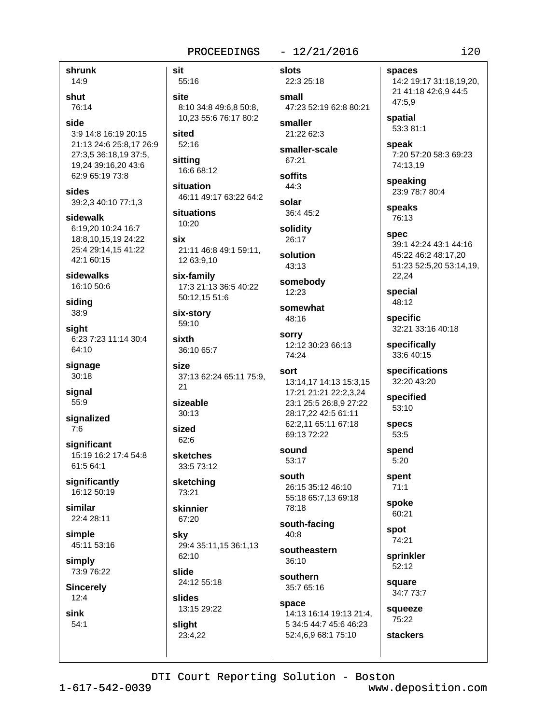#### $-12/21/2016$ PROCEEDINGS

shrunk 14:9

shut 76:14

side 3:9 14:8 16:19 20:15 21:13 24:6 25:8,17 26:9 27:3,5 36:18,19 37:5, 19,24 39:16,20 43:6 62:9 65:19 73:8

sides 39:2,3 40:10 77:1,3

sidewalk 6:19,20 10:24 16:7 18:8.10.15.19 24:22 25:4 29:14.15 41:22 42:1 60:15

sidewalks 16:10 50:6

siding 38:9

siaht 6:23 7:23 11:14 30:4 64:10

signage  $30:18$ 

signal 55:9

signalized  $7:6$ 

significant 15:19 16:2 17:4 54:8 61:5 64:1

significantly 16:12 50:19

similar 22:4 28:11

simple 45:11 53:16

simply 73:9 76:22

**Sincerely**  $12:4$ 

sink  $54:1$  sit 55:16

site 8:10 34:8 49:6,8 50:8, 10.23 55:6 76:17 80:2

sited  $52:16$ 

sitting 16:6 68:12

situation 46:11 49:17 63:22 64:2

situations  $10:20$ 

six 21:11 46:8 49:1 59:11, 12 63:9,10

six-family 17:3 21:13 36:5 40:22 50:12.15 51:6

six-story 59:10

sixth 36:10 65:7

**Size** 37:13 62:24 65:11 75:9,  $21$ 

sizeable  $30:13$ 

sized  $62:6$ 

**sketches** 33:5 73:12

sketching 73:21

skinnier

67:20 sky

29:4 35:11,15 36:1,13  $62.10$ slide

24:12 55:18

slides 13:15 29:22 slight

23:4.22

slots

22:3 25:18 small 47:23 52:19 62:8 80:21

smaller 21:22 62:3

smaller-scale 67:21

soffits  $44:3$ 

solar 36:4 45:2

solidity 26:17

solution 43:13

somebody  $12:23$ 

somewhat 48:16

sorry 12:12 30:23 66:13 74:24

sort 13:14,17 14:13 15:3,15

17:21 21:21 22:2,3,24 23:1 25:5 26:8,9 27:22 28:17,22 42:5 61:11 62:2,11 65:11 67:18 69:13 72:22

sound  $53:17$ 

south 26:15 35:12 46:10 55:18 65:7,13 69:18 78:18

south-facing  $40.8$ 

southeastern 36:10

southern 35:7 65:16

space 14:13 16:14 19:13 21:4, 5 34:5 44:7 45:6 46:23 52:4,6,9 68:1 75:10

spaces

14:2 19:17 31:18,19,20, 21 41:18 42:6,9 44:5 47:5,9

spatial 53:3 81:1

speak 7:20 57:20 58:3 69:23 74:13.19

speaking 23:9 78:7 80:4

speaks 76:13

> **spec** 39:1 42:24 43:1 44:16 45:22 46:2 48:17,20 51:23 52:5,20 53:14,19, 22,24

special 48:12

specific 32:21 33:16 40:18

specifically 33:6 40:15

specifications 32:20 43:20

specified 53:10

**specs** 53:5

spend  $5:20$ 

> spent  $71:1$

spoke 60:21

spot 74:21

sprinkler 52:12

square 34:7 73:7

squeeze 75:22 **stackers** 

DTI Court Reporting Solution - Boston

 $1 - 617 - 542 - 0039$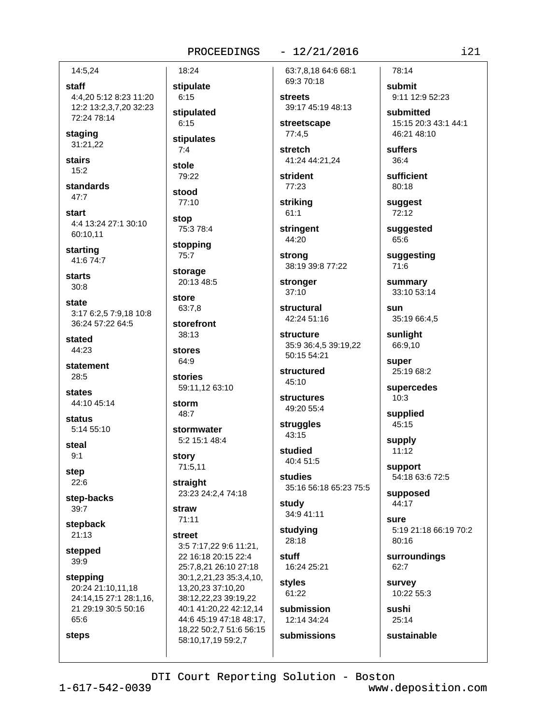#### $-12/21/2016$

14:5.24

staff 4:4,20 5:12 8:23 11:20 12:2 13:2,3,7,20 32:23 72:24 78:14

staging 31:21,22

**stairs**  $15:2$ 

standards  $47:7$ 

start 4:4 13:24 27:1 30:10 60:10.11

starting 41:6 74:7

**starts**  $30:8$ 

state 3:17 6:2,5 7:9,18 10:8 36:24 57:22 64:5

stated 44:23

statement 28:5

states 44:10 45:14

status 5:14 55:10

steal  $9:1$ 

step

 $22:6$ 

step-backs 39:7

stepback  $21:13$ 

stepped 39:9

steps

stepping 20:24 21:10,11,18 24:14,15 27:1 28:1,16, 21 29:19 30:5 50:16 65:6

 $1 - 617 - 542 - 0039$ 

 $6:15$ stipulated  $6:15$ stipulates  $7:4$ 

18:24

stipulate

stole 79:22

stood 77:10

stop 75:3 78:4

stopping 75:7

storage 20:13 48:5

store

63:7.8 storefront

38:13 stores

64:9 **stories** 59:11,12 63:10

storm 48:7

stormwater 5:2 15:1 48:4

story 71:5,11

straight 23:23 24:2,4 74:18

straw  $71:11$ 

street

3:5 7:17,22 9:6 11:21, 22 16:18 20:15 22:4 25:7,8,21 26:10 27:18 30:1,2,21,23 35:3,4,10, 13,20,23 37:10,20 38:12,22,23 39:19,22 40:1 41:20,22 42:12,14 44:6 45:19 47:18 48:17, 18,22 50:2,7 51:6 56:15 58:10,17,19 59:2,7

63:7.8.18 64:6 68:1 69:3 70:18

**streets** 39:17 45:19 48:13

streetscape  $77:4,5$ 

stretch 41:24 44:21,24

strident 77:23

strikina

 $61:1$ 

stringent 44:20

strong 38:19 39:8 77:22

stronger  $37:10$ 

structural 42:24 51:16

structure 35:9 36:4,5 39:19,22 50:15 54:21

structured 45:10

**structures** 49:20 55:4

struggles  $43:15$ 

studied 40:4 51:5

studies 35:16 56:18 65:23 75:5

study 34:9 41:11

studying 28:18

stuff 16:24 25:21

styles 61:22 submission

DTI Court Reporting Solution - Boston

12:14 34:24 submissions

78:14 submit

9:11 12:9 52:23

15:15 20:3 43:1 44:1 46:21 48:10

suffers  $36:4$ 

80:18

suggest 72:12

suggested 65:6

suggesting 71:6

summary 33:10 53:14

sun

sunlight 66:9,10

super 25:19 68:2

supercedes  $10:3$ 

supplied 45:15

 $11:12$ 

54:18 63:6 72:5

supposed 44:17

sure 5:19 21:18 66:19 70:2 80:16

surroundings 62:7

survey 10:22 55:3

sustainable

www.deposition.com

sushi 25:14

 $i21$ 

submitted

sufficient

35:19 66:4.5

supply

support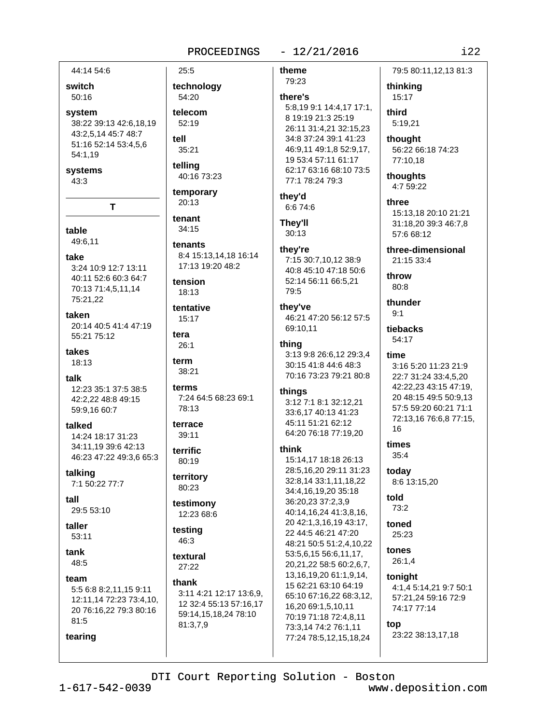#### $-12/21/2016$

44:14 54:6

switch 50:16

system 38:22 39:13 42:6,18,19 43:2,5,14 45:7 48:7 51:16 52:14 53:4,5,6 54:1,19

systems

43:3

T

table

49:6,11

take

3:24 10:9 12:7 13:11 40:11 52:6 60:3 64:7 70:13 71:4,5,11,14 75:21.22

taken 20:14 40:5 41:4 47:19 55:21 75:12

takes 18:13

talk 12:23 35:1 37:5 38:5 42:2.22 48:8 49:15 59:9,16 60:7

talked 14:24 18:17 31:23 34:11,19 39:6 42:13 46:23 47:22 49:3,6 65:3

talking 7:1 50:22 77:7

tall 29:5 53:10

taller  $53:11$ 

tank 48:5

tearing

team 5:5 6:8 8:2,11,15 9:11 12:11,14 72:23 73:4,10, 20 76:16,22 79:3 80:16 81:5

 $25:5$ technology 54:20 telecom  $52.19$ tell 35:21 telling 40:16 73:23 temporary 20:13

tenant  $34:15$ 

tenants 8:4 15:13,14,18 16:14 17:13 19:20 48:2

tension 18:13

tentative 15:17

tera  $26:1$ 

term 38:21

terms 7:24 64:5 68:23 69:1 78:13

terrace  $39:11$ 

terrific 80:19

territory 80:23

testimony 12:23 68:6

testing 46:3

textural  $27:22$ 

thank

3:11 4:21 12:17 13:6,9, 12 32:4 55:13 57:16.17 59:14,15,18,24 78:10 81:3,7,9

theme 79:23 there's 5:8,19 9:1 14:4,17 17:1, 8 19:19 21:3 25:19 26:11 31:4,21 32:15,23 34:8 37:24 39:1 41:23 46:9,11 49:1,8 52:9,17, 19 53:4 57:11 61:17 62:17 63:16 68:10 73:5 77:1 78:24 79:3

they'd 6:6 74:6

They'll 30:13

#### they're

7:15 30:7,10,12 38:9 40:8 45:10 47:18 50:6 52:14 56:11 66:5,21 79:5

#### they've

46:21 47:20 56:12 57:5 69:10,11

#### thing

3:13 9:8 26:6,12 29:3,4 30:15 41:8 44:6 48:3 70:16 73:23 79:21 80:8

#### things

3:12 7:1 8:1 32:12,21 33:6,17 40:13 41:23 45:11 51:21 62:12 64:20 76:18 77:19,20

#### think

15:14,17 18:18 26:13 28:5,16,20 29:11 31:23 32:8,14 33:1,11,18,22 34:4,16,19,20 35:18 36:20,23 37:2,3,9 40:14,16,24 41:3,8,16, 20 42:1,3,16,19 43:17, 22 44:5 46:21 47:20 48:21 50:5 51:2,4,10,22 53:5,6,15 56:6,11,17, 20,21,22 58:5 60:2,6,7, 13.16.19.20 61:1.9.14. 15 62:21 63:10 64:19 65:10 67:16,22 68:3,12, 16,20 69:1,5,10,11 70:19 71:18 72:4,8,11 73:3,14 74:2 76:1,11 77:24 78:5,12,15,18,24

79:5 80:11,12,13 81:3

thinking 15:17

third 5:19.21

thought 56:22 66:18 74:23 77:10,18

thoughts 4:7 59:22

three 15:13.18 20:10 21:21 31:18.20 39:3 46:7.8 57:6 68:12

three-dimensional 21:15 33:4

throw

 $80:8$ 

thunder  $9.1$ 

tiebacks 54:17

#### time

3:16 5:20 11:23 21:9 22:7 31:24 33:4,5,20 42:22,23 43:15 47:19, 20 48:15 49:5 50:9,13 57:5 59:20 60:21 71:1 72:13,16 76:6,8 77:15, 16

#### times

 $35:4$ today 8:6 13:15,20 told

 $73:2$ 

toned 25:23

tones 26:1,4

tonight 4:1,4 5:14,21 9:7 50:1 57:21,24 59:16 72:9 74:17 77:14

top 23:22 38:13,17,18

DTI Court Reporting Solution - Boston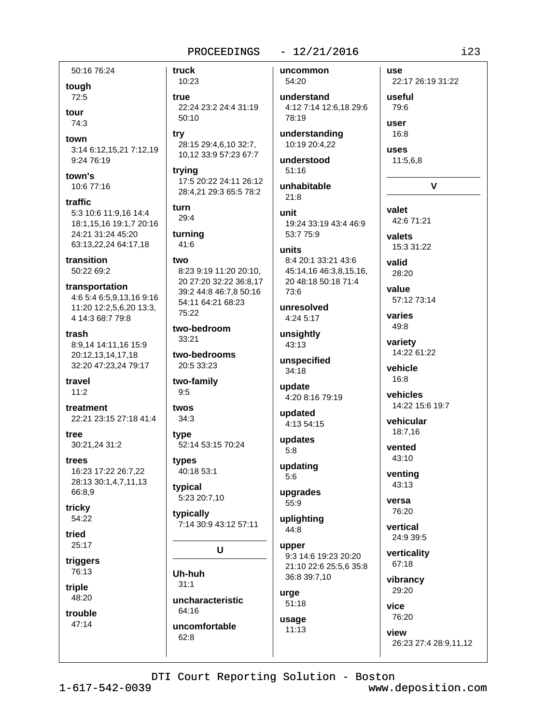#### $-12/21/2016$

uncommon

54:20

50:16 76:24 tough 72:5 tour

 $74:3$ town

3:14 6:12,15,21 7:12,19 9:24 76:19

town's 10:6 77:16

traffic 5:3 10:6 11:9.16 14:4 18:1,15,16 19:1,7 20:16 24:21 31:24 45:20 63:13,22,24 64:17,18

transition 50:22 69:2

transportation 4:6 5:4 6:5,9,13,16 9:16 11:20 12:2,5,6,20 13:3, 4 14:3 68:7 79:8

trash 8:9,14 14:11,16 15:9 20:12.13.14.17.18 32:20 47:23,24 79:17

travel  $11:2$ 

treatment 22:21 23:15 27:18 41:4

tree 30:21,24 31:2

trees 16:23 17:22 26:7,22 28:13 30:1,4,7,11,13 66:8,9

tricky 54:22

tried  $25:17$ 

triggers 76:13

triple 48:20

trouble 47:14

10:23 true 22:24 23:2 24:4 31:19  $50:10$ 

truck

try 28:15 29:4,6,10 32:7, 10.12 33:9 57:23 67:7

trying 17:5 20:22 24:11 26:12 28:4,21 29:3 65:5 78:2

turn  $29:4$ 

turning 41:6

two 8:23 9:19 11:20 20:10. 20 27:20 32:22 36:8,17 39:2 44:8 46:7,8 50:16 54:11 64:21 68:23 75:22

two-bedroom  $33:21$ 

two-bedrooms 20:5 33:23

two-family  $9:5$ 

twos  $34:3$ 

tvpe 52:14 53:15 70:24

types 40:18 53:1

typical 5:23 20:7,10

typically 7:14 30:9 43:12 57:11

U

Uh-huh  $31:1$ uncharacteristic 64:16 uncomfortable 62:8

understand 4:12 7:14 12:6.18 29:6 78:19 understanding 10:19 20:4,22 understood  $51:16$ unhabitable  $21:8$ unit 19:24 33:19 43:4 46:9 53:7 75:9 units 8:4 20:1 33:21 43:6 45:14,16 46:3,8,15,16, 20 48:18 50:18 71:4 73:6 unresolved 4:24 5:17 unsightly 43:13 unspecified 34:18 update 4:20 8:16 79:19 updated 4:13 54:15 updates  $5:8$ updating  $5:6$ upgrades  $55:9$ uplighting 44:8

upper 9:3 14:6 19:23 20:20 21:10 22:6 25:5,6 35:8 36:8 39:7,10

urge  $51:18$ usage  $11:13$ 

use 22:17 26:19 31:22 useful

16:8 uses 11:5,6,8  $\mathbf{v}$ 

79:6

user

valet 42:6 71:21 valets

15:3 31:22

valid 28:20 value

57:12 73:14

varies 49:8

variety 14:22 61:22

vehicle 16:8

vehicles 14:22 15:6 19:7

vehicular 18:7,16

vented 43:10

venting  $43:13$ 

versa 76:20

vertical 24:9 39:5

verticality 67:18

vibrancy 29:20

vice 76:20 view

26:23 27:4 28:9,11,12

DTI Court Reporting Solution - Boston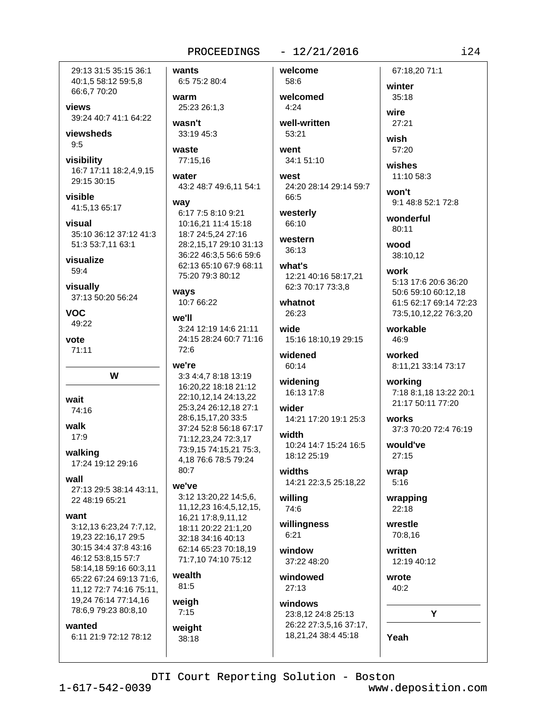29:13 31:5 35:15 36:1 40:1,5 58:12 59:5,8 66:6,7 70:20

views 39:24 40:7 41:1 64:22

viewsheds  $9:5$ 

visibility 16:7 17:11 18:2,4,9,15 29:15 30:15

visible 41:5,13 65:17

visual 35:10 36:12 37:12 41:3 51:3 53:7,11 63:1

visualize 59:4

visually 37:13 50:20 56:24

VOC. 49:22

vote  $71:11$ 

W

wait

74:16

walk 17:9

walking 17:24 19:12 29:16

wall

27:13 29:5 38:14 43:11, 22 48:19 65:21

#### want

3:12,13 6:23,24 7:7,12, 19,23 22:16,17 29:5 30:15 34:4 37:8 43:16 46:12 53:8,15 57:7 58:14,18 59:16 60:3,11 65:22 67:24 69:13 71:6, 11,12 72:7 74:16 75:11, 19,24 76:14 77:14,16 78:6,9 79:23 80:8,10

wanted

6:11 21:9 72:12 78:12

wants 6:5 75:2 80:4

warm 25:23 26:1.3

wasn't 33:19 45:3

waste 77:15,16

water 43:2 48:7 49:6,11 54:1

#### wav 6:17 7:5 8:10 9:21 10:16,21 11:4 15:18 18:7 24:5,24 27:16 28:2,15,17 29:10 31:13 36:22 46:3,5 56:6 59:6 62:13 65:10 67:9 68:11

75:20 79:3 80:12

10:7 66:22

3:24 12:19 14:6 21:11 24:15 28:24 60:7 71:16  $72:6$ 

#### we're

ways

we'll

3:3 4:4,7 8:18 13:19 16:20.22 18:18 21:12 22:10,12,14 24:13,22 25:3,24 26:12,18 27:1 28:6,15,17,20 33:5 37:24 52:8 56:18 67:17 71:12,23,24 72:3,17 73:9,15 74:15,21 75:3, 4,18 76:6 78:5 79:24  $80:7$ 

#### we've

3:12 13:20,22 14:5,6, 11, 12, 23 16: 4, 5, 12, 15, 16,21 17:8,9,11,12 18:11 20:22 21:1,20 32:18 34:16 40:13 62:14 65:23 70:18,19 71:7,10 74:10 75:12

#### wealth  $81:5$

weigh  $7:15$ 

### weight

38:18

58:6 welcomed  $4:24$ well-written

welcome

53:21 went 34:1 51:10

 $-12/21/2016$ 

west 24:20 28:14 29:14 59:7 66:5

westerly 66:10

#### western 36:13

what's 12:21 40:16 58:17,21 62:3 70:17 73:3,8

whatnot 26:23

wide 15:16 18:10,19 29:15

widened 60:14

widening 16:13 17:8

wider

14:21 17:20 19:1 25:3 width 10:24 14:7 15:24 16:5 18:12 25:19

widths 14:21 22:3,5 25:18,22

willing 74:6

willingness  $6:21$ 

window 37:22 48:20

windowed 27:13

## windows

23:8,12 24:8 25:13 26:22 27:3,5,16 37:17, 18,21,24 38:4 45:18

### 67:18.20 71:1 winter 35:18

wire  $27:21$ 

wish 57:20

wishes

11:10 58:3

won't 9:1 48:8 52:1 72:8

wonderful  $80:11$ 

wood 38:10,12

work 5:13 17:6 20:6 36:20 50:6 59:10 60:12,18 61:5 62:17 69:14 72:23 73:5,10,12,22 76:3,20

workable 46:9

worked 8:11,21 33:14 73:17

working 7:18 8:1,18 13:22 20:1 21:17 50:11 77:20

works 37:3 70:20 72:4 76:19

would've 27:15

wrap  $5:16$ 

wrapping 22:18

wrestle 70:8.16

written 12:19 40:12

Yeah

wrote 40:2 Y